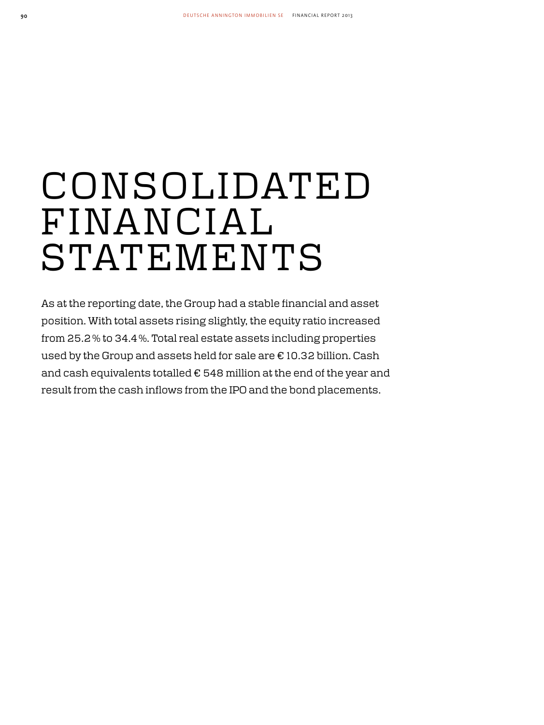# C O N S O L I DAT E D FINANCIAL **STATEMENTS**

As at the reporting date, the Group had a stable financial and asset position. With total assets rising slightly, the equity ratio increased from 25.2 % to 34.4 %. Total real estate assets including properties used by the Group and assets held for sale are € 10.32 billion. Cash and cash equivalents totalled € 548 million at the end of the year and result from the cash inflows from the IPO and the bond placements.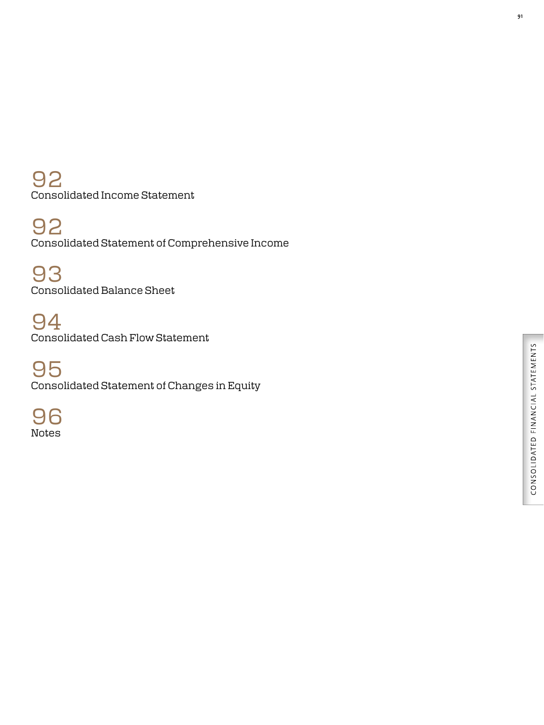92 Consolidated Income Statement

92 Consolidated Statement of Comprehensive Income

93 Consolidated Balance Sheet

94 Consolidated Cash Flow Statement

95 Consolidated Statement of Changes in Equity

96 Notes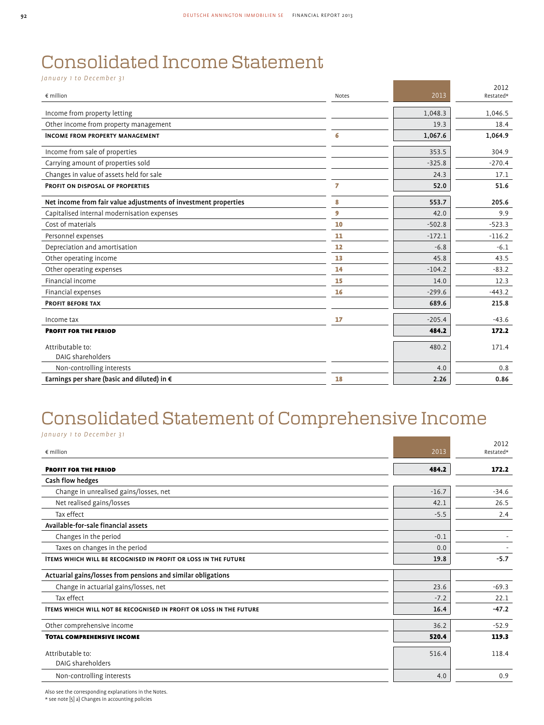# Consolidated Income Statement

*January 1 to December 31* 

| $\epsilon$ million                                              | Notes | 2013     | 2012<br>Restated* |
|-----------------------------------------------------------------|-------|----------|-------------------|
| Income from property letting                                    |       | 1,048.3  | 1,046.5           |
| Other income from property management                           |       | 19.3     | 18.4              |
| <b>INCOME FROM PROPERTY MANAGEMENT</b>                          | 6     | 1,067.6  | 1,064.9           |
| Income from sale of properties                                  |       | 353.5    | 304.9             |
| Carrying amount of properties sold                              |       | $-325.8$ | $-270.4$          |
| Changes in value of assets held for sale                        |       | 24.3     | 17.1              |
| PROFIT ON DISPOSAL OF PROPERTIES                                | 7     | 52.0     | 51.6              |
| Net income from fair value adjustments of investment properties | 8     | 553.7    | 205.6             |
| Capitalised internal modernisation expenses                     | 9     | 42.0     | 9.9               |
| Cost of materials                                               | 10    | $-502.8$ | $-523.3$          |
| Personnel expenses                                              | 11    | $-172.1$ | $-116.2$          |
| Depreciation and amortisation                                   | 12    | $-6.8$   | $-6.1$            |
| Other operating income                                          | 13    | 45.8     | 43.5              |
| Other operating expenses                                        | 14    | $-104.2$ | $-83.2$           |
| Financial income                                                | 15    | 14.0     | 12.3              |
| Financial expenses                                              | 16    | $-299.6$ | $-443.2$          |
| <b>PROFIT BEFORE TAX</b>                                        |       | 689.6    | 215.8             |
| Income tax                                                      | 17    | $-205.4$ | $-43.6$           |
| <b>PROFIT FOR THE PERIOD</b>                                    |       | 484.2    | 172.2             |
| Attributable to:                                                |       | 480.2    | 171.4             |
| DAIG shareholders                                               |       |          |                   |
| Non-controlling interests                                       |       | 4.0      | 0.8               |
| Earnings per share (basic and diluted) in €                     | 18    | 2.26     | 0.86              |

# Consolidated Statement of Comprehensive Income

| January 1 to December 31                                                  |         |                   |
|---------------------------------------------------------------------------|---------|-------------------|
| $\epsilon$ million                                                        | 2013    | 2012<br>Restated* |
| <b>PROFIT FOR THE PERIOD</b>                                              | 484.2   | 172.2             |
| Cash flow hedges                                                          |         |                   |
| Change in unrealised gains/losses, net                                    | $-16.7$ | $-34.6$           |
| Net realised gains/losses                                                 | 42.1    | 26.5              |
| Tax effect                                                                | $-5.5$  | 2.4               |
| Available-for-sale financial assets                                       |         |                   |
| Changes in the period                                                     | $-0.1$  |                   |
| Taxes on changes in the period                                            | 0.0     |                   |
| <b>ITEMS WHICH WILL BE RECOGNISED IN PROFIT OR LOSS IN THE FUTURE</b>     | 19.8    | $-5.7$            |
| Actuarial gains/losses from pensions and similar obligations              |         |                   |
| Change in actuarial gains/losses, net                                     | 23.6    | $-69.3$           |
| Tax effect                                                                | $-7.2$  | 22.1              |
| <b>ITEMS WHICH WILL NOT BE RECOGNISED IN PROFIT OR LOSS IN THE FUTURE</b> | 16.4    | $-47.2$           |
| Other comprehensive income                                                | 36.2    | $-52.9$           |
| <b>TOTAL COMPREHENSIVE INCOME</b>                                         | 520.4   | 119.3             |
| Attributable to:<br>DAIG shareholders                                     | 516.4   | 118.4             |
| Non-controlling interests                                                 | 4.0     | 0.9               |

Also see the corresponding explanations in the Notes.

\* see note [5] a) Changes in accounting policies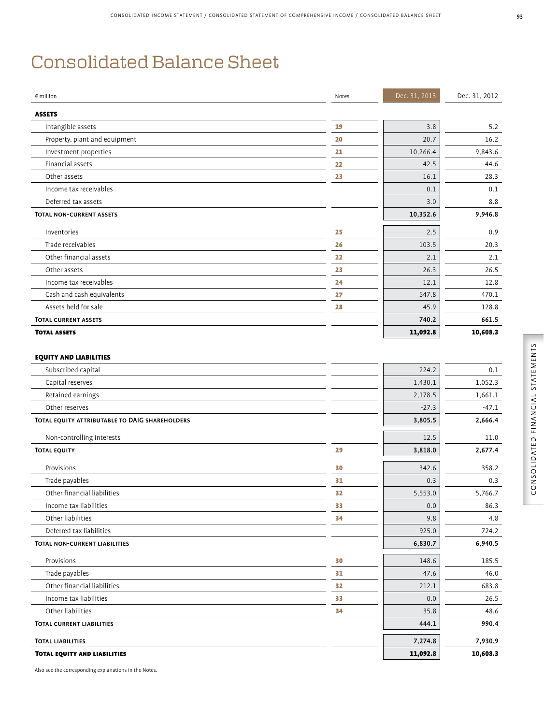## Consolidated Balance Sheet

| $\notin$ million                               | Notes | Dec. 31, 2013 | Dec. 31, 2012 |
|------------------------------------------------|-------|---------------|---------------|
| <b>ASSETS</b>                                  |       |               |               |
| Intangible assets                              | 19    | 3.8           | 5.2           |
| Property, plant and equipment                  | 20    | 20.7          | 16.2          |
| Investment properties                          | 21    | 10,266.4      | 9.843.6       |
| Financial assets                               | 22    | 42.5          | 44.6          |
| Other assets                                   | 23    | 16.1          | 28.3          |
| Income tax receivables                         |       | 0.1           | 0.1           |
| Deferred tax assets                            |       | 3.0           | 8.8           |
| <b>TOTAL NON-CURRENT ASSETS</b>                |       | 10,352.6      | 9,946.8       |
| Inventories                                    | 25    | 2.5           | 0.9           |
| Trade receivables                              | 26    | 103.5         | 20.3          |
| Other financial assets                         | 22    | 2.1           | 2.1           |
| Other assets                                   | 23    | 26.3          | 26.5          |
| Income tax receivables                         | 24    | 12.1          | 12.8          |
| Cash and cash equivalents                      | 27    | 547.8         | 470.1         |
| Assets held for sale                           | 28    | 45.9          | 128.8         |
| <b>TOTAL CURRENT ASSETS</b>                    |       | 740.2         | 661.5         |
| <b>TOTAL ASSETS</b>                            |       | 11,092.8      | 10,608.3      |
|                                                |       |               |               |
| <b>EQUITY AND LIABILITIES</b>                  |       |               |               |
| Subscribed capital                             |       | 224.2         | 0.1           |
| Capital reserves                               |       | 1,430.1       | 1,052.3       |
| Retained earnings                              |       | 2,178.5       | 1,661.1       |
| Other reserves                                 |       | $-27.3$       | $-47.1$       |
| TOTAL EQUITY ATTRIBUTABLE TO DAIG SHAREHOLDERS |       | 3,805.5       | 2,666.4       |
| Non-controlling interests                      |       | 12.5          | 11.0          |
| <b>TOTAL EQUITY</b>                            | 29    | 3,818.0       | 2,677.4       |
| Provisions                                     | 30    | 342.6         | 358.2         |
| Trade payables                                 | 31    | 0.3           | 0.3           |
| Other financial liabilities                    | 32    | 5,553.0       | 5,766.7       |
| Income tax liabilities                         | 33    | 0.0           | 86.3          |
| Other liabilities                              | 34    | 9.8           | 4.8           |
| Deferred tax liabilities                       |       | 925.0         | 724.2         |
| TOTAL NON-CURRENT LIABILITIES                  |       | 6,830.7       | 6,940.5       |
| Provisions                                     | 30    | 148.6         | 185.5         |
| Trade payables                                 | 31    | 47.6          | 46.0          |
| Other financial liabilities                    | 32    | 212.1         | 683.8         |
| Income tax liabilities                         | 33    | 0.0           | 26.5          |
| Other liabilities                              | 34    | 35.8          | 48.6          |
| <b>TOTAL CURRENT LIABILITIES</b>               |       | 444.1         | 990.4         |
| <b>TOTAL LIABILITIES</b>                       |       | 7,274.8       | 7,930.9       |
| <b>TOTAL EQUITY AND LIABILITIES</b>            |       | 11,092.8      | 10,608.3      |

Also see the corresponding explanations in the Notes.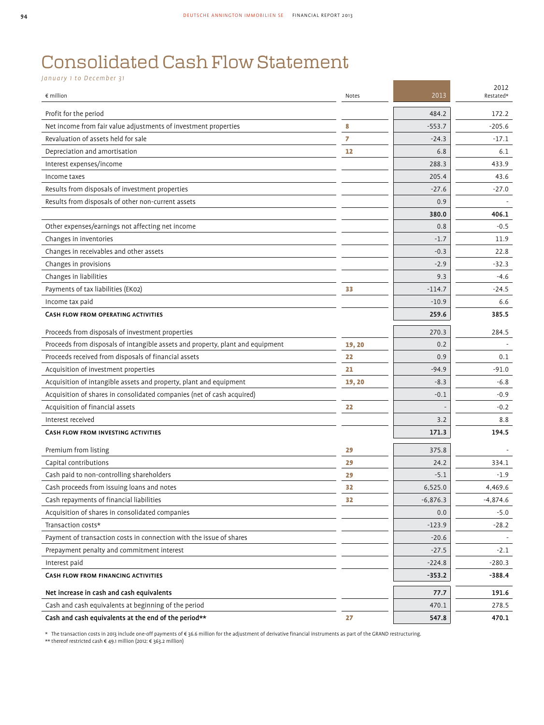a sa kacamatan ing Kabupatèn Kabupatèn Ing

# Consolidated Cash Flow Statement

*January 1 to December 31* 

| $\epsilon$ million                                                             | Notes  | 2013       | 2012<br>Restated* |
|--------------------------------------------------------------------------------|--------|------------|-------------------|
| Profit for the period                                                          |        | 484.2      | 172.2             |
| Net income from fair value adjustments of investment properties                | 8      | $-553.7$   | $-205.6$          |
| Revaluation of assets held for sale                                            | 7      | $-24.3$    | $-17.1$           |
| Depreciation and amortisation                                                  | 12     | 6.8        | 6.1               |
| Interest expenses/income                                                       |        | 288.3      | 433.9             |
| Income taxes                                                                   |        | 205.4      | 43.6              |
| Results from disposals of investment properties                                |        | $-27.6$    | $-27.0$           |
| Results from disposals of other non-current assets                             |        | 0.9        |                   |
|                                                                                |        | 380.0      | 406.1             |
| Other expenses/earnings not affecting net income                               |        | 0.8        | $-0.5$            |
| Changes in inventories                                                         |        | $-1.7$     | 11.9              |
| Changes in receivables and other assets                                        |        | $-0.3$     | 22.8              |
| Changes in provisions                                                          |        | $-2.9$     | $-32.3$           |
| Changes in liabilities                                                         |        | 9.3        | $-4.6$            |
| Payments of tax liabilities (EK02)                                             | 33     | $-114.7$   | $-24.5$           |
| Income tax paid                                                                |        | $-10.9$    | 6.6               |
| <b>CASH FLOW FROM OPERATING ACTIVITIES</b>                                     |        | 259.6      | 385.5             |
| Proceeds from disposals of investment properties                               |        | 270.3      | 284.5             |
| Proceeds from disposals of intangible assets and property, plant and equipment | 19, 20 | 0.2        |                   |
| Proceeds received from disposals of financial assets                           | 22     | 0.9        | 0.1               |
| Acquisition of investment properties                                           | 21     | $-94.9$    | $-91.0$           |
| Acquisition of intangible assets and property, plant and equipment             | 19, 20 | $-8.3$     | $-6.8$            |
| Acquisition of shares in consolidated companies (net of cash acquired)         |        | $-0.1$     | $-0.9$            |
| Acquisition of financial assets                                                | 22     |            | $-0.2$            |
| Interest received                                                              |        | 3.2        | 8.8               |
| CASH FLOW FROM INVESTING ACTIVITIES                                            |        | 171.3      | 194.5             |
| Premium from listing                                                           | 29     | 375.8      |                   |
| Capital contributions                                                          | 29     | 24.2       | 334.1             |
| Cash paid to non-controlling shareholders                                      | 29     | $-5.1$     | $-1.9$            |
| Cash proceeds from issuing loans and notes                                     | 32     | 6,525.0    | 4,469.6           |
| Cash repayments of financial liabilities                                       | 32     | $-6,876.3$ | $-4,874.6$        |
| Acquisition of shares in consolidated companies                                |        | 0.0        | $-5.0$            |
| Transaction costs*                                                             |        | $-123.9$   | $-28.2$           |
| Payment of transaction costs in connection with the issue of shares            |        | $-20.6$    |                   |
| Prepayment penalty and commitment interest                                     |        | $-27.5$    | $-2.1$            |
| Interest paid                                                                  |        | -224.8     | -280.3            |
| CASH FLOW FROM FINANCING ACTIVITIES                                            |        | $-353.2$   | $-388.4$          |
| Net increase in cash and cash equivalents                                      |        | 77.7       | 191.6             |
| Cash and cash equivalents at beginning of the period                           |        | 470.1      | 278.5             |
| Cash and cash equivalents at the end of the period**                           | 27     | 547.8      | 470.1             |

\* The transaction costs in 2013 include one-off payments of € 36.6 million for the adjustment of derivative financial instruments as part of the GRAND restructuring.<br>\*\* thereof restricted cash € 49.1 million (2012: € 363.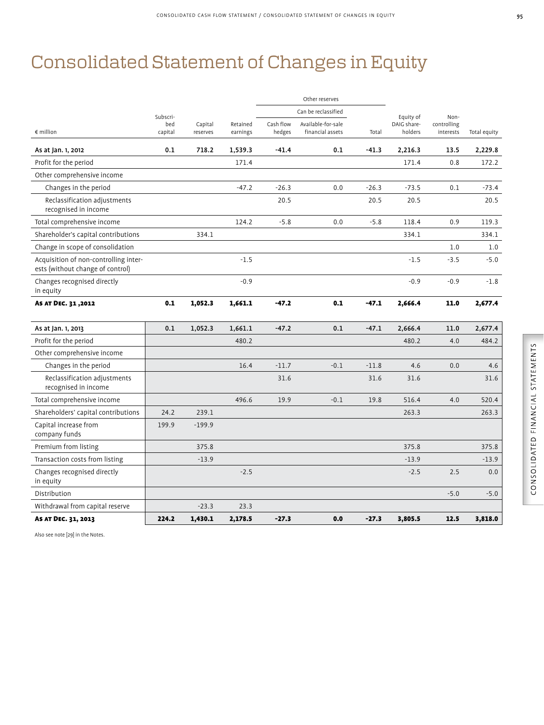# Consolidated Statement of Changes in Equity

|                                                                           |                |                     |                      |                     | Other reserves                         |         |                        |                          |              |
|---------------------------------------------------------------------------|----------------|---------------------|----------------------|---------------------|----------------------------------------|---------|------------------------|--------------------------|--------------|
|                                                                           | Subscri-       |                     |                      |                     | Can be reclassified                    |         | Equity of              | Non-                     |              |
| $\epsilon$ million                                                        | bed<br>capital | Capital<br>reserves | Retained<br>earnings | Cash flow<br>hedges | Available-for-sale<br>financial assets | Total   | DAIG share-<br>holders | controlling<br>interests | Total equity |
| As at Jan. 1, 2012                                                        | 0.1            | 718.2               | 1,539.3              | $-41.4$             | 0.1                                    | $-41.3$ | 2,216.3                | 13.5                     | 2,229.8      |
| Profit for the period                                                     |                |                     | 171.4                |                     |                                        |         | 171.4                  | 0.8                      | 172.2        |
| Other comprehensive income                                                |                |                     |                      |                     |                                        |         |                        |                          |              |
| Changes in the period                                                     |                |                     | $-47.2$              | $-26.3$             | 0.0                                    | $-26.3$ | $-73.5$                | 0.1                      | $-73.4$      |
| Reclassification adjustments<br>recognised in income                      |                |                     |                      | 20.5                |                                        | 20.5    | 20.5                   |                          | 20.5         |
| Total comprehensive income                                                |                |                     | 124.2                | $-5.8$              | 0.0                                    | $-5.8$  | 118.4                  | 0.9                      | 119.3        |
| Shareholder's capital contributions                                       |                | 334.1               |                      |                     |                                        |         | 334.1                  |                          | 334.1        |
| Change in scope of consolidation                                          |                |                     |                      |                     |                                        |         |                        | 1.0                      | 1.0          |
| Acquisition of non-controlling inter-<br>ests (without change of control) |                |                     | $-1.5$               |                     |                                        |         | $-1.5$                 | $-3.5$                   | $-5.0$       |
| Changes recognised directly<br>in equity                                  |                |                     | $-0.9$               |                     |                                        |         | $-0.9$                 | $-0.9$                   | $-1.8$       |
| AS AT DEC. 31,2012                                                        | 0.1            | 1,052.3             | 1,661.1              | $-47.2$             | 0.1                                    | $-47.1$ | 2,666.4                | 11.0                     | 2,677.4      |
| As at Jan. 1, 2013                                                        | 0.1            | 1,052.3             | 1,661.1              | $-47.2$             | 0.1                                    | $-47.1$ | 2,666.4                | 11.0                     | 2,677.4      |
| Profit for the period                                                     |                |                     | 480.2                |                     |                                        |         | 480.2                  | 4.0                      | 484.2        |
| Other comprehensive income                                                |                |                     |                      |                     |                                        |         |                        |                          |              |
| Changes in the period                                                     |                |                     | 16.4                 | $-11.7$             | $-0.1$                                 | $-11.8$ | 4.6                    | 0.0                      | 4.6          |
| Reclassification adjustments<br>recognised in income                      |                |                     |                      | 31.6                |                                        | 31.6    | 31.6                   |                          | 31.6         |
| Total comprehensive income                                                |                |                     | 496.6                | 19.9                | $-0.1$                                 | 19.8    | 516.4                  | 4.0                      | 520.4        |
| Shareholders' capital contributions                                       | 24.2           | 239.1               |                      |                     |                                        |         | 263.3                  |                          | 263.3        |
| Capital increase from<br>company funds                                    | 199.9          | $-199.9$            |                      |                     |                                        |         |                        |                          |              |
| Premium from listing                                                      |                | 375.8               |                      |                     |                                        |         | 375.8                  |                          | 375.8        |
| Transaction costs from listing                                            |                | $-13.9$             |                      |                     |                                        |         | $-13.9$                |                          | $-13.9$      |
| Changes recognised directly<br>in equity                                  |                |                     | $-2.5$               |                     |                                        |         | $-2.5$                 | 2.5                      | 0.0          |
| Distribution                                                              |                |                     |                      |                     |                                        |         |                        | $-5.0$                   | $-5.0$       |
| Withdrawal from capital reserve                                           |                | $-23.3$             | 23.3                 |                     |                                        |         |                        |                          |              |
| AS AT DEC. 31, 2013                                                       | 224.2          | 1,430.1             | 2,178.5              | $-27.3$             | 0.0                                    | $-27.3$ | 3.805.5                | 12.5                     | 3,818.0      |

Also see note [29] in the Notes.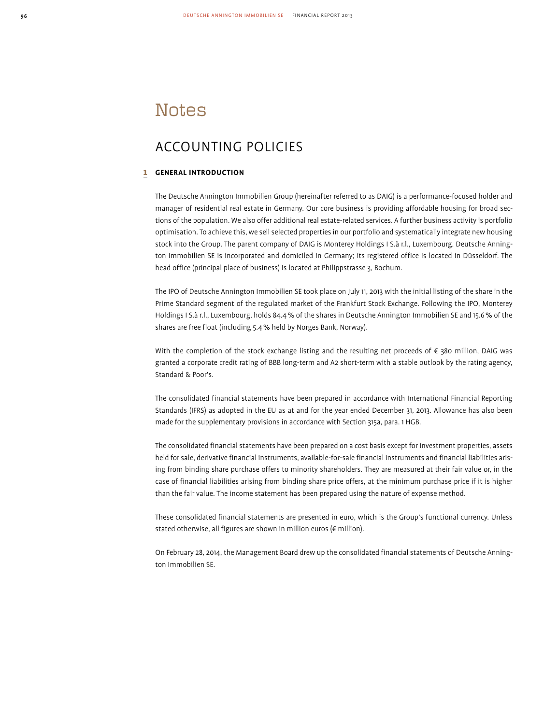### **Notes**

### ACCOUNTING POLICIES

#### 1 **GENERAL INTRODUCTION**

The Deutsche Annington Immobilien Group (hereinafter referred to as DAIG) is a performance-focused holder and manager of residential real estate in Germany. Our core business is providing affordable housing for broad sections of the population. We also offer additional real estate-related services. A further business activity is portfolio optimisation. To achieve this, we sell selected properties in our portfolio and systematically integrate new housing stock into the Group. The parent company of DAIG is Monterey Holdings I S.à r.l., Luxembourg. Deutsche Annington Immobilien SE is incorporated and domiciled in Germany; its registered office is located in Düsseldorf. The head office (principal place of business) is located at Philippstrasse 3, Bochum.

The IPO of Deutsche Annington Immobilien SE took place on July 11, 2013 with the initial listing of the share in the Prime Standard segment of the regulated market of the Frankfurt Stock Exchange. Following the IPO, Monterey Holdings I S.à r.l., Luxembourg, holds 84.4 % of the shares in Deutsche Annington Immobilien SE and 15.6 % of the shares are free float (including 5.4 % held by Norges Bank, Norway).

With the completion of the stock exchange listing and the resulting net proceeds of  $\epsilon$  380 million, DAIG was granted a corporate credit rating of BBB long-term and A2 short-term with a stable outlook by the rating agency, Standard & Poor's.

The consolidated financial statements have been prepared in accordance with International Financial Reporting Standards (IFRS) as adopted in the EU as at and for the year ended December 31, 2013. Allowance has also been made for the supplementary provisions in accordance with Section 315a, para. 1 HGB.

The consolidated financial statements have been prepared on a cost basis except for investment properties, assets held for sale, derivative financial instruments, available-for-sale financial instruments and financial liabilities arising from binding share purchase offers to minority shareholders. They are measured at their fair value or, in the case of financial liabilities arising from binding share price offers, at the minimum purchase price if it is higher than the fair value. The income statement has been prepared using the nature of expense method.

These consolidated financial statements are presented in euro, which is the Group's functional currency. Unless stated otherwise, all figures are shown in million euros (€ million).

On February 28, 2014, the Management Board drew up the consolidated financial statements of Deutsche Annington Immobilien SE.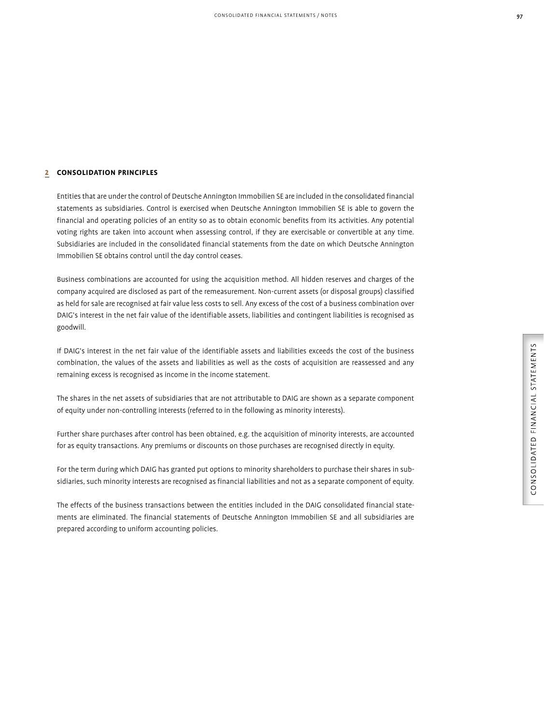#### 2 **CONSOLIDATION PRINCIPLES**

Entities that are under the control of Deutsche Annington Immobilien SE are included in the consolidated financial statements as subsidiaries. Control is exercised when Deutsche Annington Immobilien SE is able to govern the financial and operating policies of an entity so as to obtain economic benefits from its activities. Any potential voting rights are taken into account when assessing control, if they are exercisable or convertible at any time. Subsidiaries are included in the consolidated financial statements from the date on which Deutsche Annington Immobilien SE obtains control until the day control ceases.

Business combinations are accounted for using the acquisition method. All hidden reserves and charges of the company acquired are disclosed as part of the remeasurement. Non-current assets (or disposal groups) classified as held for sale are recognised at fair value less costs to sell. Any excess of the cost of a business combination over DAIG's interest in the net fair value of the identifiable assets, liabilities and contingent liabilities is recognised as goodwill.

If DAIG's interest in the net fair value of the identifiable assets and liabilities exceeds the cost of the business combination, the values of the assets and liabilities as well as the costs of acquisition are reassessed and any remaining excess is recognised as income in the income statement.

The shares in the net assets of subsidiaries that are not attributable to DAIG are shown as a separate component of equity under non-controlling interests (referred to in the following as minority interests).

Further share purchases after control has been obtained, e.g. the acquisition of minority interests, are accounted for as equity transactions. Any premiums or discounts on those purchases are recognised directly in equity.

For the term during which DAIG has granted put options to minority shareholders to purchase their shares in subsidiaries, such minority interests are recognised as financial liabilities and not as a separate component of equity.

The effects of the business transactions between the entities included in the DAIG consolidated financial statements are eliminated. The financial statements of Deutsche Annington Immobilien SE and all subsidiaries are prepared according to uniform accounting policies.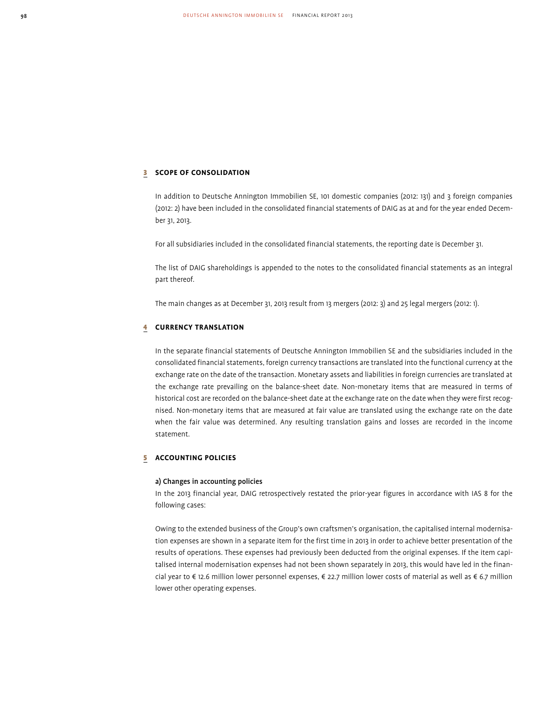#### 3 **SCOPE OF CONSOLIDATION**

In addition to Deutsche Annington Immobilien SE, 101 domestic companies (2012: 131) and 3 foreign companies (2012: 2) have been included in the consolidated financial statements of DAIG as at and for the year ended December 31, 2013.

For all subsidiaries included in the consolidated financial statements, the reporting date is December 31.

The list of DAIG shareholdings is appended to the notes to the consolidated financial statements as an integral part thereof.

The main changes as at December 31, 2013 result from 13 mergers (2012: 3) and 25 legal mergers (2012: 1).

#### 4 **CURRENCY TRANSLATION**

In the separate financial statements of Deutsche Annington Immobilien SE and the subsidiaries included in the consolidated financial statements, foreign currency transactions are translated into the functional currency at the exchange rate on the date of the transaction. Monetary assets and liabilities in foreign currencies are translated at the exchange rate prevailing on the balance-sheet date. Non-monetary items that are measured in terms of historical cost are recorded on the balance-sheet date at the exchange rate on the date when they were first recognised. Non-monetary items that are measured at fair value are translated using the exchange rate on the date when the fair value was determined. Any resulting translation gains and losses are recorded in the income statement.

#### 5 **ACCOUNTING POLICIES**

#### a) Changes in accounting policies

In the 2013 financial year, DAIG retrospectively restated the prior-year figures in accordance with IAS 8 for the following cases:

Owing to the extended business of the Group's own craftsmen's organisation, the capitalised internal modernisation expenses are shown in a separate item for the first time in 2013 in order to achieve better presentation of the results of operations. These expenses had previously been deducted from the original expenses. If the item capitalised internal modernisation expenses had not been shown separately in 2013, this would have led in the financial year to € 12.6 million lower personnel expenses, € 22.7 million lower costs of material as well as € 6.7 million lower other operating expenses.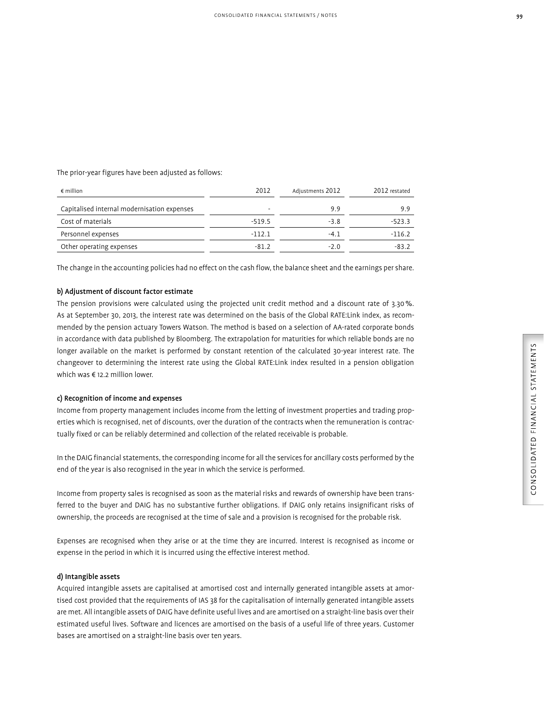The prior-year figures have been adjusted as follows:

| 2012     | Adjustments 2012 | 2012 restated |
|----------|------------------|---------------|
| ٠        | 9.9              | 9.9           |
| $-519.5$ | $-3.8$           | $-523.3$      |
| $-112.1$ | $-4.1$           | $-116.2$      |
| $-81.2$  | $-2.0$           | -83.2         |
|          |                  |               |

The change in the accounting policies had no effect on the cash flow, the balance sheet and the earnings per share.

#### b) Adjustment of discount factor estimate

The pension provisions were calculated using the projected unit credit method and a discount rate of 3.30 %. As at September 30, 2013, the interest rate was determined on the basis of the Global RATE:Link index, as recommended by the pension actuary Towers Watson. The method is based on a selection of AA-rated corporate bonds in accordance with data published by Bloomberg. The extrapolation for maturities for which reliable bonds are no longer available on the market is performed by constant retention of the calculated 30-year interest rate. The changeover to determining the interest rate using the Global RATE:Link index resulted in a pension obligation which was € 12.2 million lower.

#### c) Recognition of income and expenses

Income from property management includes income from the letting of investment properties and trading properties which is recognised, net of discounts, over the duration of the contracts when the remuneration is contractually fixed or can be reliably determined and collection of the related receivable is probable.

In the DAIG financial statements, the corresponding income for all the services for ancillary costs performed by the end of the year is also recognised in the year in which the service is performed.

Income from property sales is recognised as soon as the material risks and rewards of ownership have been transferred to the buyer and DAIG has no substantive further obligations. If DAIG only retains insignificant risks of ownership, the proceeds are recognised at the time of sale and a provision is recognised for the probable risk.

Expenses are recognised when they arise or at the time they are incurred. Interest is recognised as income or expense in the period in which it is incurred using the effective interest method.

#### d) Intangible assets

Acquired intangible assets are capitalised at amortised cost and internally generated intangible assets at amortised cost provided that the requirements of IAS 38 for the capitalisation of internally generated intangible assets are met. All intangible assets of DAIG have definite useful lives and are amortised on a straight-line basis over their estimated useful lives. Software and licences are amortised on the basis of a useful life of three years. Customer bases are amortised on a straight-line basis over ten years.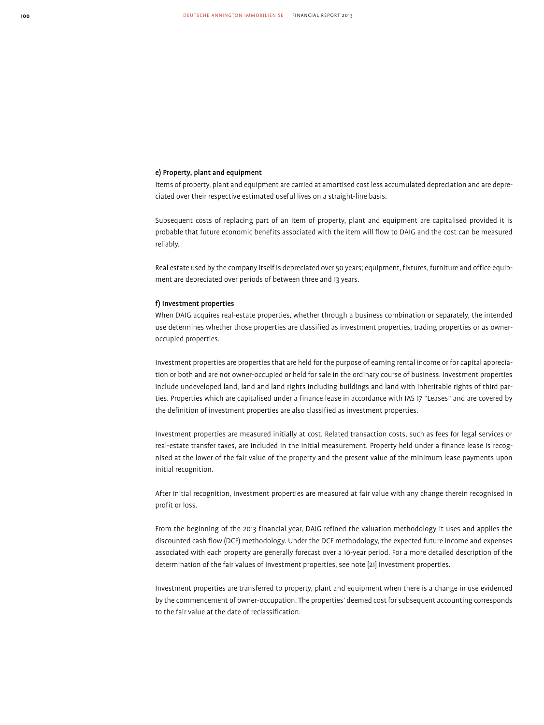#### e) Property, plant and equipment

Items of property, plant and equipment are carried at amortised cost less accumulated depreciation and are depreciated over their respective estimated useful lives on a straight-line basis.

Subsequent costs of replacing part of an item of property, plant and equipment are capitalised provided it is probable that future economic benefits associated with the item will flow to DAIG and the cost can be measured reliably.

Real estate used by the company itself is depreciated over 50 years; equipment, fixtures, furniture and office equipment are depreciated over periods of between three and 13 years.

#### f) Investment properties

When DAIG acquires real-estate properties, whether through a business combination or separately, the intended use determines whether those properties are classified as investment properties, trading properties or as owneroccupied properties.

Investment properties are properties that are held for the purpose of earning rental income or for capital appreciation or both and are not owner-occupied or held for sale in the ordinary course of business. Investment properties include undeveloped land, land and land rights including buildings and land with inheritable rights of third parties. Properties which are capitalised under a finance lease in accordance with IAS 17 "Leases" and are covered by the definition of investment properties are also classified as investment properties.

Investment properties are measured initially at cost. Related transaction costs, such as fees for legal services or real-estate transfer taxes, are included in the initial measurement. Property held under a finance lease is recognised at the lower of the fair value of the property and the present value of the minimum lease payments upon initial recognition.

After initial recognition, investment properties are measured at fair value with any change therein recognised in profit or loss.

From the beginning of the 2013 financial year, DAIG refined the valuation methodology it uses and applies the discounted cash flow (DCF) methodology. Under the DCF methodology, the expected future income and expenses associated with each property are generally forecast over a 10-year period. For a more detailed description of the determination of the fair values of investment properties, see note [21] Investment properties.

Investment properties are transferred to property, plant and equipment when there is a change in use evidenced by the commencement of owner-occupation. The properties' deemed cost for subsequent accounting corresponds to the fair value at the date of reclassification.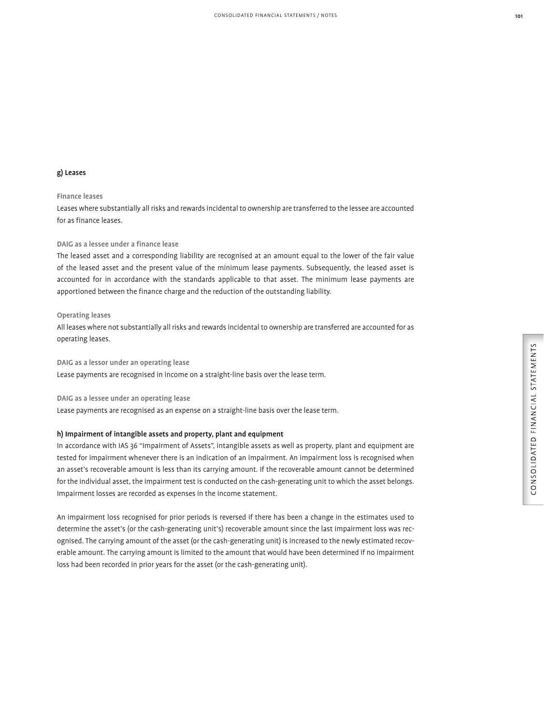#### g) Leases

#### Finance leases

Leases where substantially all risks and rewards incidental to ownership are transferred to the lessee are accounted for as finance leases.

#### DAIG as a lessee under a finance lease

The leased asset and a corresponding liability are recognised at an amount equal to the lower of the fair value of the leased asset and the present value of the minimum lease payments. Subsequently, the leased asset is accounted for in accordance with the standards applicable to that asset. The minimum lease payments are apportioned between the finance charge and the reduction of the outstanding liability.

#### Operating leases

All leases where not substantially all risks and rewards incidental to ownership are transferred are accounted for as operating leases.

#### DAIG as a lessor under an operating lease

Lease payments are recognised in income on a straight-line basis over the lease term.

#### DAIG as a lessee under an operating lease

Lease payments are recognised as an expense on a straight-line basis over the lease term.

#### h) Impairment of intangible assets and property, plant and equipment

In accordance with IAS 36 "Impairment of Assets", intangible assets as well as property, plant and equipment are tested for impairment whenever there is an indication of an impairment. An impairment loss is recognised when an asset's recoverable amount is less than its carrying amount. If the recoverable amount cannot be determined for the individual asset, the impairment test is conducted on the cash-generating unit to which the asset belongs. Impairment losses are recorded as expenses in the income statement.

An impairment loss recognised for prior periods is reversed if there has been a change in the estimates used to determine the asset's (or the cash-generating unit's) recoverable amount since the last impairment loss was recognised. The carrying amount of the asset (or the cash-generating unit) is increased to the newly estimated recoverable amount. The carrying amount is limited to the amount that would have been determined if no impairment loss had been recorded in prior years for the asset (or the cash-generating unit).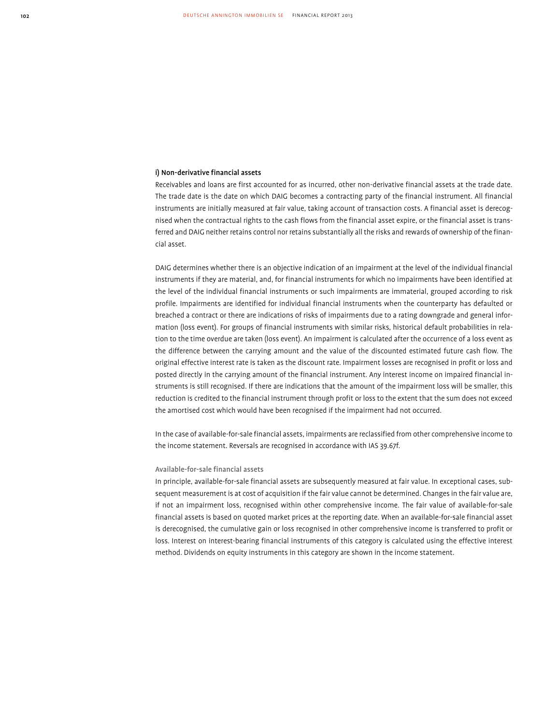#### i) Non-derivative financial assets

Receivables and loans are first accounted for as incurred, other non-derivative financial assets at the trade date. The trade date is the date on which DAIG becomes a contracting party of the financial instrument. All financial instruments are initially measured at fair value, taking account of transaction costs. A financial asset is derecognised when the contractual rights to the cash flows from the financial asset expire, or the financial asset is transferred and DAIG neither retains control nor retains substantially all the risks and rewards of ownership of the financial asset.

DAIG determines whether there is an objective indication of an impairment at the level of the individual financial instruments if they are material, and, for financial instruments for which no impairments have been identified at the level of the individual financial instruments or such impairments are immaterial, grouped according to risk profile. Impairments are identified for individual financial instruments when the counterparty has defaulted or breached a contract or there are indications of risks of impairments due to a rating downgrade and general information (loss event). For groups of financial instruments with similar risks, historical default probabilities in relation to the time overdue are taken (loss event). An impairment is calculated after the occurrence of a loss event as the difference between the carrying amount and the value of the discounted estimated future cash flow. The original effective interest rate is taken as the discount rate. Impairment losses are recognised in profit or loss and posted directly in the carrying amount of the financial instrument. Any interest income on impaired financial instruments is still recognised. If there are indications that the amount of the impairment loss will be smaller, this reduction is credited to the financial instrument through profit or loss to the extent that the sum does not exceed the amortised cost which would have been recognised if the impairment had not occurred.

In the case of available-for-sale financial assets, impairments are reclassified from other comprehensive income to the income statement. Reversals are recognised in accordance with IAS 39.67f.

#### Available-for-sale financial assets

In principle, available-for-sale financial assets are subsequently measured at fair value. In exceptional cases, subsequent measurement is at cost of acquisition if the fair value cannot be determined. Changes in the fair value are, if not an impairment loss, recognised within other comprehensive income. The fair value of available-for-sale financial assets is based on quoted market prices at the reporting date. When an available-for-sale financial asset is derecognised, the cumulative gain or loss recognised in other comprehensive income is transferred to profit or loss. Interest on interest-bearing financial instruments of this category is calculated using the effective interest method. Dividends on equity instruments in this category are shown in the income statement.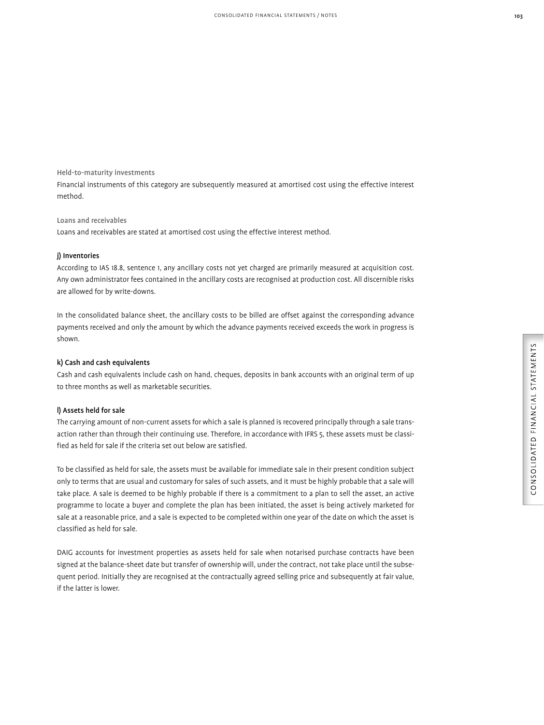Held-to-maturity investments

Financial instruments of this category are subsequently measured at amortised cost using the effective interest method.

#### Loans and receivables

Loans and receivables are stated at amortised cost using the effective interest method.

#### j) Inventories

According to IAS 18.8, sentence 1, any ancillary costs not yet charged are primarily measured at acquisition cost. Any own administrator fees contained in the ancillary costs are recognised at production cost. All discernible risks are allowed for by write-downs.

In the consolidated balance sheet, the ancillary costs to be billed are offset against the corresponding advance payments received and only the amount by which the advance payments received exceeds the work in progress is shown.

#### k) Cash and cash equivalents

Cash and cash equivalents include cash on hand, cheques, deposits in bank accounts with an original term of up to three months as well as marketable securities.

#### l) Assets held for sale

The carrying amount of non-current assets for which a sale is planned is recovered principally through a sale transaction rather than through their continuing use. Therefore, in accordance with IFRS 5, these assets must be classified as held for sale if the criteria set out below are satisfied.

To be classified as held for sale, the assets must be available for immediate sale in their present condition subject only to terms that are usual and customary for sales of such assets, and it must be highly probable that a sale will take place. A sale is deemed to be highly probable if there is a commitment to a plan to sell the asset, an active programme to locate a buyer and complete the plan has been initiated, the asset is being actively marketed for sale at a reasonable price, and a sale is expected to be completed within one year of the date on which the asset is classified as held for sale.

DAIG accounts for investment properties as assets held for sale when notarised purchase contracts have been signed at the balance-sheet date but transfer of ownership will, under the contract, not take place until the subsequent period. Initially they are recognised at the contractually agreed selling price and subsequently at fair value, if the latter is lower.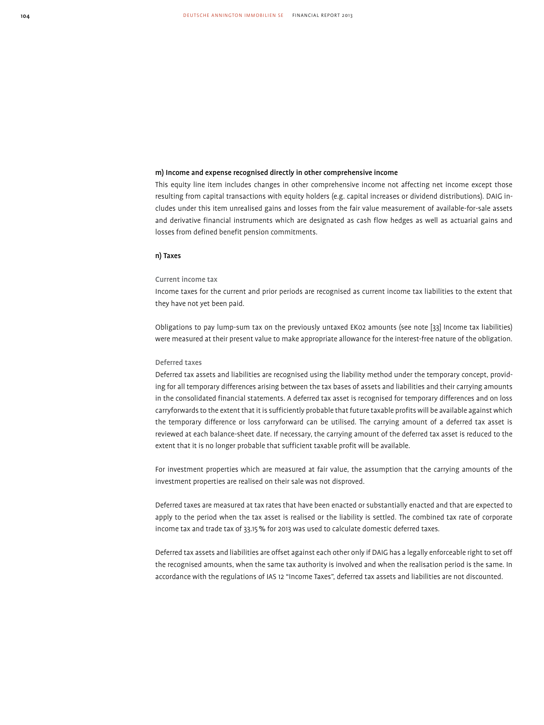#### m) Income and expense recognised directly in other comprehensive income

This equity line item includes changes in other comprehensive income not affecting net income except those resulting from capital transactions with equity holders (e.g. capital increases or dividend distributions). DAIG includes under this item unrealised gains and losses from the fair value measurement of available-for-sale assets and derivative financial instruments which are designated as cash flow hedges as well as actuarial gains and losses from defined benefit pension commitments.

#### n) Taxes

#### Current income tax

Income taxes for the current and prior periods are recognised as current income tax liabilities to the extent that they have not yet been paid.

Obligations to pay lump-sum tax on the previously untaxed EK02 amounts (see note [33] Income tax liabilities) were measured at their present value to make appropriate allowance for the interest-free nature of the obligation.

#### Deferred taxes

Deferred tax assets and liabilities are recognised using the liability method under the temporary concept, providing for all temporary differences arising between the tax bases of assets and liabilities and their carrying amounts in the consolidated financial statements. A deferred tax asset is recognised for temporary differences and on loss carryforwards to the extent that it is sufficiently probable that future taxable profits will be available against which the temporary difference or loss carryforward can be utilised. The carrying amount of a deferred tax asset is reviewed at each balance-sheet date. If necessary, the carrying amount of the deferred tax asset is reduced to the extent that it is no longer probable that sufficient taxable profit will be available.

For investment properties which are measured at fair value, the assumption that the carrying amounts of the investment properties are realised on their sale was not disproved.

Deferred taxes are measured at tax rates that have been enacted or substantially enacted and that are expected to apply to the period when the tax asset is realised or the liability is settled. The combined tax rate of corporate income tax and trade tax of 33.15 % for 2013 was used to calculate domestic deferred taxes.

Deferred tax assets and liabilities are offset against each other only if DAIG has a legally enforceable right to set off the recognised amounts, when the same tax authority is involved and when the realisation period is the same. In accordance with the regulations of IAS 12 "Income Taxes", deferred tax assets and liabilities are not discounted.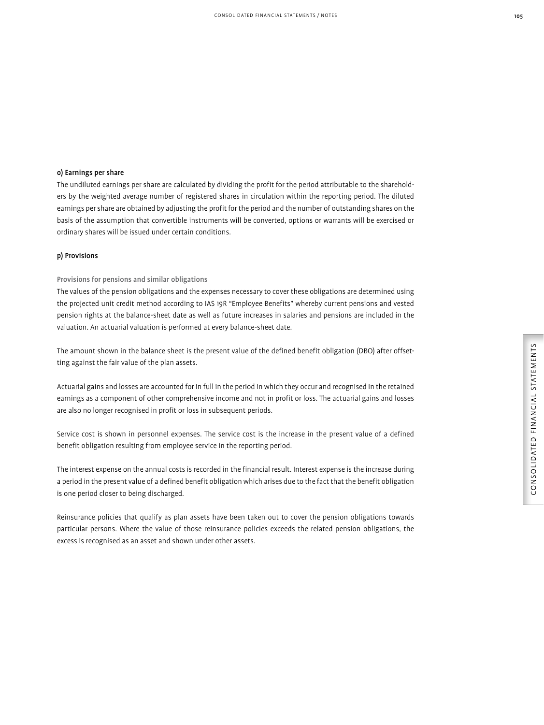#### o) Earnings per share

The undiluted earnings per share are calculated by dividing the profit for the period attributable to the shareholders by the weighted average number of registered shares in circulation within the reporting period. The diluted earnings per share are obtained by adjusting the profit for the period and the number of outstanding shares on the basis of the assumption that convertible instruments will be converted, options or warrants will be exercised or ordinary shares will be issued under certain conditions.

#### p) Provisions

#### Provisions for pensions and similar obligations

The values of the pension obligations and the expenses necessary to cover these obligations are determined using the projected unit credit method according to IAS 19R "Employee Benefits" whereby current pensions and vested pension rights at the balance-sheet date as well as future increases in salaries and pensions are included in the valuation. An actuarial valuation is performed at every balance-sheet date.

The amount shown in the balance sheet is the present value of the defined benefit obligation (DBO) after offsetting against the fair value of the plan assets.

Actuarial gains and losses are accounted for in full in the period in which they occur and recognised in the retained earnings as a component of other comprehensive income and not in profit or loss. The actuarial gains and losses are also no longer recognised in profit or loss in subsequent periods.

Service cost is shown in personnel expenses. The service cost is the increase in the present value of a defined benefit obligation resulting from employee service in the reporting period.

The interest expense on the annual costs is recorded in the financial result. Interest expense is the increase during a period in the present value of a defined benefit obligation which arises due to the fact that the benefit obligation is one period closer to being discharged.

Reinsurance policies that qualify as plan assets have been taken out to cover the pension obligations towards particular persons. Where the value of those reinsurance policies exceeds the related pension obligations, the excess is recognised as an asset and shown under other assets.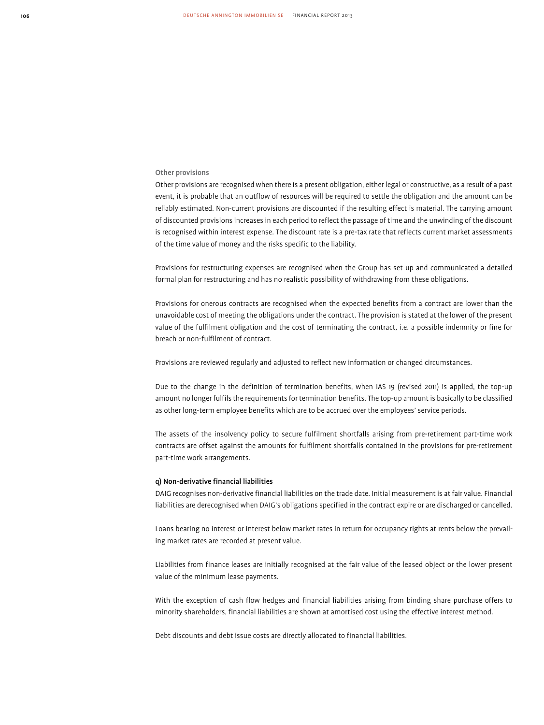#### Other provisions

Other provisions are recognised when there is a present obligation, either legal or constructive, as a result of a past event, it is probable that an outflow of resources will be required to settle the obligation and the amount can be reliably estimated. Non-current provisions are discounted if the resulting effect is material. The carrying amount of discounted provisions increases in each period to reflect the passage of time and the unwinding of the discount is recognised within interest expense. The discount rate is a pre-tax rate that reflects current market assessments of the time value of money and the risks specific to the liability.

Provisions for restructuring expenses are recognised when the Group has set up and communicated a detailed formal plan for restructuring and has no realistic possibility of withdrawing from these obligations.

Provisions for onerous contracts are recognised when the expected benefits from a contract are lower than the unavoidable cost of meeting the obligations under the contract. The provision is stated at the lower of the present value of the fulfilment obligation and the cost of terminating the contract, i.e. a possible indemnity or fine for breach or non-fulfilment of contract.

Provisions are reviewed regularly and adjusted to reflect new information or changed circumstances.

Due to the change in the definition of termination benefits, when IAS 19 (revised 2011) is applied, the top-up amount no longer fulfils the requirements for termination benefits. The top-up amount is basically to be classified as other long-term employee benefits which are to be accrued over the employees' service periods.

The assets of the insolvency policy to secure fulfilment shortfalls arising from pre-retirement part-time work contracts are offset against the amounts for fulfilment shortfalls contained in the provisions for pre-retirement part-time work arrangements.

#### q) Non-derivative financial liabilities

DAIG recognises non-derivative financial liabilities on the trade date. Initial measurement is at fair value. Financial liabilities are derecognised when DAIG's obligations specified in the contract expire or are discharged or cancelled.

Loans bearing no interest or interest below market rates in return for occupancy rights at rents below the prevailing market rates are recorded at present value.

Liabilities from finance leases are initially recognised at the fair value of the leased object or the lower present value of the minimum lease payments.

With the exception of cash flow hedges and financial liabilities arising from binding share purchase offers to minority shareholders, financial liabilities are shown at amortised cost using the effective interest method.

Debt discounts and debt issue costs are directly allocated to financial liabilities.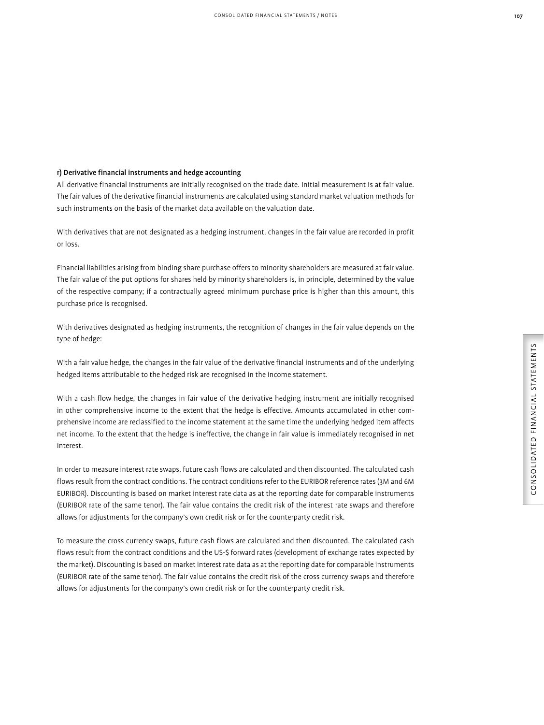#### r) Derivative financial instruments and hedge accounting

All derivative financial instruments are initially recognised on the trade date. Initial measurement is at fair value. The fair values of the derivative financial instruments are calculated using standard market valuation methods for such instruments on the basis of the market data available on the valuation date.

With derivatives that are not designated as a hedging instrument, changes in the fair value are recorded in profit or loss.

Financial liabilities arising from binding share purchase offers to minority shareholders are measured at fair value. The fair value of the put options for shares held by minority shareholders is, in principle, determined by the value of the respective company; if a contractually agreed minimum purchase price is higher than this amount, this purchase price is recognised.

With derivatives designated as hedging instruments, the recognition of changes in the fair value depends on the type of hedge:

With a fair value hedge, the changes in the fair value of the derivative financial instruments and of the underlying hedged items attributable to the hedged risk are recognised in the income statement.

With a cash flow hedge, the changes in fair value of the derivative hedging instrument are initially recognised in other comprehensive income to the extent that the hedge is effective. Amounts accumulated in other comprehensive income are reclassified to the income statement at the same time the underlying hedged item affects net income. To the extent that the hedge is ineffective, the change in fair value is immediately recognised in net interest.

In order to measure interest rate swaps, future cash flows are calculated and then discounted. The calculated cash flows result from the contract conditions. The contract conditions refer to the EURIBOR reference rates (3M and 6M EURIBOR). Discounting is based on market interest rate data as at the reporting date for comparable instruments (EURIBOR rate of the same tenor). The fair value contains the credit risk of the interest rate swaps and therefore allows for adjustments for the company's own credit risk or for the counterparty credit risk.

To measure the cross currency swaps, future cash flows are calculated and then discounted. The calculated cash flows result from the contract conditions and the US-\$ forward rates (development of exchange rates expected by the market). Discounting is based on market interest rate data as at the reporting date for comparable instruments (EURIBOR rate of the same tenor). The fair value contains the credit risk of the cross currency swaps and therefore allows for adjustments for the company's own credit risk or for the counterparty credit risk.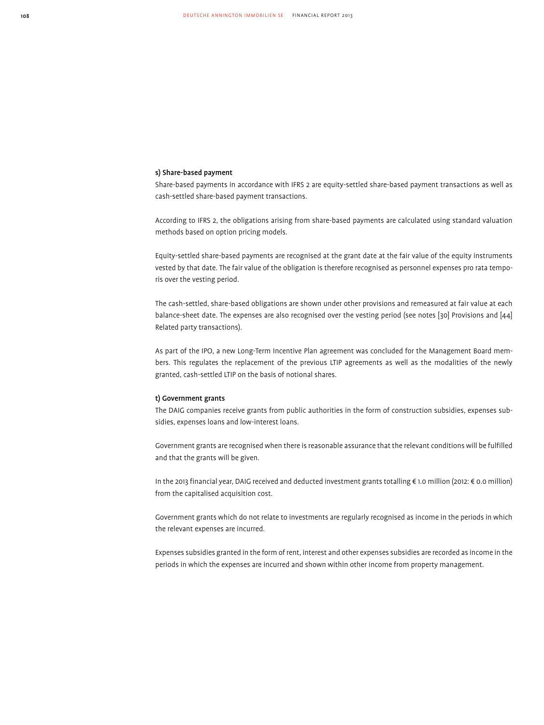#### s) Share-based payment

Share-based payments in accordance with IFRS 2 are equity-settled share-based payment transactions as well as cash-settled share-based payment transactions.

According to IFRS 2, the obligations arising from share-based payments are calculated using standard valuation methods based on option pricing models.

Equity-settled share-based payments are recognised at the grant date at the fair value of the equity instruments vested by that date. The fair value of the obligation is therefore recognised as personnel expenses pro rata temporis over the vesting period.

The cash-settled, share-based obligations are shown under other provisions and remeasured at fair value at each balance-sheet date. The expenses are also recognised over the vesting period (see notes [30] Provisions and [44] Related party transactions).

As part of the IPO, a new Long-Term Incentive Plan agreement was concluded for the Management Board members. This regulates the replacement of the previous LTIP agreements as well as the modalities of the newly granted, cash-settled LTIP on the basis of notional shares.

#### t) Government grants

The DAIG companies receive grants from public authorities in the form of construction subsidies, expenses subsidies, expenses loans and low-interest loans.

Government grants are recognised when there is reasonable assurance that the relevant conditions will be fulfilled and that the grants will be given.

In the 2013 financial year, DAIG received and deducted investment grants totalling € 1.0 million (2012: € 0.0 million) from the capitalised acquisition cost.

Government grants which do not relate to investments are regularly recognised as income in the periods in which the relevant expenses are incurred.

Expenses subsidies granted in the form of rent, interest and other expenses subsidies are recorded as income in the periods in which the expenses are incurred and shown within other income from property management.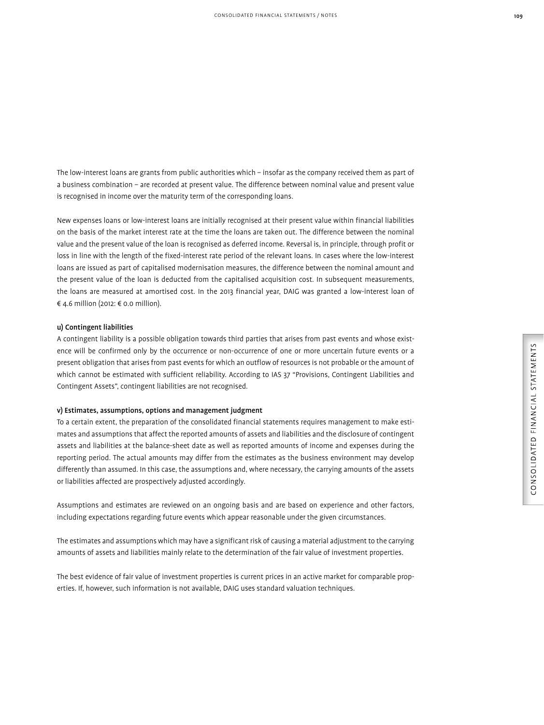The low-interest loans are grants from public authorities which – insofar as the company received them as part of a business combination – are recorded at present value. The difference between nominal value and present value is recognised in income over the maturity term of the corresponding loans.

New expenses loans or low-interest loans are initially recognised at their present value within financial liabilities on the basis of the market interest rate at the time the loans are taken out. The difference between the nominal value and the present value of the loan is recognised as deferred income. Reversal is, in principle, through profit or loss in line with the length of the fixed-interest rate period of the relevant loans. In cases where the low-interest loans are issued as part of capitalised modernisation measures, the difference between the nominal amount and the present value of the loan is deducted from the capitalised acquisition cost. In subsequent measurements, the loans are measured at amortised cost. In the 2013 financial year, DAIG was granted a low-interest loan of € 4.6 million (2012: € 0.0 million).

#### u) Contingent liabilities

A contingent liability is a possible obligation towards third parties that arises from past events and whose existence will be confirmed only by the occurrence or non-occurrence of one or more uncertain future events or a present obligation that arises from past events for which an outflow of resources is not probable or the amount of which cannot be estimated with sufficient reliability. According to IAS 37 "Provisions, Contingent Liabilities and Contingent Assets", contingent liabilities are not recognised.

#### v) Estimates, assumptions, options and management judgment

To a certain extent, the preparation of the consolidated financial statements requires management to make estimates and assumptions that affect the reported amounts of assets and liabilities and the disclosure of contingent assets and liabilities at the balance-sheet date as well as reported amounts of income and expenses during the reporting period. The actual amounts may differ from the estimates as the business environment may develop differently than assumed. In this case, the assumptions and, where necessary, the carrying amounts of the assets or liabilities affected are prospectively adjusted accordingly.

Assumptions and estimates are reviewed on an ongoing basis and are based on experience and other factors, including expectations regarding future events which appear reasonable under the given circumstances.

The estimates and assumptions which may have a significant risk of causing a material adjustment to the carrying amounts of assets and liabilities mainly relate to the determination of the fair value of investment properties.

The best evidence of fair value of investment properties is current prices in an active market for comparable properties. If, however, such information is not available, DAIG uses standard valuation techniques.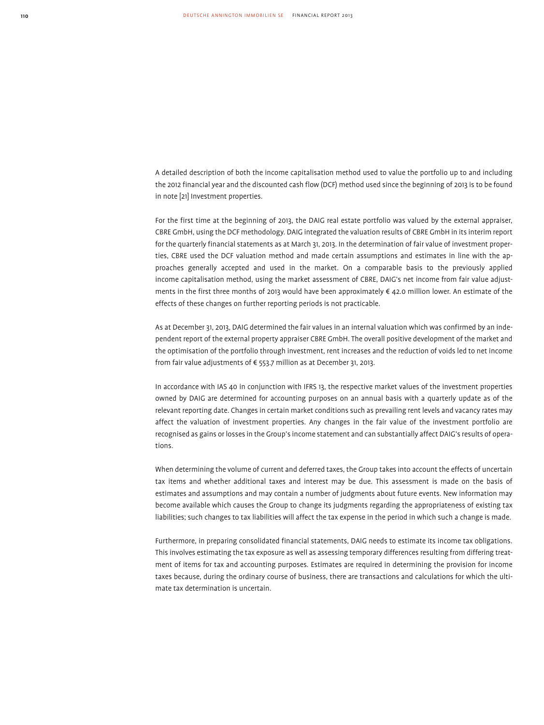A detailed description of both the income capitalisation method used to value the portfolio up to and including the 2012 financial year and the discounted cash flow (DCF) method used since the beginning of 2013 is to be found in note [21] Investment properties.

For the first time at the beginning of 2013, the DAIG real estate portfolio was valued by the external appraiser, CBRE GmbH, using the DCF methodology. DAIG integrated the valuation results of CBRE GmbH in its interim report for the quarterly financial statements as at March 31, 2013. In the determination of fair value of investment properties, CBRE used the DCF valuation method and made certain assumptions and estimates in line with the approaches generally accepted and used in the market. On a comparable basis to the previously applied income capitalisation method, using the market assessment of CBRE, DAIG's net income from fair value adjustments in the first three months of 2013 would have been approximately € 42.0 million lower. An estimate of the effects of these changes on further reporting periods is not practicable.

As at December 31, 2013, DAIG determined the fair values in an internal valuation which was confirmed by an independent report of the external property appraiser CBRE GmbH. The overall positive development of the market and the optimisation of the portfolio through investment, rent increases and the reduction of voids led to net income from fair value adjustments of € 553.7 million as at December 31, 2013.

In accordance with IAS 40 in conjunction with IFRS 13, the respective market values of the investment properties owned by DAIG are determined for accounting purposes on an annual basis with a quarterly update as of the relevant reporting date. Changes in certain market conditions such as prevailing rent levels and vacancy rates may affect the valuation of investment properties. Any changes in the fair value of the investment portfolio are recognised as gains or losses in the Group's income statement and can substantially affect DAIG's results of operations.

When determining the volume of current and deferred taxes, the Group takes into account the effects of uncertain tax items and whether additional taxes and interest may be due. This assessment is made on the basis of estimates and assumptions and may contain a number of judgments about future events. New information may become available which causes the Group to change its judgments regarding the appropriateness of existing tax liabilities; such changes to tax liabilities will affect the tax expense in the period in which such a change is made.

Furthermore, in preparing consolidated financial statements, DAIG needs to estimate its income tax obligations. This involves estimating the tax exposure as well as assessing temporary differences resulting from differing treatment of items for tax and accounting purposes. Estimates are required in determining the provision for income taxes because, during the ordinary course of business, there are transactions and calculations for which the ultimate tax determination is uncertain.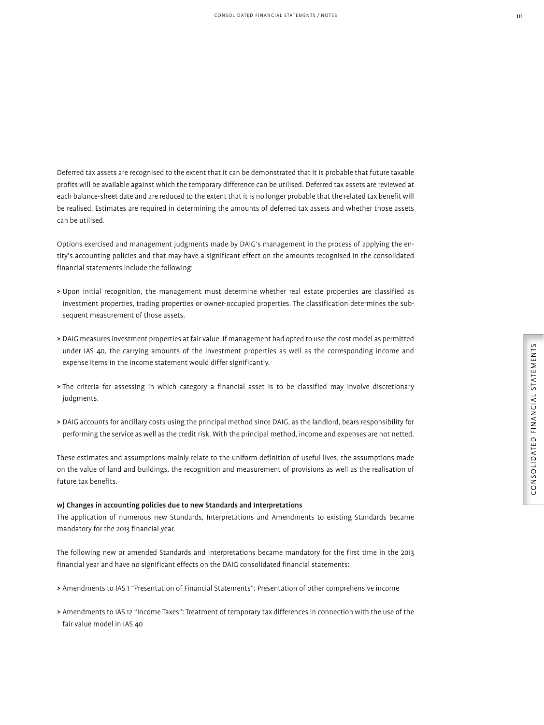Deferred tax assets are recognised to the extent that it can be demonstrated that it is probable that future taxable profits will be available against which the temporary difference can be utilised. Deferred tax assets are reviewed at each balance-sheet date and are reduced to the extent that it is no longer probable that the related tax benefit will be realised. Estimates are required in determining the amounts of deferred tax assets and whether those assets can be utilised.

Options exercised and management judgments made by DAIG's management in the process of applying the entity's accounting policies and that may have a significant effect on the amounts recognised in the consolidated financial statements include the following:

- > Upon initial recognition, the management must determine whether real estate properties are classified as investment properties, trading properties or owner-occupied properties. The classification determines the subsequent measurement of those assets.
- > DAIG measures investment properties at fair value. If management had opted to use the cost model as permitted under IAS 40, the carrying amounts of the investment properties as well as the corresponding income and expense items in the income statement would differ significantly.
- > The criteria for assessing in which category a financial asset is to be classified may involve discretionary judgments.
- > DAIG accounts for ancillary costs using the principal method since DAIG, as the landlord, bears responsibility for performing the service as well as the credit risk. With the principal method, income and expenses are not netted.

These estimates and assumptions mainly relate to the uniform definition of useful lives, the assumptions made on the value of land and buildings, the recognition and measurement of provisions as well as the realisation of future tax benefits.

#### w) Changes in accounting policies due to new Standards and Interpretations

The application of numerous new Standards, Interpretations and Amendments to existing Standards became mandatory for the 2013 financial year.

The following new or amended Standards and Interpretations became mandatory for the first time in the 2013 financial year and have no significant effects on the DAIG consolidated financial statements:

- > Amendments to IAS 1 "Presentation of Financial Statements": Presentation of other comprehensive income
- > Amendments to IAS 12 "Income Taxes": Treatment of temporary tax differences in connection with the use of the fair value model in IAS 40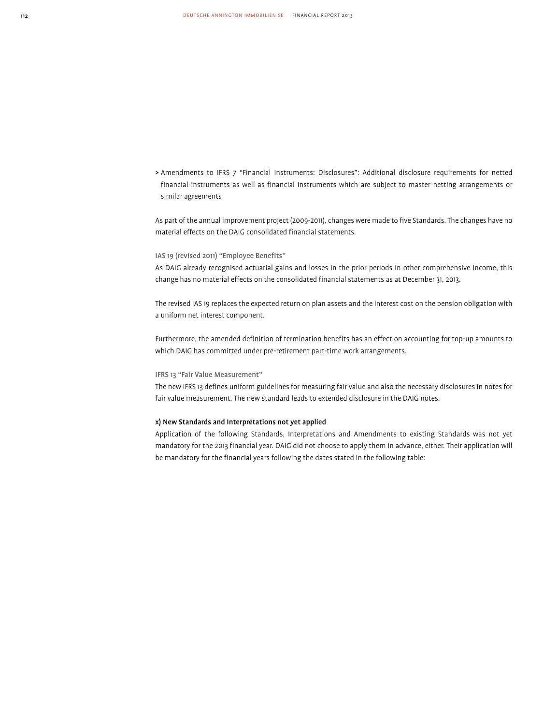> Amendments to IFRS 7 "Financial Instruments: Disclosures": Additional disclosure requirements for netted financial instruments as well as financial instruments which are subject to master netting arrangements or similar agreements

As part of the annual improvement project (2009-2011), changes were made to five Standards. The changes have no material effects on the DAIG consolidated financial statements.

#### IAS 19 (revised 2011) "Employee Benefits"

As DAIG already recognised actuarial gains and losses in the prior periods in other comprehensive income, this change has no material effects on the consolidated financial statements as at December 31, 2013.

The revised IAS 19 replaces the expected return on plan assets and the interest cost on the pension obligation with a uniform net interest component.

Furthermore, the amended definition of termination benefits has an effect on accounting for top-up amounts to which DAIG has committed under pre-retirement part-time work arrangements.

#### IFRS 13 "Fair Value Measurement"

The new IFRS 13 defines uniform guidelines for measuring fair value and also the necessary disclosures in notes for fair value measurement. The new standard leads to extended disclosure in the DAIG notes.

#### x) New Standards and Interpretations not yet applied

Application of the following Standards, Interpretations and Amendments to existing Standards was not yet mandatory for the 2013 financial year. DAIG did not choose to apply them in advance, either. Their application will be mandatory for the financial years following the dates stated in the following table: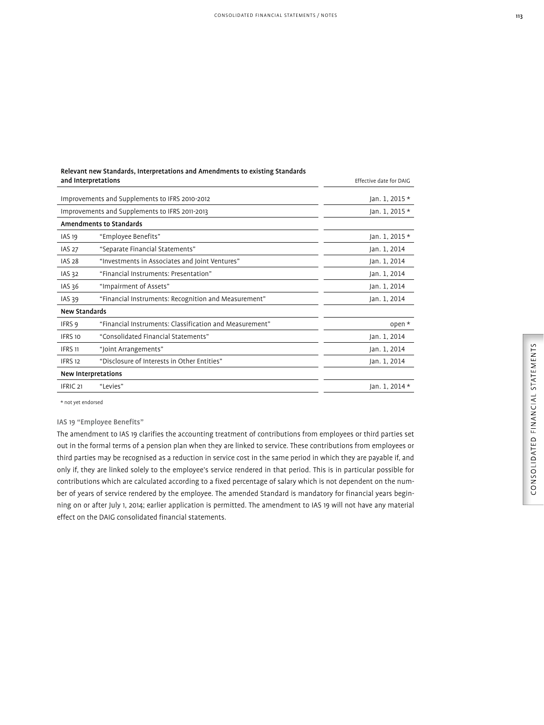#### Relevant new Standards, Interpretations and Amendments to existing Standards and Interpretations **Effective date for DAIG Effective date for DAIG Effective date for DAIG**

|                      | Improvements and Supplements to IFRS 2010-2012          | Jan. 1, 2015 * |
|----------------------|---------------------------------------------------------|----------------|
|                      | Improvements and Supplements to IFRS 2011-2013          | Jan. 1, 2015 * |
|                      | <b>Amendments to Standards</b>                          |                |
| <b>IAS 19</b>        | "Employee Benefits"                                     | Jan. 1, 2015 * |
| <b>IAS 27</b>        | "Separate Financial Statements"                         | Jan. 1, 2014   |
| <b>IAS 28</b>        | "Investments in Associates and Joint Ventures"          | Jan. 1, 2014   |
| <b>IAS 32</b>        | "Financial Instruments: Presentation"                   | Jan. 1, 2014   |
| IAS 36               | "Impairment of Assets"                                  | Jan. 1, 2014   |
| IAS 39               | "Financial Instruments: Recognition and Measurement"    | Jan. 1, 2014   |
| <b>New Standards</b> |                                                         |                |
| IFRS 9               | "Financial Instruments: Classification and Measurement" | open $*$       |
| IFRS 10              | "Consolidated Financial Statements"                     | Jan. 1, 2014   |
| <b>IFRS 11</b>       | "Joint Arrangements"                                    | Jan. 1, 2014   |
| IFRS <sub>12</sub>   | "Disclosure of Interests in Other Entities"             | Jan. 1, 2014   |
|                      | New Interpretations                                     |                |
| IFRIC <sub>21</sub>  | "Levies"                                                | Jan. 1, 2014 * |
|                      |                                                         |                |

\* not yet endorsed

IAS 19 "Employee Benefits"

The amendment to IAS 19 clarifies the accounting treatment of contributions from employees or third parties set out in the formal terms of a pension plan when they are linked to service. These contributions from employees or third parties may be recognised as a reduction in service cost in the same period in which they are payable if, and only if, they are linked solely to the employee's service rendered in that period. This is in particular possible for contributions which are calculated according to a fixed percentage of salary which is not dependent on the number of years of service rendered by the employee. The amended Standard is mandatory for financial years beginning on or after July 1, 2014; earlier application is permitted. The amendment to IAS 19 will not have any material effect on the DAIG consolidated financial statements.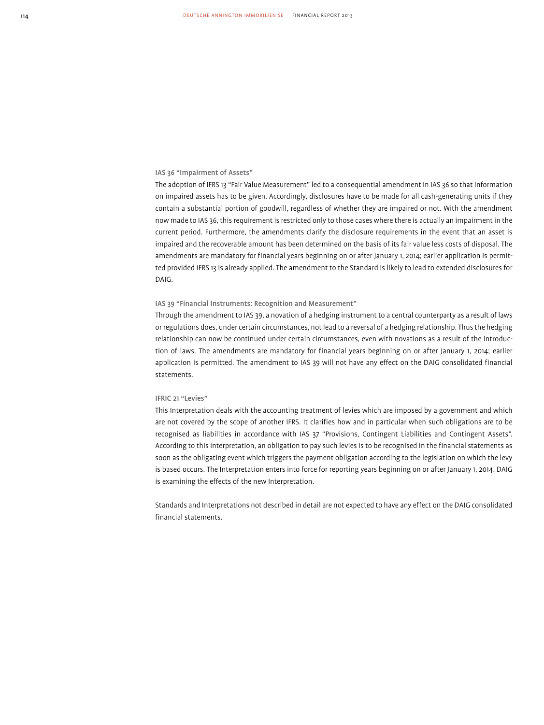#### IAS 36 "Impairment of Assets"

The adoption of IFRS 13 "Fair Value Measurement" led to a consequential amendment in IAS 36 so that information on impaired assets has to be given. Accordingly, disclosures have to be made for all cash-generating units if they contain a substantial portion of goodwill, regardless of whether they are impaired or not. With the amendment now made to IAS 36, this requirement is restricted only to those cases where there is actually an impairment in the current period. Furthermore, the amendments clarify the disclosure requirements in the event that an asset is impaired and the recoverable amount has been determined on the basis of its fair value less costs of disposal. The amendments are mandatory for financial years beginning on or after January 1, 2014; earlier application is permitted provided IFRS 13 is already applied. The amendment to the Standard is likely to lead to extended disclosures for DAIG.

#### IAS 39 "Financial Instruments: Recognition and Measurement"

Through the amendment to IAS 39, a novation of a hedging instrument to a central counterparty as a result of laws or regulations does, under certain circumstances, not lead to a reversal of a hedging relationship. Thus the hedging relationship can now be continued under certain circumstances, even with novations as a result of the introduction of laws. The amendments are mandatory for financial years beginning on or after January 1, 2014; earlier application is permitted. The amendment to IAS 39 will not have any effect on the DAIG consolidated financial statements.

#### IFRIC 21 "Levies"

This Interpretation deals with the accounting treatment of levies which are imposed by a government and which are not covered by the scope of another IFRS. It clarifies how and in particular when such obligations are to be recognised as liabilities in accordance with IAS 37 "Provisions, Contingent Liabilities and Contingent Assets". According to this interpretation, an obligation to pay such levies is to be recognised in the financial statements as soon as the obligating event which triggers the payment obligation according to the legislation on which the levy is based occurs. The Interpretation enters into force for reporting years beginning on or after January 1, 2014. DAIG is examining the effects of the new Interpretation.

Standards and Interpretations not described in detail are not expected to have any effect on the DAIG consolidated financial statements.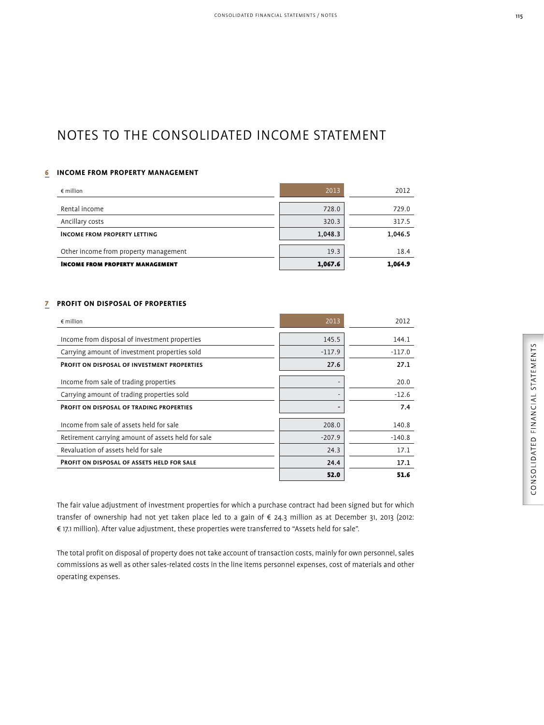### NOTES TO THE CONSOLIDATED INCOME STATEMENT

#### 6 **INCOME FROM PROPERTY MANAGEMENT**

| $\epsilon$ million                     | 2013    | 2012    |
|----------------------------------------|---------|---------|
|                                        |         |         |
| Rental income                          | 728.0   | 729.0   |
| Ancillary costs                        | 320.3   | 317.5   |
| <b>INCOME FROM PROPERTY LETTING</b>    | 1,048.3 | 1,046.5 |
|                                        |         |         |
| Other income from property management  | 19.3    | 18.4    |
| <b>INCOME FROM PROPERTY MANAGEMENT</b> | 1,067.6 | 1,064.9 |

#### 7 **PROFIT ON DISPOSAL OF PROPERTIES**

| $\epsilon$ million                                 | 2013     | 2012     |
|----------------------------------------------------|----------|----------|
| Income from disposal of investment properties      | 145.5    | 144.1    |
| Carrying amount of investment properties sold      | $-117.9$ | $-117.0$ |
| <b>PROFIT ON DISPOSAL OF INVESTMENT PROPERTIES</b> | 27.6     | 27.1     |
| Income from sale of trading properties             |          | 20.0     |
| Carrying amount of trading properties sold         |          | $-12.6$  |
| <b>PROFIT ON DISPOSAL OF TRADING PROPERTIES</b>    |          | 7.4      |
| Income from sale of assets held for sale           | 208.0    | 140.8    |
| Retirement carrying amount of assets held for sale | $-207.9$ | $-140.8$ |
| Revaluation of assets held for sale                | 24.3     | 17.1     |
| <b>PROFIT ON DISPOSAL OF ASSETS HELD FOR SALE</b>  | 24.4     | 17.1     |
|                                                    | 52.0     | 51.6     |

The fair value adjustment of investment properties for which a purchase contract had been signed but for which transfer of ownership had not yet taken place led to a gain of € 24.3 million as at December 31, 2013 (2012: € 17.1 million). After value adjustment, these properties were transferred to "Assets held for sale".

The total profit on disposal of property does not take account of transaction costs, mainly for own personnel, sales commissions as well as other sales-related costs in the line items personnel expenses, cost of materials and other operating expenses.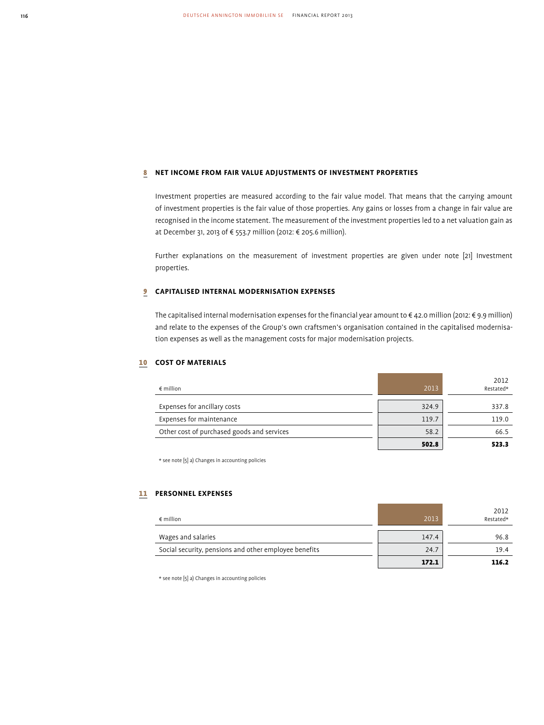#### 8 **NET INCOME FROM FAIR VALUE ADJUSTMENTS OF INVESTMENT PROPERTIES**

Investment properties are measured according to the fair value model. That means that the carrying amount of investment properties is the fair value of those properties. Any gains or losses from a change in fair value are recognised in the income statement. The measurement of the investment properties led to a net valuation gain as at December 31, 2013 of € 553.7 million (2012: € 205.6 million).

Further explanations on the measurement of investment properties are given under note [21] Investment properties.

#### 9 **CAPITALISED INTERNAL MODERNISATION EXPENSES**

The capitalised internal modernisation expenses for the financial year amount to € 42.0 million (2012: € 9.9 million) and relate to the expenses of the Group's own craftsmen's organisation contained in the capitalised modernisation expenses as well as the management costs for major modernisation projects.

#### 10 **COST OF MATERIALS**

| $\epsilon$ million                         | 2013  | 2012<br>Restated* |
|--------------------------------------------|-------|-------------------|
|                                            |       |                   |
| Expenses for ancillary costs               | 324.9 | 337.8             |
| Expenses for maintenance                   | 119.7 | 119.0             |
| Other cost of purchased goods and services | 58.2  | 66.5              |
|                                            | 502.8 | 523.3             |

\* see note [5] a) Changes in accounting policies

#### 11 **PERSONNEL EXPENSES**

| $\epsilon$ million                                    | 2013  | 2012<br>Restated* |
|-------------------------------------------------------|-------|-------------------|
| Wages and salaries                                    | 147.4 | 96.8              |
| Social security, pensions and other employee benefits | 24.7  | 19.4              |
|                                                       | 172.1 | 116.2             |

\* see note [5] a) Changes in accounting policies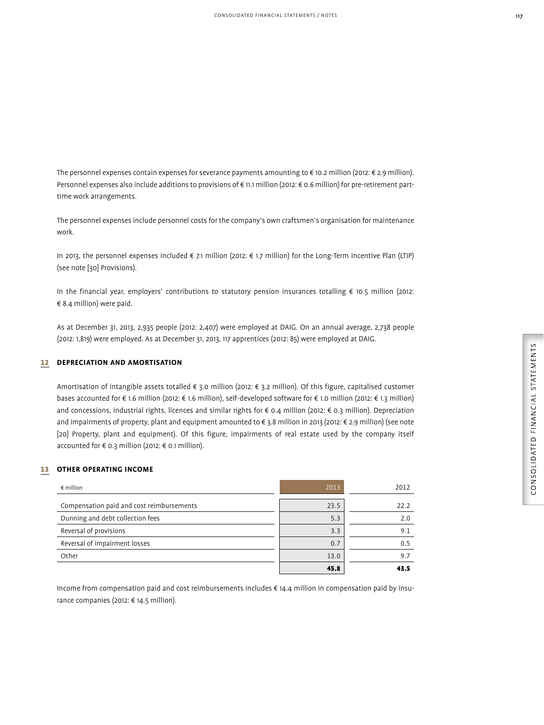The personnel expenses contain expenses for severance payments amounting to € 10.2 million (2012: € 2.9 million). Personnel expenses also include additions to provisions of € 11.1 million (2012: € 0.6 million) for pre-retirement parttime work arrangements.

The personnel expenses include personnel costs for the company's own craftsmen's organisation for maintenance work.

In 2013, the personnel expenses included € 7.1 million (2012: € 1.7 million) for the Long-Term Incentive Plan (LTIP) (see note [30] Provisions).

In the financial year, employers' contributions to statutory pension insurances totalling € 10.5 million (2012: € 8.4 million) were paid.

As at December 31, 2013, 2,935 people (2012: 2,407) were employed at DAIG. On an annual average, 2,738 people (2012: 1,819) were employed. As at December 31, 2013, 117 apprentices (2012: 85) were employed at DAIG.

#### 12 **DEPRECIATION AND AMORTISATION**

Amortisation of intangible assets totalled € 3.0 million (2012: € 3.2 million). Of this figure, capitalised customer bases accounted for € 1.6 million (2012: € 1.6 million), self-developed software for € 1.0 million (2012: € 1.3 million) and concessions, industrial rights, licences and similar rights for € 0.4 million (2012: € 0.3 million). Depreciation and impairments of property, plant and equipment amounted to € 3.8 million in 2013 (2012: € 2.9 million) (see note [20] Property, plant and equipment). Of this figure, impairments of real estate used by the company itself accounted for € 0.3 million (2012: € 0.1 million).

#### 13 **OTHER OPERATING INCOME**

| $\epsilon$ million                        | 2013 | 2012 |
|-------------------------------------------|------|------|
| Compensation paid and cost reimbursements | 23.5 | 22.2 |
| Dunning and debt collection fees          | 5.3  | 2.0  |
| Reversal of provisions                    | 3.3  | 9.1  |
| Reversal of impairment losses             | 0.7  | 0.5  |
| Other                                     | 13.0 | 9.7  |
|                                           | 45.8 | 43.5 |

Income from compensation paid and cost reimbursements includes € 14.4 million in compensation paid by insurance companies (2012: € 14.5 million).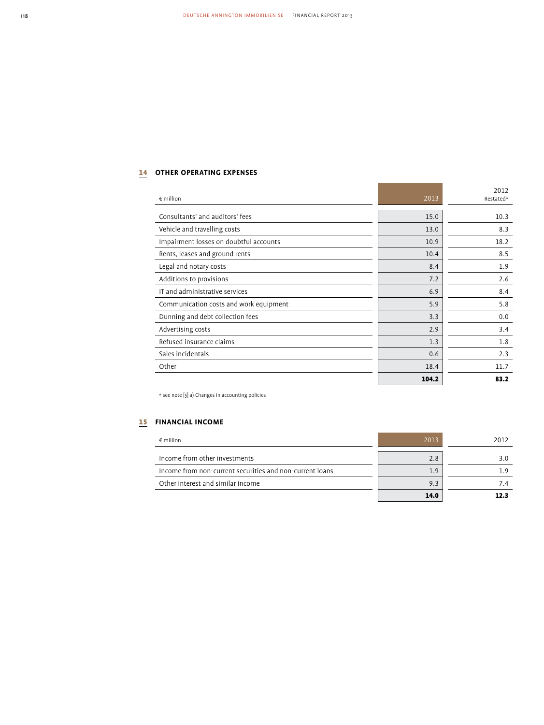### 14 **OTHER OPERATING EXPENSES**

| $\epsilon$ million                     | 2013  | 2012<br>Restated* |
|----------------------------------------|-------|-------------------|
| Consultants' and auditors' fees        | 15.0  | 10.3              |
| Vehicle and travelling costs           | 13.0  | 8.3               |
| Impairment losses on doubtful accounts | 10.9  | 18.2              |
| Rents, leases and ground rents         | 10.4  | 8.5               |
| Legal and notary costs                 | 8.4   | 1.9               |
| Additions to provisions                | 7.2   | 2.6               |
| IT and administrative services         | 6.9   | 8.4               |
| Communication costs and work equipment | 5.9   | 5.8               |
| Dunning and debt collection fees       | 3.3   | 0.0               |
| Advertising costs                      | 2.9   | 3.4               |
| Refused insurance claims               | 1.3   | 1.8               |
| Sales incidentals                      | 0.6   | 2.3               |
| Other                                  | 18.4  | 11.7              |
|                                        | 104.2 | 83.2              |

 $\star$  see note [5] a) Changes in accounting policies

### 15 **FINANCIAL INCOME**

| $\epsilon$ million                                       | 2013 | 2012 |
|----------------------------------------------------------|------|------|
| Income from other investments                            | 2.8  | 3.O  |
| Income from non-current securities and non-current loans | 1.9  |      |
| Other interest and similar income                        | 9.3  |      |
|                                                          | 14.0 |      |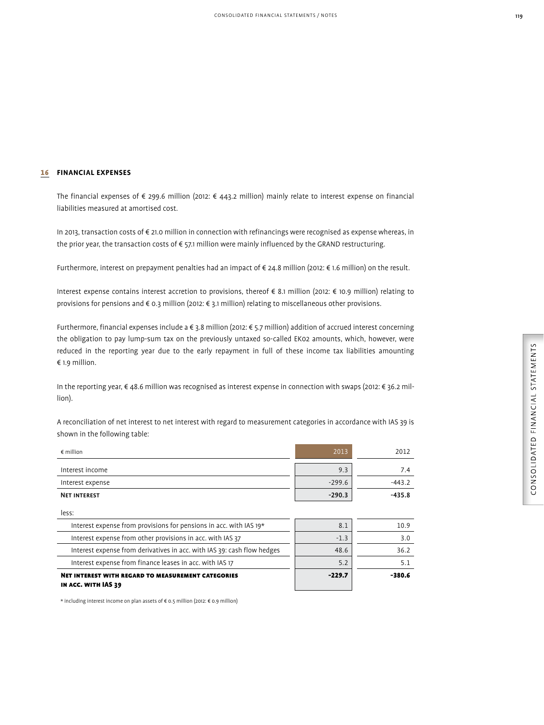#### 16 **FINANCIAL EXPENSES**

The financial expenses of € 299.6 million (2012: € 443.2 million) mainly relate to interest expense on financial liabilities measured at amortised cost.

In 2013, transaction costs of € 21.0 million in connection with refinancings were recognised as expense whereas, in the prior year, the transaction costs of  $\epsilon$  57.1 million were mainly influenced by the GRAND restructuring.

Furthermore, interest on prepayment penalties had an impact of € 24.8 million (2012: € 1.6 million) on the result.

Interest expense contains interest accretion to provisions, thereof € 8.1 million (2012: € 10.9 million) relating to provisions for pensions and € 0.3 million (2012: € 3.1 million) relating to miscellaneous other provisions.

Furthermore, financial expenses include a € 3.8 million (2012: € 5.7 million) addition of accrued interest concerning the obligation to pay lump-sum tax on the previously untaxed so-called EK02 amounts, which, however, were reduced in the reporting year due to the early repayment in full of these income tax liabilities amounting € 1.9 million.

In the reporting year, € 48.6 million was recognised as interest expense in connection with swaps (2012: € 36.2 million).

A reconciliation of net interest to net interest with regard to measurement categories in accordance with IAS 39 is shown in the following table:

| $\epsilon$ million  | 2013     | 2012     |
|---------------------|----------|----------|
| Interest income     | 9.3      | 7.4      |
| Interest expense    | $-299.6$ | $-443.2$ |
| <b>NET INTEREST</b> | $-290.3$ | $-435.8$ |
| less:               |          |          |

| IN ACC. WITH IAS 39                                                     |          |        |
|-------------------------------------------------------------------------|----------|--------|
| <b>NET INTEREST WITH REGARD TO MEASUREMENT CATEGORIES</b>               | $-229.7$ | -380.6 |
| Interest expense from finance leases in acc. with IAS 17                | 5.2      |        |
| Interest expense from derivatives in acc. with IAS 39: cash flow hedges | 48.6     | 36.2   |
| Interest expense from other provisions in acc. with IAS 37              | $-1.3$   | 3.0    |
| Interest expense from provisions for pensions in acc. with IAS 19*      | 8.1      | 10.9   |

\* including interest income on plan assets of € 0.5 million (2012: € 0.9 million)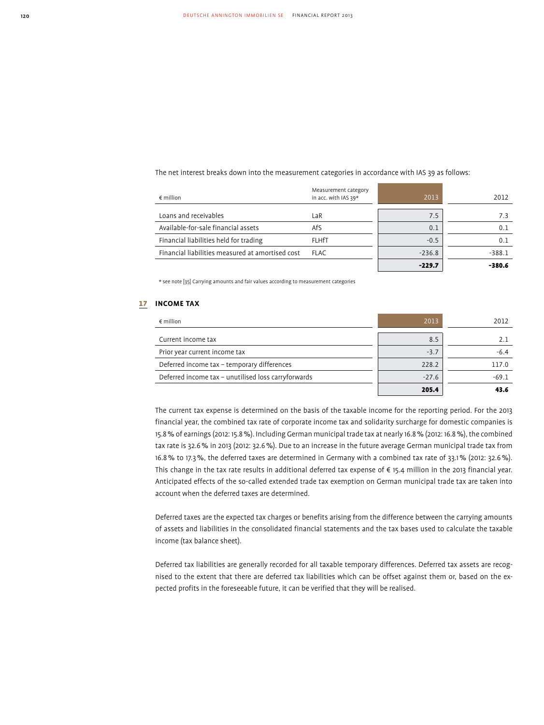The net interest breaks down into the measurement categories in accordance with IAS 39 as follows:

| $\epsilon$ million                               | Measurement category<br>in acc. with IAS 39* | 2013     | 2012     |
|--------------------------------------------------|----------------------------------------------|----------|----------|
| Loans and receivables                            | LaR                                          | 7.5      | 7.3      |
| Available-for-sale financial assets              | AfS                                          | 0.1      | 0.1      |
| Financial liabilities held for trading           | <b>FLHfT</b>                                 | $-0.5$   | 0.1      |
| Financial liabilities measured at amortised cost | <b>FLAC</b>                                  | $-236.8$ | $-388.1$ |
|                                                  |                                              | $-229.7$ | -380.6   |

\* see note [35] Carrying amounts and fair values according to measurement categories

#### 17 **INCOME TAX**

| $\epsilon$ million                                  | 2013    | 2012    |
|-----------------------------------------------------|---------|---------|
| Current income tax                                  | 8.5     | 2.1     |
| Prior year current income tax                       | $-3.7$  | $-6.4$  |
| Deferred income tax - temporary differences         | 228.2   | 117.0   |
| Deferred income tax - unutilised loss carryforwards | $-27.6$ | $-69.1$ |
|                                                     | 205.4   |         |

The current tax expense is determined on the basis of the taxable income for the reporting period. For the 2013 financial year, the combined tax rate of corporate income tax and solidarity surcharge for domestic companies is 15.8 % of earnings (2012: 15.8 %). Including German municipal trade tax at nearly 16.8 % (2012: 16.8 %), the combined tax rate is 32.6 % in 2013 (2012: 32.6 %). Due to an increase in the future average German municipal trade tax from 16.8 % to 17.3 %, the deferred taxes are determined in Germany with a combined tax rate of 33.1 % (2012: 32.6 %). This change in the tax rate results in additional deferred tax expense of € 15.4 million in the 2013 financial year. Anticipated effects of the so-called extended trade tax exemption on German municipal trade tax are taken into account when the deferred taxes are determined.

Deferred taxes are the expected tax charges or benefits arising from the difference between the carrying amounts of assets and liabilities in the consolidated financial statements and the tax bases used to calculate the taxable income (tax balance sheet).

Deferred tax liabilities are generally recorded for all taxable temporary differences. Deferred tax assets are recognised to the extent that there are deferred tax liabilities which can be offset against them or, based on the expected profits in the foreseeable future, it can be verified that they will be realised.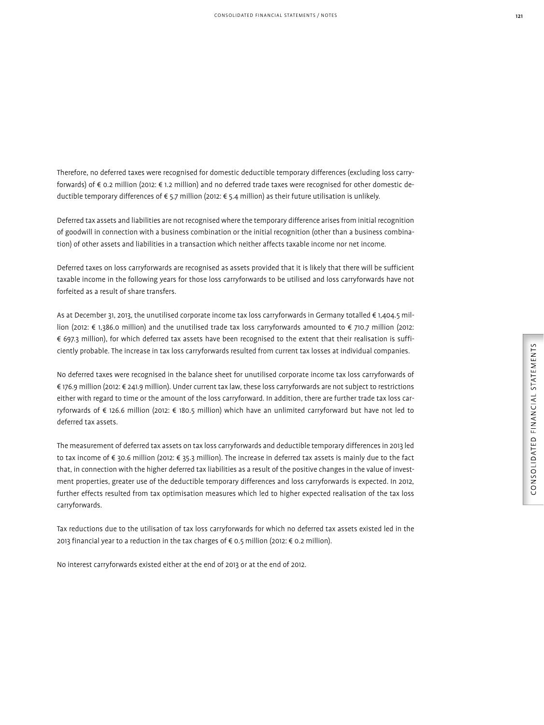Therefore, no deferred taxes were recognised for domestic deductible temporary differences (excluding loss carryforwards) of € 0.2 million (2012: € 1.2 million) and no deferred trade taxes were recognised for other domestic deductible temporary differences of € 5.7 million (2012: € 5.4 million) as their future utilisation is unlikely.

Deferred tax assets and liabilities are not recognised where the temporary difference arises from initial recognition of goodwill in connection with a business combination or the initial recognition (other than a business combination) of other assets and liabilities in a transaction which neither affects taxable income nor net income.

Deferred taxes on loss carryforwards are recognised as assets provided that it is likely that there will be sufficient taxable income in the following years for those loss carryforwards to be utilised and loss carryforwards have not forfeited as a result of share transfers.

As at December 31, 2013, the unutilised corporate income tax loss carryforwards in Germany totalled € 1,404.5 million (2012: € 1,386.0 million) and the unutilised trade tax loss carryforwards amounted to € 710.7 million (2012: € 697.3 million), for which deferred tax assets have been recognised to the extent that their realisation is sufficiently probable. The increase in tax loss carryforwards resulted from current tax losses at individual companies.

No deferred taxes were recognised in the balance sheet for unutilised corporate income tax loss carryforwards of € 176.9 million (2012: € 241.9 million). Under current tax law, these loss carryforwards are not subject to restrictions either with regard to time or the amount of the loss carryforward. In addition, there are further trade tax loss carryforwards of € 126.6 million (2012: € 180.5 million) which have an unlimited carryforward but have not led to deferred tax assets.

The measurement of deferred tax assets on tax loss carryforwards and deductible temporary differences in 2013 led to tax income of € 30.6 million (2012: € 35.3 million). The increase in deferred tax assets is mainly due to the fact that, in connection with the higher deferred tax liabilities as a result of the positive changes in the value of investment properties, greater use of the deductible temporary differences and loss carryforwards is expected. In 2012, further effects resulted from tax optimisation measures which led to higher expected realisation of the tax loss carry forwards.

Tax reductions due to the utilisation of tax loss carryforwards for which no deferred tax assets existed led in the 2013 financial year to a reduction in the tax charges of € 0.5 million (2012: € 0.2 million).

No interest carryforwards existed either at the end of 2013 or at the end of 2012.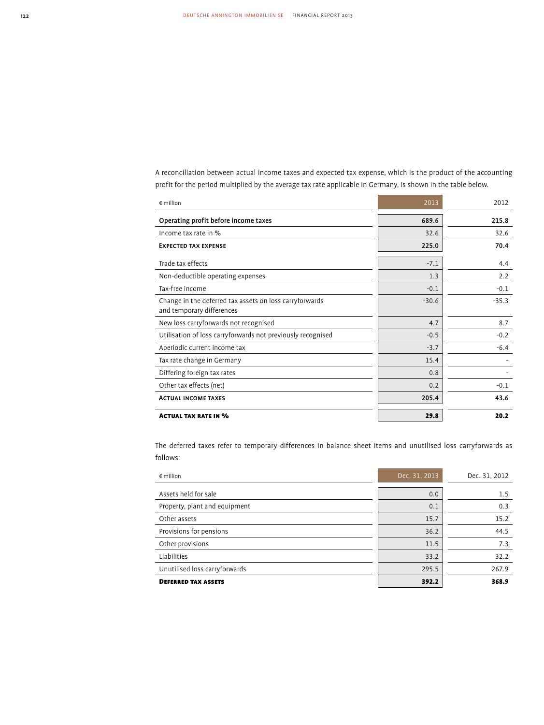A reconciliation between actual income taxes and expected tax expense, which is the product of the accounting profit for the period multiplied by the average tax rate applicable in Germany, is shown in the table below.

÷

| $\notin$ million                                                                     | 2013    | 2012    |
|--------------------------------------------------------------------------------------|---------|---------|
| Operating profit before income taxes                                                 | 689.6   | 215.8   |
| Income tax rate in %                                                                 | 32.6    | 32.6    |
| <b>EXPECTED TAX EXPENSE</b>                                                          | 225.0   | 70.4    |
| Trade tax effects                                                                    | $-7.1$  | 4.4     |
| Non-deductible operating expenses                                                    | 1.3     | 2.2     |
| Tax-free income                                                                      | $-0.1$  | $-0.1$  |
| Change in the deferred tax assets on loss carryforwards<br>and temporary differences | $-30.6$ | $-35.3$ |
| New loss carryforwards not recognised                                                | 4.7     | 8.7     |
| Utilisation of loss carryforwards not previously recognised                          | $-0.5$  | $-0.2$  |
| Aperiodic current income tax                                                         | $-3.7$  | $-6.4$  |
| Tax rate change in Germany                                                           | 15.4    |         |
| Differing foreign tax rates                                                          | 0.8     |         |
| Other tax effects (net)                                                              | 0.2     | $-0.1$  |
| <b>ACTUAL INCOME TAXES</b>                                                           | 205.4   | 43.6    |
| <b>ACTUAL TAX RATE IN %</b>                                                          | 29.8    | 20.2    |

The deferred taxes refer to temporary differences in balance sheet items and unutilised loss carryforwards as follows:

| $\epsilon$ million            | Dec. 31, 2013 | Dec. 31, 2012 |
|-------------------------------|---------------|---------------|
| Assets held for sale          | 0.0           | 1.5           |
| Property, plant and equipment | 0.1           | 0.3           |
| Other assets                  | 15.7          | 15.2          |
| Provisions for pensions       | 36.2          | 44.5          |
| Other provisions              | 11.5          | 7.3           |
| Liabilities                   | 33.2          | 32.2          |
| Unutilised loss carryforwards | 295.5         | 267.9         |
| <b>DEFERRED TAX ASSETS</b>    | 392.2         | 368.9         |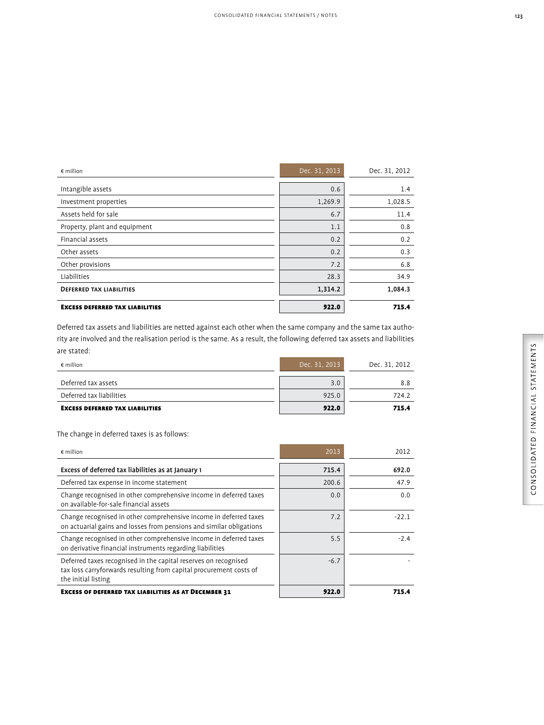€ million Dec. 31, 2013 Dec. 31, 2012

Intangible assets  $0.6$  |  $0.714$ Investment properties 1,269.9 1,028.5

| Assets held for sale                                                                                                     | 6.7           | 11.4          |  |
|--------------------------------------------------------------------------------------------------------------------------|---------------|---------------|--|
| Property, plant and equipment                                                                                            | 1.1           | 0.8           |  |
| Financial assets                                                                                                         | 0.2           | 0.2           |  |
| Other assets                                                                                                             | 0.2           | 0.3           |  |
| Other provisions                                                                                                         | 7.2           | 6.8           |  |
| Liabilities                                                                                                              | 28.3          | 34.9          |  |
| <b>DEFERRED TAX LIABILITIES</b>                                                                                          | 1,314.2       | 1,084.3       |  |
| <b>EXCESS DEFERRED TAX LIABILITIES</b>                                                                                   | 922.0         | 715.4         |  |
| Deferred tax assets and liabilities are netted against each other when the same company and the same tax autho-          |               |               |  |
| rity are involved and the realisation period is the same. As a result, the following deferred tax assets and liabilities |               |               |  |
| are stated:                                                                                                              |               |               |  |
| $\notin$ million                                                                                                         | Dec. 31, 2013 | Dec. 31, 2012 |  |
| Deferred tax assets                                                                                                      | 3.0           | 8.8           |  |
| Deferred tax liabilities                                                                                                 | 925.0         | 724.2         |  |
| <b>EXCESS DEFERRED TAX LIABILITIES</b>                                                                                   | 922.0         | 715.4         |  |
| The change in deferred taxes is as follows:                                                                              |               |               |  |
| $\epsilon$ million                                                                                                       | 2013          | 2012          |  |
| Excess of deferred tax liabilities as at January 1                                                                       | 715.4         | 692.0         |  |
| Deferred tax expense in income statement                                                                                 | 200.6         | 47.9          |  |
| Change recognized in other comprehensive income in deferred taxes                                                        | $\cap$ $\cap$ | $\cap$ $\cap$ |  |

| The change in deferred taxes is as follows: |  |  |
|---------------------------------------------|--|--|

| $\notin$ million                                                                                                                                             | 2013   | 2012    |
|--------------------------------------------------------------------------------------------------------------------------------------------------------------|--------|---------|
| Excess of deferred tax liabilities as at January 1                                                                                                           | 715.4  | 692.0   |
| Deferred tax expense in income statement                                                                                                                     | 200.6  | 47.9    |
| Change recognised in other comprehensive income in deferred taxes<br>on available-for-sale financial assets                                                  | 0.0    | 0.0     |
| Change recognised in other comprehensive income in deferred taxes<br>on actuarial gains and losses from pensions and similar obligations                     | 7.2    | $-22.1$ |
| Change recognised in other comprehensive income in deferred taxes<br>on derivative financial instruments regarding liabilities                               | 5.5    | $-2.4$  |
| Deferred taxes recognised in the capital reserves on recognised<br>tax loss carryforwards resulting from capital procurement costs of<br>the initial listing | $-6.7$ |         |
| <b>EXCESS OF DEFERRED TAX LIABILITIES AS AT DECEMBER 31</b>                                                                                                  | 922.0  | 715 A   |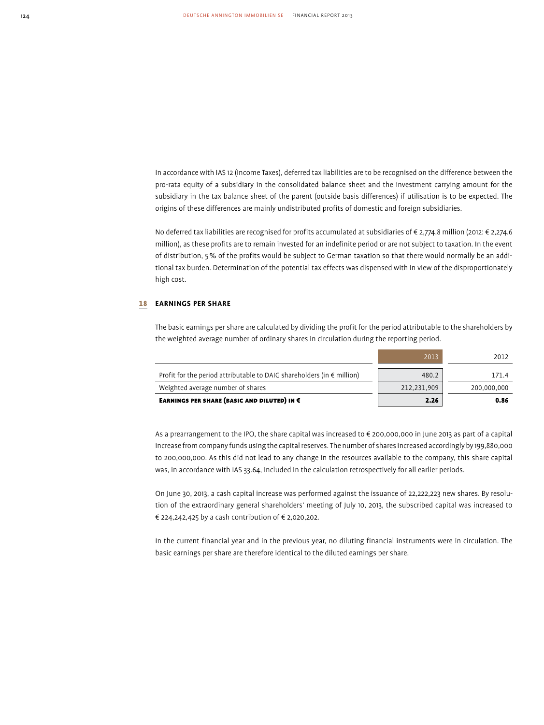In accordance with IAS 12 (Income Taxes), deferred tax liabilities are to be recognised on the difference between the pro-rata equity of a subsidiary in the consolidated balance sheet and the investment carrying amount for the subsidiary in the tax balance sheet of the parent (outside basis differences) if utilisation is to be expected. The origins of these differences are mainly undistributed profits of domestic and foreign subsidiaries.

No deferred tax liabilities are recognised for profits accumulated at subsidiaries of € 2,774.8 million (2012: € 2,274.6 million), as these profits are to remain invested for an indefinite period or are not subject to taxation. In the event of distribution, 5 % of the profits would be subject to German taxation so that there would normally be an additional tax burden. Determination of the potential tax effects was dispensed with in view of the disproportionately high cost.

#### 18 **EARNINGS PER SHARE**

The basic earnings per share are calculated by dividing the profit for the period attributable to the shareholders by the weighted average number of ordinary shares in circulation during the reporting period.

| EARNINGS PER SHARE (BASIC AND DILUTED) IN $\epsilon$                            | 2.26        | 0.86        |
|---------------------------------------------------------------------------------|-------------|-------------|
| Weighted average number of shares                                               | 212,231,909 | 200.000.000 |
| Profit for the period attributable to DAIG shareholders (in $\epsilon$ million) | 480.2       | 171.4       |
|                                                                                 | 2013        | 2012        |

As a prearrangement to the IPO, the share capital was increased to € 200,000,000 in June 2013 as part of a capital increase from company funds using the capital reserves. The number of shares increased accordingly by 199,880,000 to 200,000,000. As this did not lead to any change in the resources available to the company, this share capital was, in accordance with IAS 33.64, included in the calculation retrospectively for all earlier periods.

On June 30, 2013, a cash capital increase was performed against the issuance of 22,222,223 new shares. By resolution of the extraordinary general shareholders' meeting of July 10, 2013, the subscribed capital was increased to € 224,242,425 by a cash contribution of € 2,020,202.

In the current financial year and in the previous year, no diluting financial instruments were in circulation. The basic earnings per share are therefore identical to the diluted earnings per share.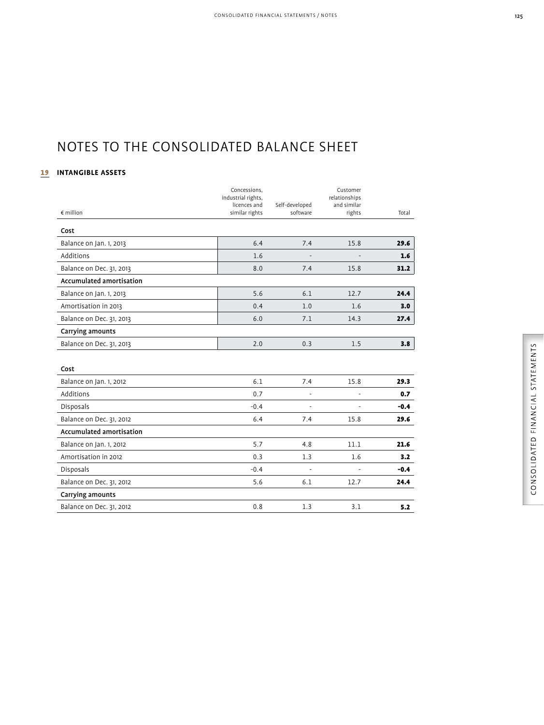### NOTES TO THE CONSOLIDATED BALANCE SHEET

### 19 **INTANGIBLE ASSETS**

|                          | Concessions,<br>industrial rights, |                | Customer<br>relationships |        |
|--------------------------|------------------------------------|----------------|---------------------------|--------|
|                          | licences and                       | Self-developed | and similar               |        |
| $\notin$ million         | similar rights                     | software       | rights                    | Total  |
| Cost                     |                                    |                |                           |        |
| Balance on Jan. 1, 2013  | 6.4                                | 7.4            | 15.8                      | 29.6   |
| Additions                | 1.6                                |                |                           | 1.6    |
| Balance on Dec. 31, 2013 | 8.0                                | 7.4            | 15.8                      | 31.2   |
| Accumulated amortisation |                                    |                |                           |        |
| Balance on Jan. 1, 2013  | 5.6                                | 6.1            | 12.7                      | 24.4   |
| Amortisation in 2013     | 0.4                                | 1.0            | 1.6                       | 3.0    |
| Balance on Dec. 31, 2013 | 6.0                                | 7.1            | 14.3                      | 27.4   |
| Carrying amounts         |                                    |                |                           |        |
| Balance on Dec. 31, 2013 | 2.0                                | 0.3            | 1.5                       | 3.8    |
|                          |                                    |                |                           |        |
| Cost                     |                                    |                |                           |        |
| Balance on Jan. 1, 2012  | 6.1                                | 7.4            | 15.8                      | 29.3   |
| Additions                | 0.7                                | $\overline{a}$ |                           | 0.7    |
| <b>Disposals</b>         | $-0.4$                             | $\overline{a}$ | $\overline{a}$            | $-0.4$ |
| Balance on Dec. 31, 2012 | 6.4                                | 7.4            | 15.8                      | 29.6   |
| Accumulated amortisation |                                    |                |                           |        |
| Balance on Jan. 1, 2012  | 5.7                                | 4.8            | 11.1                      | 21.6   |
| Amortisation in 2012     | 0.3                                | 1.3            | 1.6                       | 3.2    |
| Disposals                | $-0.4$                             | $\overline{a}$ |                           | $-0.4$ |
| Balance on Dec. 31, 2012 | 5.6                                | 6.1            | 12.7                      | 24.4   |
| Carrying amounts         |                                    |                |                           |        |
| Balance on Dec. 31, 2012 | 0.8                                | 1.3            | 3.1                       | 5.2    |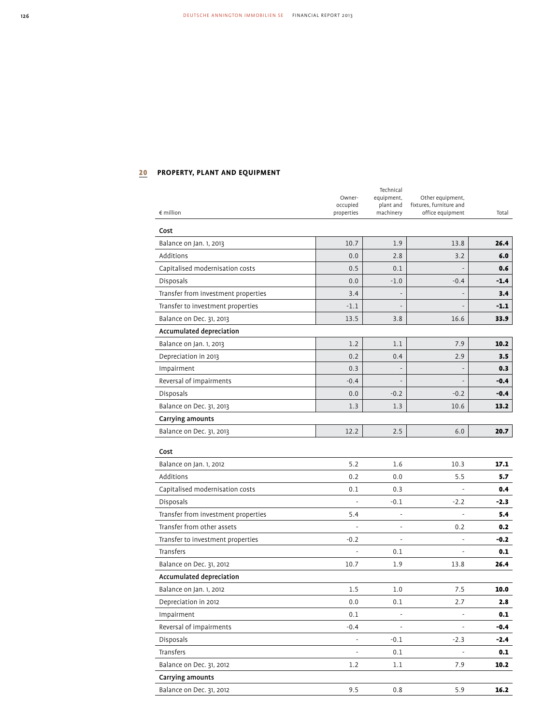# 20 **PROPERTY, PLANT AND EQUIPMENT**

|                                     | Owner-                   | Technical<br>equipment,  | Other equipment,                            |        |
|-------------------------------------|--------------------------|--------------------------|---------------------------------------------|--------|
|                                     | occupied                 | plant and                | fixtures, furniture and<br>office equipment |        |
| $\epsilon$ million                  | properties               | machinery                |                                             | Total  |
| Cost                                |                          |                          |                                             |        |
| Balance on Jan. 1, 2013             | 10.7                     | 1.9                      | 13.8                                        | 26.4   |
| Additions                           | 0.0                      | 2.8                      | 3.2                                         | 6.0    |
| Capitalised modernisation costs     | 0.5                      | 0.1                      |                                             | 0.6    |
| <b>Disposals</b>                    | 0.0                      | $-1.0$                   | $-0.4$                                      | $-1.4$ |
| Transfer from investment properties | 3.4                      |                          |                                             | 3.4    |
| Transfer to investment properties   | $-1.1$                   | $\overline{a}$           | $\overline{\phantom{a}}$                    | $-1.1$ |
| Balance on Dec. 31, 2013            | 13.5                     | 3.8                      | 16.6                                        | 33.9   |
| Accumulated depreciation            |                          |                          |                                             |        |
| Balance on Jan. 1, 2013             | 1.2                      | 1.1                      | 7.9                                         | 10.2   |
| Depreciation in 2013                | 0.2                      | 0.4                      | 2.9                                         | 3.5    |
| Impairment                          | 0.3                      | $\overline{\phantom{a}}$ |                                             | 0.3    |
| Reversal of impairments             | $-0.4$                   |                          |                                             | $-0.4$ |
| Disposals                           | 0.0                      | $-0.2$                   | $-0.2$                                      | $-0.4$ |
| Balance on Dec. 31, 2013            | 1.3                      | 1.3                      | 10.6                                        | 13.2   |
| Carrying amounts                    |                          |                          |                                             |        |
| Balance on Dec. 31, 2013            | 12.2                     | 2.5                      | 6.0                                         | 20.7   |
| Cost                                |                          |                          |                                             |        |
| Balance on Jan. 1, 2012             | 5.2                      | 1.6                      | 10.3                                        | 17.1   |
| Additions                           | 0.2                      | 0.0                      | 5.5                                         | 5.7    |
| Capitalised modernisation costs     | 0.1                      | 0.3                      |                                             | 0.4    |
| Disposals                           | $\frac{1}{2}$            | $-0.1$                   | $-2.2$                                      | $-2.3$ |
| Transfer from investment properties | 5.4                      | $\overline{\phantom{a}}$ |                                             | 5.4    |
| Transfer from other assets          |                          | $\overline{a}$           | 0.2                                         | 0.2    |
| Transfer to investment properties   | $-0.2$                   | $\overline{a}$           | ÷,                                          | $-0.2$ |
| Transfers                           |                          | 0.1                      |                                             | 0.1    |
| Balance on Dec. 31, 2012            | 10.7                     | 1.9                      | 13.8                                        | 26.4   |
| Accumulated depreciation            |                          |                          |                                             |        |
| Balance on Jan. 1, 2012             | 1.5                      | 1.0                      | 7.5                                         | 10.0   |
| Depreciation in 2012                | 0.0                      | 0.1                      | 2.7                                         | 2.8    |
| Impairment                          | 0.1                      | $\Box$                   | $\blacksquare$                              | 0.1    |
| Reversal of impairments             | $-0.4$                   | $\overline{\phantom{a}}$ | $\frac{1}{2}$                               | $-0.4$ |
| Disposals                           | $\overline{\phantom{a}}$ | $-0.1$                   | $-2.3$                                      | $-2.4$ |
| Transfers                           | $\overline{a}$           | 0.1                      |                                             | 0.1    |
| Balance on Dec. 31, 2012            | 1.2                      | 1.1                      | 7.9                                         | 10.2   |
| Carrying amounts                    |                          |                          |                                             |        |
| Balance on Dec. 31, 2012            | 9.5                      | 0.8                      | 5.9                                         | 16.2   |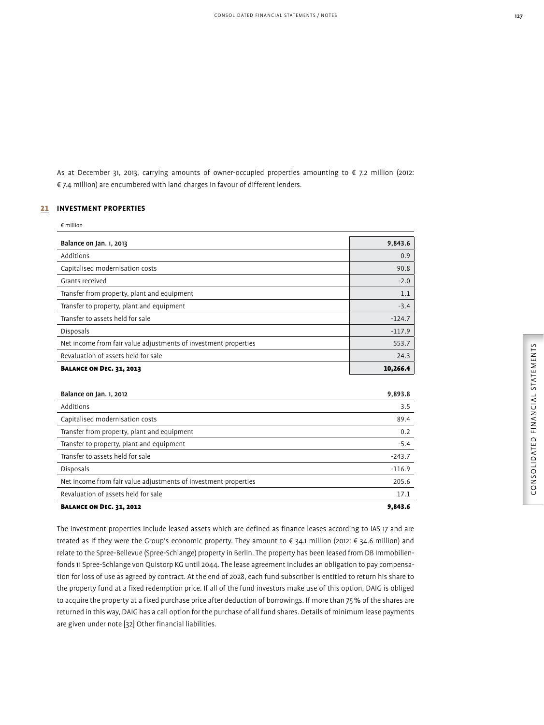As at December 31, 2013, carrying amounts of owner-occupied properties amounting to € 7.2 million (2012: € 7.4 million) are encumbered with land charges in favour of different lenders.

### 21 **INVESTMENT PROPERTIES**

| $\notin$ million                                                |          |
|-----------------------------------------------------------------|----------|
| Balance on Jan. 1, 2013                                         | 9,843.6  |
| Additions                                                       | 0.9      |
| Capitalised modernisation costs                                 | 90.8     |
| Grants received                                                 | $-2.0$   |
| Transfer from property, plant and equipment                     | 1.1      |
| Transfer to property, plant and equipment                       | $-3.4$   |
| Transfer to assets held for sale                                | $-124.7$ |
| <b>Disposals</b>                                                | $-117.9$ |
| Net income from fair value adjustments of investment properties | 553.7    |
| Revaluation of assets held for sale                             | 24.3     |
| <b>BALANCE ON DEC. 31, 2013</b>                                 | 10,266.4 |

| Balance on Jan. 1, 2012                                         | 9.893.8  |
|-----------------------------------------------------------------|----------|
| Additions                                                       | 3.5      |
| Capitalised modernisation costs                                 | 89.4     |
| Transfer from property, plant and equipment                     | 0.2      |
| Transfer to property, plant and equipment                       | $-5.4$   |
| Transfer to assets held for sale                                | $-243.7$ |
| Disposals                                                       | $-116.9$ |
| Net income from fair value adjustments of investment properties | 205.6    |
| Revaluation of assets held for sale                             | 17.1     |
| <b>BALANCE ON DEC. 31, 2012</b>                                 | 9.843.6  |

The investment properties include leased assets which are defined as finance leases according to IAS 17 and are treated as if they were the Group's economic property. They amount to € 34.1 million (2012: € 34.6 million) and relate to the Spree-Bellevue (Spree-Schlange) property in Berlin. The property has been leased from DB Immobilienfonds 11 Spree-Schlange von Quistorp KG until 2044. The lease agreement includes an obligation to pay compensation for loss of use as agreed by contract. At the end of 2028, each fund subscriber is entitled to return his share to the property fund at a fixed redemption price. If all of the fund investors make use of this option, DAIG is obliged to acquire the property at a fixed purchase price after deduction of borrowings. If more than 75 % of the shares are returned in this way, DAIG has a call option for the purchase of all fund shares. Details of minimum lease payments are given under note [32] Other financial liabilities.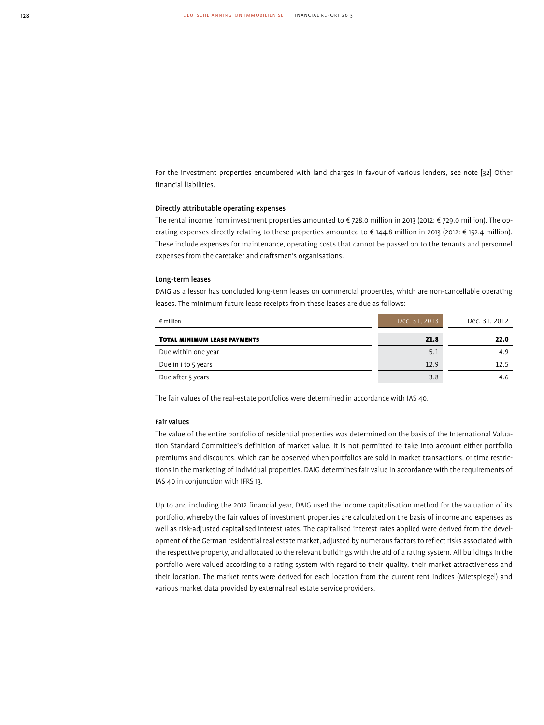For the investment properties encumbered with land charges in favour of various lenders, see note [32] Other financial liabilities.

### Directly attributable operating expenses

The rental income from investment properties amounted to € 728.0 million in 2013 (2012: € 729.0 million). The operating expenses directly relating to these properties amounted to € 144.8 million in 2013 (2012: € 152.4 million). These include expenses for maintenance, operating costs that cannot be passed on to the tenants and personnel expenses from the caretaker and craftsmen's organisations.

### Long-term leases

DAIG as a lessor has concluded long-term leases on commercial properties, which are non-cancellable operating leases. The minimum future lease receipts from these leases are due as follows:

| $\epsilon$ million                  | Dec. 31, 2013 | Dec. 31, 2012 |
|-------------------------------------|---------------|---------------|
| <b>TOTAL MINIMUM LEASE PAYMENTS</b> | 21.8          | 22.0          |
| Due within one year                 | 5.1           | 4.9           |
| Due in 1 to 5 years                 | 12.9          | 12.5          |
| Due after 5 years                   | 3.8           | 4.6           |

The fair values of the real-estate portfolios were determined in accordance with IAS 40.

### Fair values

The value of the entire portfolio of residential properties was determined on the basis of the International Valuation Standard Committee's definition of market value. It is not permitted to take into account either portfolio premiums and discounts, which can be observed when portfolios are sold in market transactions, or time restrictions in the marketing of individual properties. DAIG determines fair value in accordance with the requirements of IAS 40 in conjunction with IFRS 13.

Up to and including the 2012 financial year, DAIG used the income capitalisation method for the valuation of its portfolio, whereby the fair values of investment properties are calculated on the basis of income and expenses as well as risk-adjusted capitalised interest rates. The capitalised interest rates applied were derived from the development of the German residential real estate market, adjusted by numerous factors to reflect risks associated with the respective property, and allocated to the relevant buildings with the aid of a rating system. All buildings in the portfolio were valued according to a rating system with regard to their quality, their market attractiveness and their location. The market rents were derived for each location from the current rent indices (Mietspiegel) and various market data provided by external real estate service providers.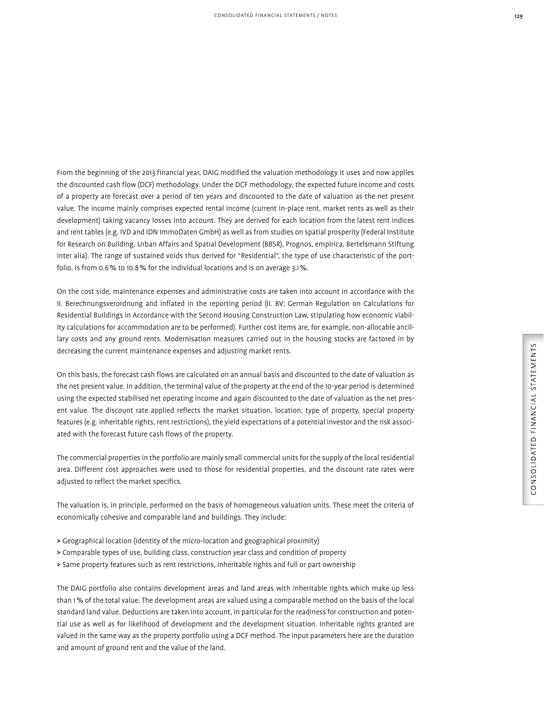From the beginning of the 2013 financial year, DAIG modified the valuation methodology it uses and now applies the discounted cash flow (DCF) methodology. Under the DCF methodology, the expected future income and costs of a property are forecast over a period of ten years and discounted to the date of valuation as the net present value. The income mainly comprises expected rental income (current in-place rent, market rents as well as their development) taking vacancy losses into account. They are derived for each location from the latest rent indices and rent tables (e.g. IVD and IDN ImmoDaten GmbH) as well as from studies on spatial prosperity (Federal Institute for Research on Building, Urban Affairs and Spatial Development (BBSR), Prognos, empirica, Bertelsmann Stiftung inter alia). The range of sustained voids thus derived for "Residential", the type of use characteristic of the portfolio, is from 0.6 % to 10.8 % for the individual locations and is on average 3.1 %.

On the cost side, maintenance expenses and administrative costs are taken into account in accordance with the II. Berechnungsverordnung and inflated in the reporting period (II. BV; German Regulation on Calculations for Residential Buildings in Accordance with the Second Housing Construction Law, stipulating how economic viability calculations for accommodation are to be performed). Further cost items are, for example, non-allocable ancillary costs and any ground rents. Modernisation measures carried out in the housing stocks are factored in by decreasing the current maintenance expenses and adjusting market rents.

On this basis, the forecast cash flows are calculated on an annual basis and discounted to the date of valuation as the net present value. In addition, the terminal value of the property at the end of the 10-year period is determined using the expected stabilised net operating income and again discounted to the date of valuation as the net present value. The discount rate applied reflects the market situation, location, type of property, special property features (e.g. inheritable rights, rent restrictions), the yield expectations of a potential investor and the risk associated with the forecast future cash flows of the property.

The commercial properties in the portfolio are mainly small commercial units for the supply of the local residential area. Different cost approaches were used to those for residential properties, and the discount rate rates were adjusted to reflect the market specifics.

The valuation is, in principle, performed on the basis of homogeneous valuation units. These meet the criteria of economically cohesive and comparable land and buildings. They include:

- > Geographical location (identity of the micro-location and geographical proximity)
- > Comparable types of use, building class, construction year class and condition of property
- > Same property features such as rent restrictions, inheritable rights and full or part ownership

The DAIG portfolio also contains development areas and land areas with inheritable rights which make up less than 1 % of the total value. The development areas are valued using a comparable method on the basis of the local standard land value. Deductions are taken into account, in particular for the readiness for construction and potential use as well as for likelihood of development and the development situation. Inheritable rights granted are valued in the same way as the property portfolio using a DCF method. The input parameters here are the duration and amount of ground rent and the value of the land.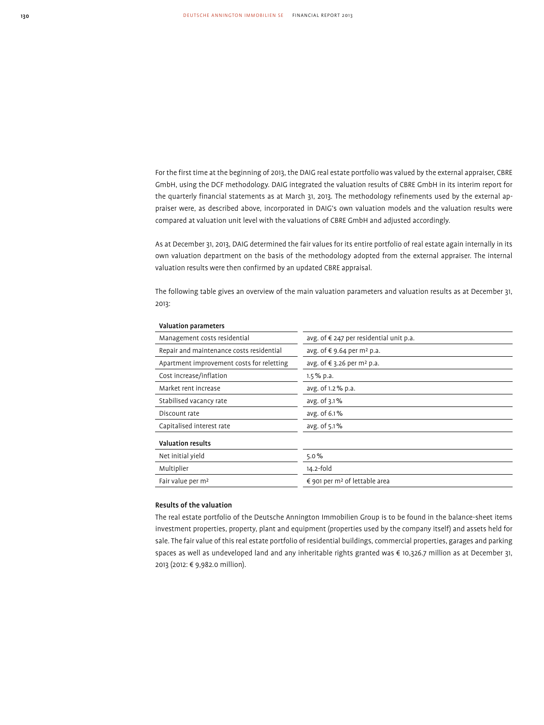For the first time at the beginning of 2013, the DAIG real estate portfolio was valued by the external appraiser, CBRE GmbH, using the DCF methodology. DAIG integrated the valuation results of CBRE GmbH in its interim report for the quarterly financial statements as at March 31, 2013. The methodology refinements used by the external appraiser were, as described above, incorporated in DAIG's own valuation models and the valuation results were compared at valuation unit level with the valuations of CBRE GmbH and adjusted accordingly.

As at December 31, 2013, DAIG determined the fair values for its entire portfolio of real estate again internally in its own valuation department on the basis of the methodology adopted from the external appraiser. The internal valuation results were then confirmed by an updated CBRE appraisal.

The following table gives an overview of the main valuation parameters and valuation results as at December 31, 2013:

| Management costs residential              | avg. of $\epsilon$ 247 per residential unit p.a. |
|-------------------------------------------|--------------------------------------------------|
| Repair and maintenance costs residential  | avg. of € 9.64 per m <sup>2</sup> p.a.           |
| Apartment improvement costs for reletting | avg. of € 3.26 per m <sup>2</sup> p.a.           |
| Cost increase/inflation                   | $1.5\%$ p.a.                                     |
| Market rent increase                      | avg. of 1.2 % p.a.                               |
| Stabilised vacancy rate                   | avg. of 3.1%                                     |
| Discount rate                             | avg. of 6.1%                                     |
| Capitalised interest rate                 | avg. of 5.1%                                     |
| <b>Valuation results</b>                  |                                                  |
| Net initial yield                         | 5.0%                                             |
| Multiplier                                | 14.2-fold                                        |
| Fair value per m <sup>2</sup>             | € 901 per m <sup>2</sup> of lettable area        |

### Valuation parameters

### Results of the valuation

The real estate portfolio of the Deutsche Annington Immobilien Group is to be found in the balance-sheet items investment properties, property, plant and equipment (properties used by the company itself) and assets held for sale. The fair value of this real estate portfolio of residential buildings, commercial properties, garages and parking spaces as well as undeveloped land and any inheritable rights granted was € 10,326.7 million as at December 31, 2013 (2012: € 9,982.0 million).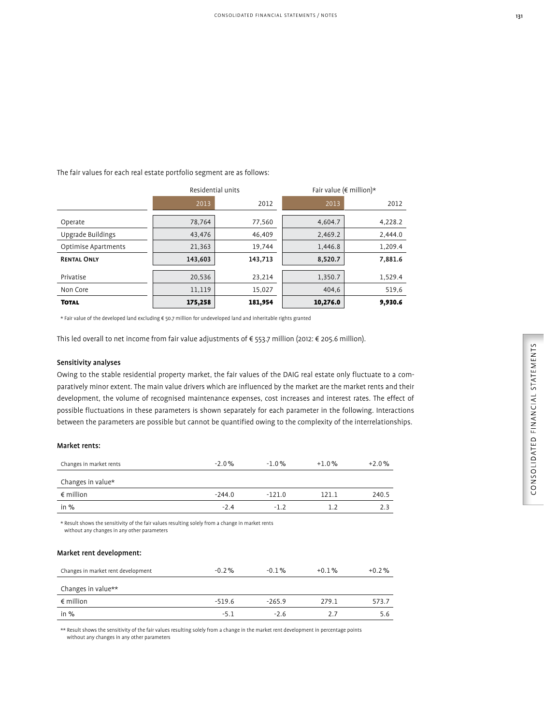The fair values for each real estate portfolio segment are as follows:

|                     | Residential units |         | Fair value ( $\epsilon$ million)* |         |
|---------------------|-------------------|---------|-----------------------------------|---------|
|                     | 2013              | 2012    | 2013                              | 2012    |
| Operate             | 78,764            | 77,560  | 4,604.7                           | 4,228.2 |
| Upgrade Buildings   | 43,476            | 46,409  | 2,469.2                           | 2,444.0 |
| Optimise Apartments | 21,363            | 19,744  | 1,446.8                           | 1,209.4 |
| <b>RENTAL ONLY</b>  | 143,603           | 143,713 | 8,520.7                           | 7,881.6 |
| Privatise           | 20,536            | 23,214  | 1,350.7                           | 1,529.4 |
| Non Core            | 11,119            | 15,027  | 404,6                             | 519,6   |
| <b>TOTAL</b>        | 175,258           | 181,954 | 10,276.0                          | 9,930.6 |

\* Fair value of the developed land excluding € 50.7 million for undeveloped land and inheritable rights granted

This led overall to net income from fair value adjustments of € 553.7 million (2012: € 205.6 million).

### Sensitivity analyses

Owing to the stable residential property market, the fair values of the DAIG real estate only fluctuate to a comparatively minor extent. The main value drivers which are influenced by the market are the market rents and their development, the volume of recognised maintenance expenses, cost increases and interest rates. The effect of possible fluctuations in these parameters is shown separately for each parameter in the following. Interactions between the parameters are possible but cannot be quantified owing to the complexity of the interrelationships.

### Market rents:

| Changes in market rents | $-2.0%$  | $-1.0%$  | $+1.0%$ | $+2.0%$ |
|-------------------------|----------|----------|---------|---------|
| Changes in value*       |          |          |         |         |
| $\epsilon$ million      | $-244.0$ | $-121.0$ | 121.1   | 240.5   |
| in %                    | $-2.4$   | $-12$    | 12      | 2.3     |
|                         |          |          |         |         |

\* Result shows the sensitivity of the fair values resulting solely from a change in market rents without any changes in any other parameters

### Market rent development:

| Changes in market rent development | $-0.2\%$ | $-0.1\%$ | $+0.1%$ | $+0.2\%$ |
|------------------------------------|----------|----------|---------|----------|
|                                    |          |          |         |          |
| Changes in value**                 |          |          |         |          |
| $\epsilon$ million                 | $-519.6$ | $-265.9$ | 279.1   | 573.7    |
| in $%$                             | $-5.1$   | $-2.6$   | 2.7     | 5.6      |

\*\* Result shows the sensitivity of the fair values resulting solely from a change in the market rent development in percentage points without any changes in any other parameters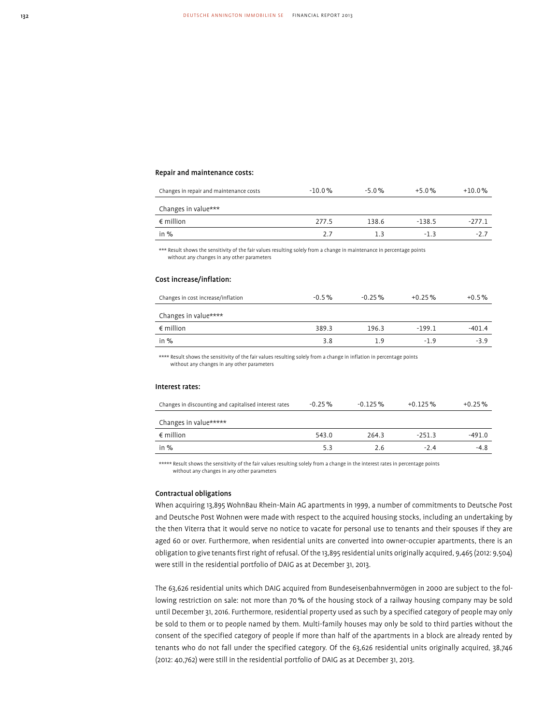### Repair and maintenance costs:

| Changes in repair and maintenance costs | $-10.0%$ | $-5.0%$ | $+5.0%$  | $+10.0%$ |
|-----------------------------------------|----------|---------|----------|----------|
| Changes in value***                     |          |         |          |          |
| $\epsilon$ million                      | 277.5    | 138.6   | $-138.5$ | $-277.1$ |
| in $%$                                  | 2.7      | 13      | $-1$ 3   | $-27$    |
|                                         |          |         |          |          |

\*\*\* Result shows the sensitivity of the fair values resulting solely from a change in maintenance in percentage points without any changes in any other parameters

#### Cost increase/inflation:

| Changes in cost increase/inflation | $-0.5%$ | $-0.25\%$ | $+0.25%$ | $+0.5%$  |
|------------------------------------|---------|-----------|----------|----------|
| Changes in value****               |         |           |          |          |
| $\epsilon$ million                 | 389.3   | 196.3     | $-199.1$ | $-401.4$ |
| in $%$                             | 3.8     | 1.9       | $-19$    | $-3.9$   |
|                                    |         |           |          |          |

\*\*\*\* Result shows the sensitivity of the fair values resulting solely from a change in inflation in percentage points without any changes in any other parameters

#### Interest rates:

| Changes in discounting and capitalised interest rates | $-0.25\%$ | $-0.125\%$ | $+0.125%$ | $+0.25\%$ |
|-------------------------------------------------------|-----------|------------|-----------|-----------|
| Changes in value*****                                 |           |            |           |           |
| $\epsilon$ million                                    | 543.0     | 264.3      | $-251.3$  | $-491.0$  |
| in $%$                                                | 5.3       | 2.6        | $-2.4$    | $-4.8$    |

\*\*\*\*\* Result shows the sensitivity of the fair values resulting solely from a change in the interest rates in percentage points without any changes in any other parameters

### Contractual obligations

When acquiring 13,895 WohnBau Rhein-Main AG apartments in 1999, a number of commitments to Deutsche Post and Deutsche Post Wohnen were made with respect to the acquired housing stocks, including an undertaking by the then Viterra that it would serve no notice to vacate for personal use to tenants and their spouses if they are aged 60 or over. Furthermore, when residential units are converted into owner-occupier apartments, there is an obligation to give tenants first right of refusal. Of the 13,895 residential units originally acquired, 9,465 (2012: 9,504) were still in the residential portfolio of DAIG as at December 31, 2013.

The 63,626 residential units which DAIG acquired from Bundeseisenbahnvermögen in 2000 are subject to the following restriction on sale: not more than 70 % of the housing stock of a railway housing company may be sold until December 31, 2016. Furthermore, residential property used as such by a specified category of people may only be sold to them or to people named by them. Multi-family houses may only be sold to third parties without the consent of the specified category of people if more than half of the apartments in a block are already rented by tenants who do not fall under the specified category. Of the 63,626 residential units originally acquired, 38,746 (2012: 40,762) were still in the residential portfolio of DAIG as at December 31, 2013.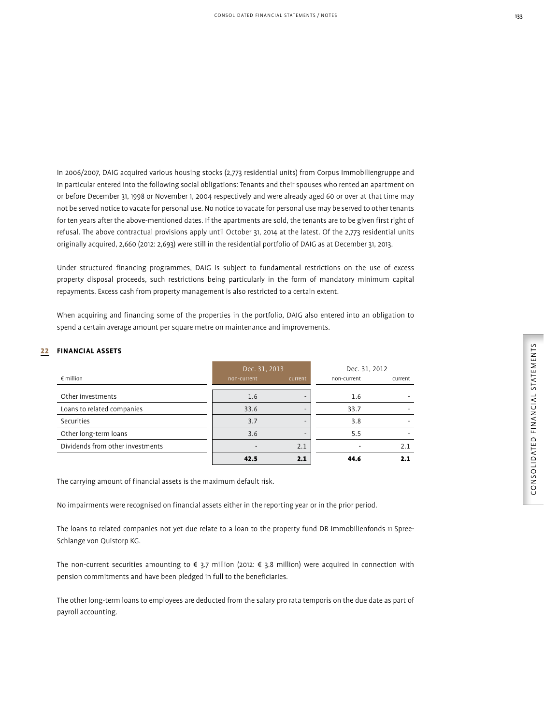In 2006/2007, DAIG acquired various housing stocks (2,773 residential units) from Corpus Immobiliengruppe and in particular entered into the following social obligations: Tenants and their spouses who rented an apartment on or before December 31, 1998 or November 1, 2004 respectively and were already aged 60 or over at that time may not be served notice to vacate for personal use. No notice to vacate for personal use may be served to other tenants for ten years after the above-mentioned dates. If the apartments are sold, the tenants are to be given first right of refusal. The above contractual provisions apply until October 31, 2014 at the latest. Of the 2,773 residential units originally acquired, 2,660 (2012: 2,693) were still in the residential portfolio of DAIG as at December 31, 2013.

Under structured financing programmes, DAIG is subject to fundamental restrictions on the use of excess property disposal proceeds, such restrictions being particularly in the form of mandatory minimum capital repayments. Excess cash from property management is also restricted to a certain extent.

When acquiring and financing some of the properties in the portfolio, DAIG also entered into an obligation to spend a certain average amount per square metre on maintenance and improvements.

### 22 **FINANCIAL ASSETS**

|                                  | Dec. 31, 2013 |         | Dec. 31, 2012 |         |
|----------------------------------|---------------|---------|---------------|---------|
| $\epsilon$ million               | non-current   | current | non-current   | current |
| Other investments                | 1.6           |         | 1.6           |         |
| Loans to related companies       | 33.6          |         | 33.7          |         |
| Securities                       | 3.7           |         | 3.8           |         |
| Other long-term loans            | 3.6           |         | 5.5           |         |
| Dividends from other investments |               | 2.1     |               | 2.1     |
|                                  | 42.5          |         | 44.6          |         |

The carrying amount of financial assets is the maximum default risk.

No impairments were recognised on financial assets either in the reporting year or in the prior period.

The loans to related companies not yet due relate to a loan to the property fund DB Immobilienfonds 11 Spree-Schlange von Quistorp KG.

The non-current securities amounting to € 3.7 million (2012: € 3.8 million) were acquired in connection with pension commitments and have been pledged in full to the beneficiaries.

The other long-term loans to employees are deducted from the salary pro rata temporis on the due date as part of payroll accounting.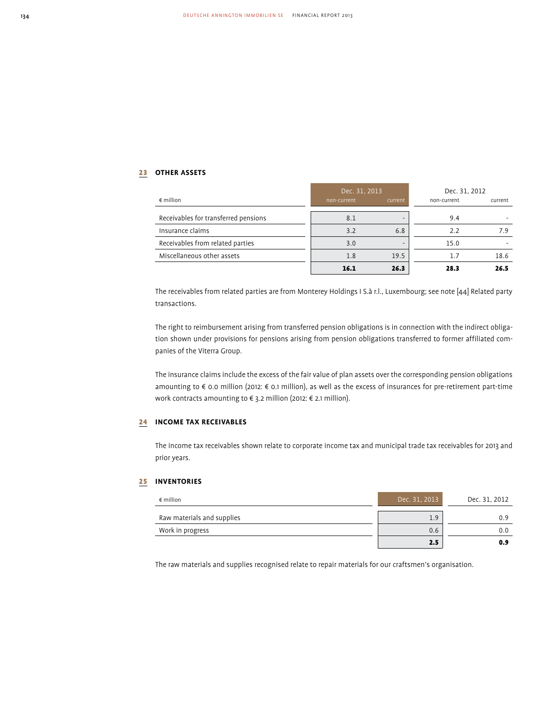# 23 **OTHER ASSETS**

|                                      | Dec. 31, 2013 |         | Dec. 31, 2012 |         |
|--------------------------------------|---------------|---------|---------------|---------|
| $\epsilon$ million                   | non-current   | current | non-current   | current |
| Receivables for transferred pensions | 8.1           |         | 9.4           |         |
| Insurance claims                     | 3.2           | 6.8     | 2.2           | 7.9     |
| Receivables from related parties     | 3.0           | -       | 15.0          |         |
| Miscellaneous other assets           | 1.8           | 19.5    | 1.7           | 18.6    |
|                                      | 16.1          | 26.3    | 28.3          | 26.5    |

The receivables from related parties are from Monterey Holdings I S.à r.l., Luxembourg; see note [44] Related party transactions.

The right to reimbursement arising from transferred pension obligations is in connection with the indirect obligation shown under provisions for pensions arising from pension obligations transferred to former affiliated companies of the Viterra Group.

The insurance claims include the excess of the fair value of plan assets over the corresponding pension obligations amounting to € 0.0 million (2012: € 0.1 million), as well as the excess of insurances for pre-retirement part-time work contracts amounting to € 3.2 million (2012: € 2.1 million).

### 24 **INCOME TAX RECEIVABLES**

The income tax receivables shown relate to corporate income tax and municipal trade tax receivables for 2013 and prior years.

### 25 **INVENTORIES**

| $\epsilon$ million         | Dec. 31, 2013 | Dec. 31, 2012 |
|----------------------------|---------------|---------------|
| Raw materials and supplies | 1.9           | 0.9           |
| Work in progress           | 0.6           | 0.0           |
|                            | 2.5           | 0.9           |

The raw materials and supplies recognised relate to repair materials for our craftsmen's organisation.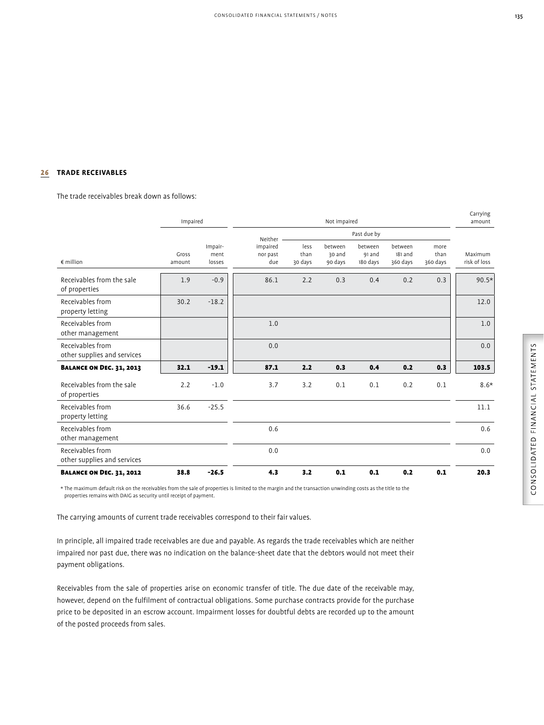# 26 **TRADE RECEIVABLES**

The trade receivables break down as follows:

|                                                 | Impaired        |                           | Not impaired                |                         |                              | amount                        |                                |                          |                         |
|-------------------------------------------------|-----------------|---------------------------|-----------------------------|-------------------------|------------------------------|-------------------------------|--------------------------------|--------------------------|-------------------------|
|                                                 |                 |                           | Neither                     |                         |                              | Past due by                   |                                |                          |                         |
| $\notin$ million                                | Gross<br>amount | Impair-<br>ment<br>losses | impaired<br>nor past<br>due | less<br>than<br>30 days | between<br>30 and<br>90 days | between<br>91 and<br>180 days | between<br>181 and<br>360 days | more<br>than<br>360 days | Maximum<br>risk of loss |
| Receivables from the sale<br>of properties      | 1.9             | $-0.9$                    | 86.1                        | 2.2                     | 0.3                          | 0.4                           | 0.2                            | 0.3                      | $90.5*$                 |
| Receivables from<br>property letting            | 30.2            | $-18.2$                   |                             |                         |                              |                               |                                |                          | 12.0                    |
| Receivables from<br>other management            |                 |                           | 1.0                         |                         |                              |                               |                                |                          | 1.0                     |
| Receivables from<br>other supplies and services |                 |                           | 0.0                         |                         |                              |                               |                                |                          | 0.0                     |
| <b>BALANCE ON DEC. 31, 2013</b>                 | 32.1            | $-19.1$                   | 87.1                        | 2.2                     | 0.3                          | 0.4                           | 0.2                            | 0.3                      | 103.5                   |
| Receivables from the sale<br>of properties      | 2.2             | $-1.0$                    | 3.7                         | 3.2                     | 0.1                          | 0.1                           | 0.2                            | 0.1                      | $8.6*$                  |
| Receivables from<br>property letting            | 36.6            | $-25.5$                   |                             |                         |                              |                               |                                |                          | 11.1                    |
| Receivables from<br>other management            |                 |                           | 0.6                         |                         |                              |                               |                                |                          | 0.6                     |
| Receivables from<br>other supplies and services |                 |                           | 0.0                         |                         |                              |                               |                                |                          | 0.0                     |
| <b>BALANCE ON DEC. 31, 2012</b>                 | 38.8            | $-26.5$                   | 4.3                         | 3.2                     | 0.1                          | 0.1                           | 0.2                            | 0.1                      | 20.3                    |

\* The maximum default risk on the receivables from the sale of properties is limited to the margin and the transaction unwinding costs as the title to the properties remains with DAIG as security until receipt of payment.

The carrying amounts of current trade receivables correspond to their fair values.

In principle, all impaired trade receivables are due and payable. As regards the trade receivables which are neither impaired nor past due, there was no indication on the balance-sheet date that the debtors would not meet their payment obligations.

Receivables from the sale of properties arise on economic transfer of title. The due date of the receivable may, however, depend on the fulfilment of contractual obligations. Some purchase contracts provide for the purchase price to be deposited in an escrow account. Impairment losses for doubtful debts are recorded up to the amount of the posted proceeds from sales.

Carrying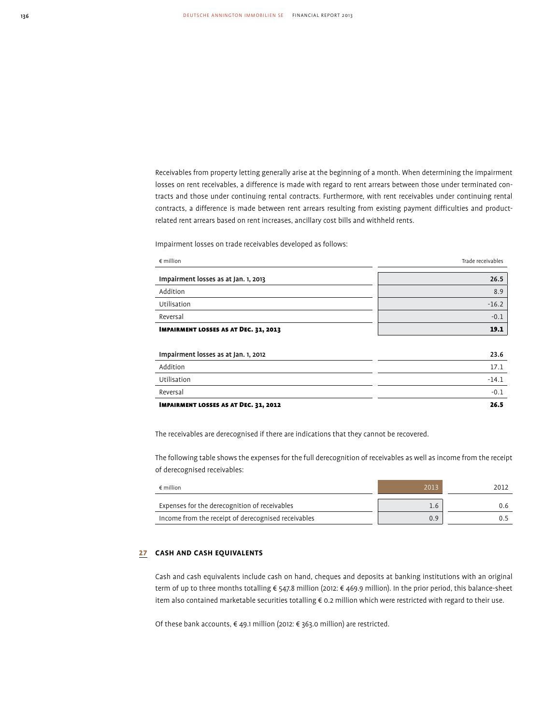Receivables from property letting generally arise at the beginning of a month. When determining the impairment losses on rent receivables, a difference is made with regard to rent arrears between those under terminated contracts and those under continuing rental contracts. Furthermore, with rent receivables under continuing rental contracts, a difference is made between rent arrears resulting from existing payment difficulties and productrelated rent arrears based on rent increases, ancillary cost bills and withheld rents.

Impairment losses on trade receivables developed as follows:

| $\epsilon$ million                           | Trade receivables |
|----------------------------------------------|-------------------|
| Impairment losses as at Jan. 1, 2013         | 26.5              |
| Addition                                     | 8.9               |
| Utilisation                                  | $-16.2$           |
| Reversal                                     | $-0.1$            |
| <b>IMPAIRMENT LOSSES AS AT DEC. 31, 2013</b> | 19.1              |
|                                              |                   |
| Impairment losses as at Jan. 1, 2012         | 23.6              |
| Addition                                     | 17.1              |
| Utilisation                                  | $-14.1$           |
| Reversal                                     | $-0.1$            |

IMPAIRMENT LOSSES AS AT DEC. 31, 2012 26.5

The receivables are derecognised if there are indications that they cannot be recovered.

The following table shows the expenses for the full derecognition of receivables as well as income from the receipt of derecognised receivables:

| $\epsilon$ million                                  | 2013          | 2012 |
|-----------------------------------------------------|---------------|------|
| Expenses for the derecognition of receivables       | $1.6^{\circ}$ |      |
| Income from the receipt of derecognised receivables | 0.9           |      |

### 27 **CASH AND CASH EQUIVALENTS**

Cash and cash equivalents include cash on hand, cheques and deposits at banking institutions with an original term of up to three months totalling € 547.8 million (2012: € 469.9 million). In the prior period, this balance-sheet item also contained marketable securities totalling € 0.2 million which were restricted with regard to their use.

Of these bank accounts, € 49.1 million (2012: € 363.0 million) are restricted.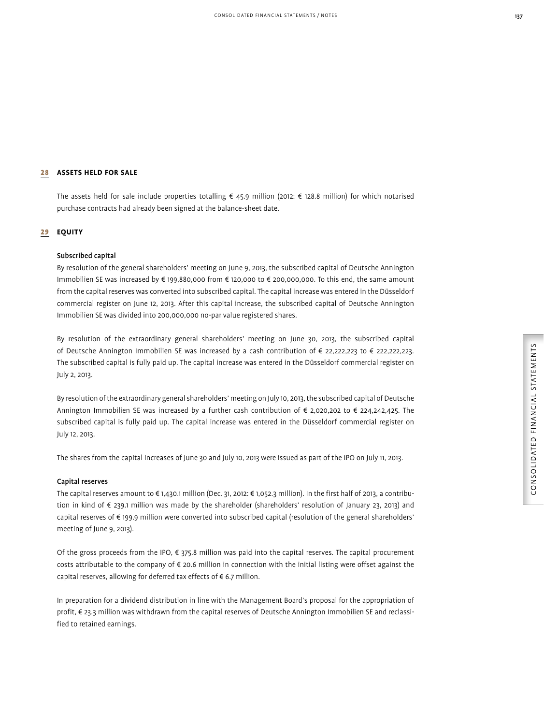# 28 **ASSETS HELD FOR SALE**

The assets held for sale include properties totalling € 45.9 million (2012: € 128.8 million) for which notarised purchase contracts had already been signed at the balance-sheet date.

# 29 **EQUITY**

# Subscribed capital

By resolution of the general shareholders' meeting on June 9, 2013, the subscribed capital of Deutsche Annington Immobilien SE was increased by € 199,880,000 from € 120,000 to € 200,000,000. To this end, the same amount from the capital reserves was converted into subscribed capital. The capital increase was entered in the Düsseldorf commercial register on June 12, 2013. After this capital increase, the subscribed capital of Deutsche Annington Immobilien SE was divided into 200,000,000 no-par value registered shares.

By resolution of the extraordinary general shareholders' meeting on June 30, 2013, the subscribed capital of Deutsche Annington Immobilien SE was increased by a cash contribution of € 22,222,223 to € 222,222,223. The subscribed capital is fully paid up. The capital increase was entered in the Düsseldorf commercial register on July 2, 2013.

By resolution of the extraordinary general shareholders' meeting on July 10, 2013, the subscribed capital of Deutsche Annington Immobilien SE was increased by a further cash contribution of € 2,020,202 to € 224,242,425. The subscribed capital is fully paid up. The capital increase was entered in the Düsseldorf commercial register on July 12, 2013.

The shares from the capital increases of June 30 and July 10, 2013 were issued as part of the IPO on July 11, 2013.

# Capital reserves

The capital reserves amount to € 1,430.1 million (Dec. 31, 2012: € 1,052.3 million). In the first half of 2013, a contribution in kind of € 239.1 million was made by the shareholder (shareholders' resolution of January 23, 2013) and capital reserves of € 199.9 million were converted into subscribed capital (resolution of the general shareholders' meeting of June 9, 2013).

Of the gross proceeds from the IPO, € 375.8 million was paid into the capital reserves. The capital procurement costs attributable to the company of € 20.6 million in connection with the initial listing were offset against the capital reserves, allowing for deferred tax effects of € 6.7 million.

In preparation for a dividend distribution in line with the Management Board's proposal for the appropriation of profit, € 23.3 million was withdrawn from the capital reserves of Deutsche Annington Immobilien SE and reclassified to retained earnings.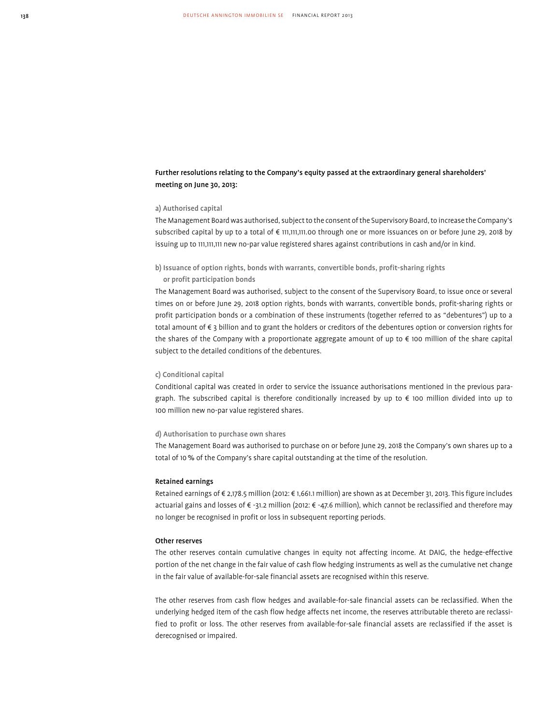# Further resolutions relating to the Company's equity passed at the extraordinary general shareholders' meeting on June 30, 2013:

### a) Authorised capital

The Management Board was authorised, subject to the consent of the Supervisory Board, to increase the Company's subscribed capital by up to a total of € 111,111,111.00 through one or more issuances on or before June 29, 2018 by issuing up to 111,111,111 new no-par value registered shares against contributions in cash and/or in kind.

### b) Issuance of option rights, bonds with warrants, convertible bonds, profit-sharing rights

### or profit participation bonds

The Management Board was authorised, subject to the consent of the Supervisory Board, to issue once or several times on or before June 29, 2018 option rights, bonds with warrants, convertible bonds, profit-sharing rights or profit participation bonds or a combination of these instruments (together referred to as "debentures") up to a total amount of € 3 billion and to grant the holders or creditors of the debentures option or conversion rights for the shares of the Company with a proportionate aggregate amount of up to € 100 million of the share capital subject to the detailed conditions of the debentures.

### c) Conditional capital

Conditional capital was created in order to service the issuance authorisations mentioned in the previous paragraph. The subscribed capital is therefore conditionally increased by up to € 100 million divided into up to 100 million new no-par value registered shares.

### d) Authorisation to purchase own shares

The Management Board was authorised to purchase on or before June 29, 2018 the Company's own shares up to a total of 10 % of the Company's share capital outstanding at the time of the resolution.

### Retained earnings

Retained earnings of € 2,178.5 million (2012: € 1,661.1 million) are shown as at December 31, 2013. This figure includes actuarial gains and losses of € -31.2 million (2012: € -47.6 million), which cannot be reclassified and therefore may no longer be recognised in profit or loss in subsequent reporting periods.

### Other reserves

The other reserves contain cumulative changes in equity not affecting income. At DAIG, the hedge-effective portion of the net change in the fair value of cash flow hedging instruments as well as the cumulative net change in the fair value of available-for-sale financial assets are recognised within this reserve.

The other reserves from cash flow hedges and available-for-sale financial assets can be reclassified. When the underlying hedged item of the cash flow hedge affects net income, the reserves attributable thereto are reclassified to profit or loss. The other reserves from available-for-sale financial assets are reclassified if the asset is derecognised or impaired.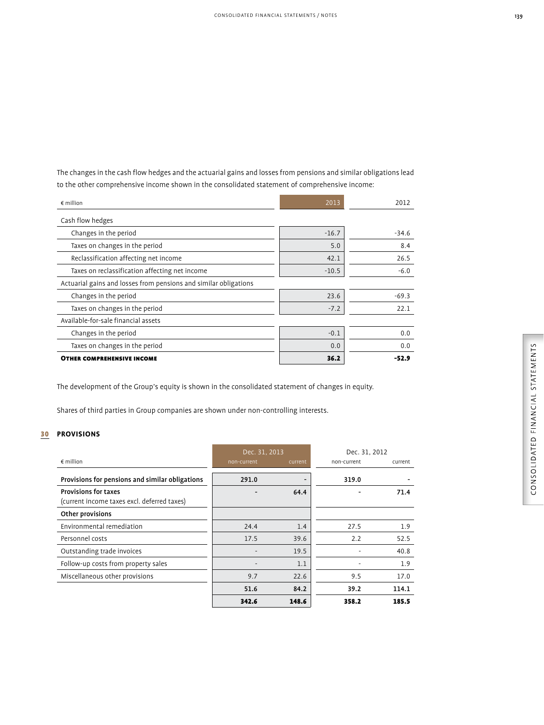The changes in the cash flow hedges and the actuarial gains and losses from pensions and similar obligations lead to the other comprehensive income shown in the consolidated statement of comprehensive income:

| $\notin$ million                                                 | 2013    | 2012    |
|------------------------------------------------------------------|---------|---------|
| Cash flow hedges                                                 |         |         |
| Changes in the period                                            | $-16.7$ | $-34.6$ |
| Taxes on changes in the period                                   | 5.0     | 8.4     |
| Reclassification affecting net income                            | 42.1    | 26.5    |
| Taxes on reclassification affecting net income                   | $-10.5$ | $-6.0$  |
| Actuarial gains and losses from pensions and similar obligations |         |         |
| Changes in the period                                            | 23.6    | $-69.3$ |
| Taxes on changes in the period                                   | $-7.2$  | 22.1    |
| Available-for-sale financial assets                              |         |         |
| Changes in the period                                            | $-0.1$  | 0.0     |
| Taxes on changes in the period                                   | 0.0     | 0.0     |
| <b>OTHER COMPREHENSIVE INCOME</b>                                | 36.2    | -52.9   |

The development of the Group's equity is shown in the consolidated statement of changes in equity.

Shares of third parties in Group companies are shown under non-controlling interests.

# 30 **PROVISIONS**

|                                                                            | Dec. 31, 2013 |         | Dec. 31, 2012 |         |
|----------------------------------------------------------------------------|---------------|---------|---------------|---------|
| $\epsilon$ million                                                         | non-current   | current | non-current   | current |
| Provisions for pensions and similar obligations                            | 291.0         |         | 319.0         |         |
| <b>Provisions for taxes</b><br>(current income taxes excl. deferred taxes) |               | 64.4    |               | 71.4    |
| Other provisions                                                           |               |         |               |         |
| Environmental remediation                                                  | 24.4          | 1.4     | 27.5          | 1.9     |
| Personnel costs                                                            | 17.5          | 39.6    | 2.2           | 52.5    |
| Outstanding trade invoices                                                 |               | 19.5    |               | 40.8    |
| Follow-up costs from property sales                                        |               | 1.1     |               | 1.9     |
| Miscellaneous other provisions                                             | 9.7           | 22.6    | 9.5           | 17.0    |
|                                                                            | 51.6          | 84.2    | 39.2          | 114.1   |
|                                                                            | 342.6         | 148.6   | 358.2         | 185.5   |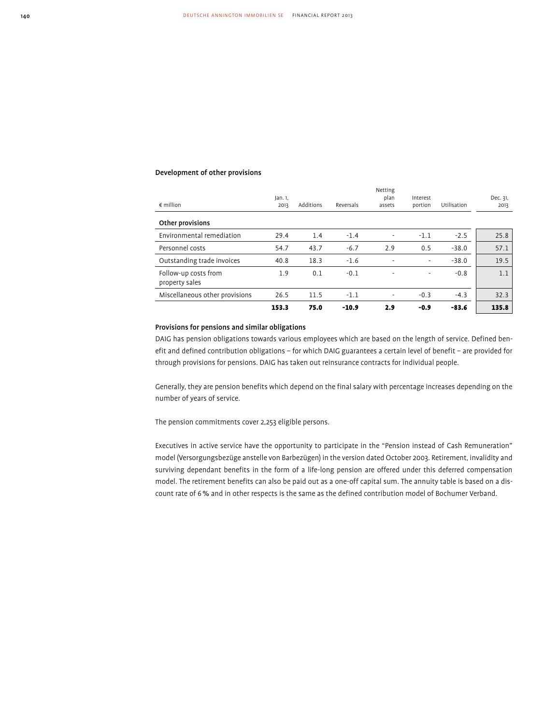### Development of other provisions

| $\epsilon$ million                     | Jan. 1,<br>2013 | Additions | Reversals | Netting<br>plan<br>assets | Interest<br>portion      | Utilisation | Dec. 31,<br>2013 |
|----------------------------------------|-----------------|-----------|-----------|---------------------------|--------------------------|-------------|------------------|
| Other provisions                       |                 |           |           |                           |                          |             |                  |
| Environmental remediation              | 29.4            | 1.4       | $-1.4$    |                           | $-1.1$                   | $-2.5$      | 25.8             |
| Personnel costs                        | 54.7            | 43.7      | $-6.7$    | 2.9                       | 0.5                      | $-38.0$     | 57.1             |
| Outstanding trade invoices             | 40.8            | 18.3      | $-1.6$    |                           | $\overline{\phantom{a}}$ | $-38.0$     | 19.5             |
| Follow-up costs from<br>property sales | 1.9             | 0.1       | $-0.1$    | $\overline{\phantom{a}}$  | $\overline{\phantom{a}}$ | $-0.8$      | 1.1              |
| Miscellaneous other provisions         | 26.5            | 11.5      | $-1.1$    | $\overline{\phantom{a}}$  | $-0.3$                   | $-4.3$      | 32.3             |
|                                        | 153.3           | 75.0      | $-10.9$   | 2.9                       | -0.9                     | $-83.6$     | 135.8            |

### Provisions for pensions and similar obligations

DAIG has pension obligations towards various employees which are based on the length of service. Defined benefit and defined contribution obligations – for which DAIG guarantees a certain level of benefit – are provided for through provisions for pensions. DAIG has taken out reinsurance contracts for individual people.

Generally, they are pension benefits which depend on the final salary with percentage increases depending on the number of years of service.

The pension commitments cover 2,253 eligible persons.

Executives in active service have the opportunity to participate in the "Pension instead of Cash Remuneration" model (Versorgungsbezüge anstelle von Barbezügen) in the version dated October 2003. Retirement, invalidity and surviving dependant benefits in the form of a life-long pension are offered under this deferred compensation model. The retirement benefits can also be paid out as a one-off capital sum. The annuity table is based on a discount rate of 6 % and in other respects is the same as the defined contribution model of Bochumer Verband.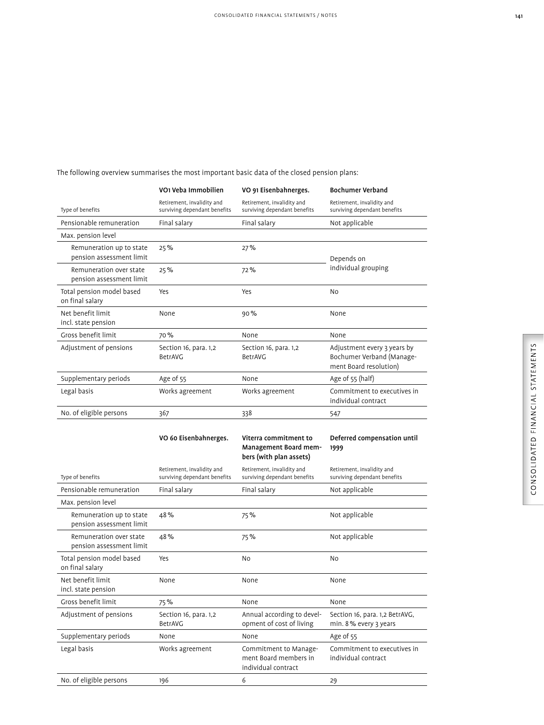|                                                      | VO1 Veba Immobilien                                        | VO 91 Eisenbahnerges.                                                     | <b>Bochumer Verband</b>                                                            |
|------------------------------------------------------|------------------------------------------------------------|---------------------------------------------------------------------------|------------------------------------------------------------------------------------|
| Type of benefits                                     | Retirement, invalidity and<br>surviving dependant benefits | Retirement, invalidity and<br>surviving dependant benefits                | Retirement, invalidity and<br>surviving dependant benefits                         |
| Pensionable remuneration                             | Final salary                                               | Final salary                                                              | Not applicable                                                                     |
| Max. pension level                                   |                                                            |                                                                           |                                                                                    |
| Remuneration up to state<br>pension assessment limit | 25%                                                        | 27%                                                                       | Depends on                                                                         |
| Remuneration over state<br>pension assessment limit  | 25%                                                        | 72%                                                                       | individual grouping                                                                |
| Total pension model based<br>on final salary         | Yes                                                        | Yes                                                                       | No                                                                                 |
| Net benefit limit<br>incl. state pension             | None                                                       | 90%                                                                       | None                                                                               |
| Gross benefit limit                                  | 70%                                                        | None                                                                      | None                                                                               |
| Adjustment of pensions                               | Section 16, para. 1,2<br>BetrAVG                           | Section 16, para. 1,2<br>BetrAVG                                          | Adjustment every 3 years by<br>Bochumer Verband (Manage-<br>ment Board resolution) |
| Supplementary periods                                | Age of 55                                                  | None                                                                      | Age of 55 (half)                                                                   |
| Legal basis                                          | Works agreement                                            | Works agreement                                                           | Commitment to executives in<br>individual contract                                 |
| No. of eligible persons                              | 367                                                        | 338                                                                       | 547                                                                                |
|                                                      |                                                            |                                                                           |                                                                                    |
|                                                      | VO 60 Eisenbahnerges.                                      | Viterra commitment to<br>Management Board mem-<br>bers (with plan assets) | Deferred compensation until<br>1999                                                |
| Type of benefits                                     | Retirement, invalidity and<br>surviving dependant benefits | Retirement, invalidity and<br>surviving dependant benefits                | Retirement, invalidity and<br>surviving dependant benefits                         |
| Pensionable remuneration                             | Final salary                                               | Final salary                                                              | Not applicable                                                                     |
| Max. pension level                                   |                                                            |                                                                           |                                                                                    |
| Remuneration up to state<br>pension assessment limit | 48%                                                        | 75%                                                                       | Not applicable                                                                     |
| Remuneration over state<br>pension assessment limit  | 48%                                                        | 75%                                                                       | Not applicable                                                                     |
| Total pension model based<br>on final salary         | Yes                                                        | No                                                                        | N <sub>o</sub>                                                                     |
| Net benefit limit<br>incl. state pension             | None                                                       | None                                                                      | None                                                                               |
| Gross benefit limit                                  | 75%                                                        | None                                                                      | None                                                                               |
| Adjustment of pensions                               | Section 16, para. 1,2<br>BetrAVG                           | Annual according to devel-<br>opment of cost of living                    | Section 16, para. 1,2 BetrAVG,<br>min. 8% every 3 years                            |
| Supplementary periods                                | None                                                       | None                                                                      | Age of 55                                                                          |
| Legal basis                                          | Works agreement                                            | Commitment to Manage-<br>ment Board members in<br>individual contract     | Commitment to executives in<br>individual contract                                 |

# The following overview summarises the most important basic data of the closed pension plans: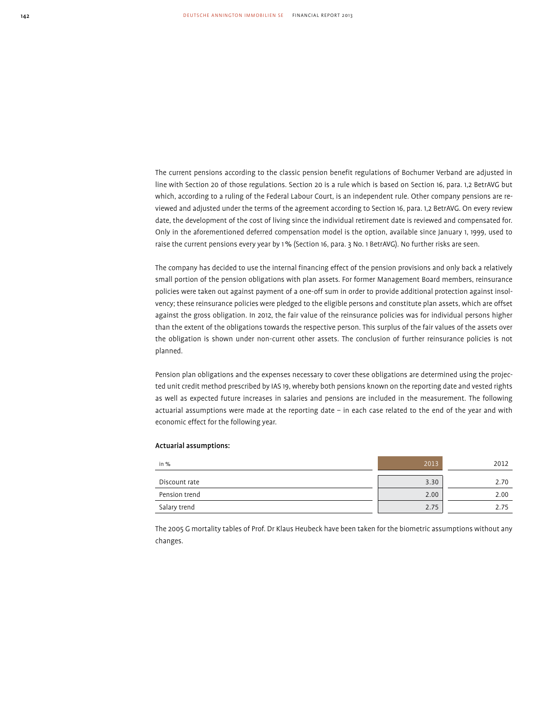The current pensions according to the classic pension benefit regulations of Bochumer Verband are adjusted in line with Section 20 of those regulations. Section 20 is a rule which is based on Section 16, para. 1,2 BetrAVG but which, according to a ruling of the Federal Labour Court, is an independent rule. Other company pensions are reviewed and adjusted under the terms of the agreement according to Section 16, para. 1,2 BetrAVG. On every review date, the development of the cost of living since the individual retirement date is reviewed and compensated for. Only in the aforementioned deferred compensation model is the option, available since January 1, 1999, used to raise the current pensions every year by 1 % (Section 16, para. 3 No. 1 BetrAVG). No further risks are seen.

The company has decided to use the internal financing effect of the pension provisions and only back a relatively small portion of the pension obligations with plan assets. For former Management Board members, reinsurance policies were taken out against payment of a one-off sum in order to provide additional protection against insolvency; these reinsurance policies were pledged to the eligible persons and constitute plan assets, which are offset against the gross obligation. In 2012, the fair value of the reinsurance policies was for individual persons higher than the extent of the obligations towards the respective person. This surplus of the fair values of the assets over the obligation is shown under non-current other assets. The conclusion of further reinsurance policies is not planned.

Pension plan obligations and the expenses necessary to cover these obligations are determined using the projected unit credit method prescribed by IAS 19, whereby both pensions known on the reporting date and vested rights as well as expected future increases in salaries and pensions are included in the measurement. The following actuarial assumptions were made at the reporting date – in each case related to the end of the year and with economic effect for the following year.

# in % 2013 2012 Discount rate 2.70 2.70 and 2.70 and 2.70 and 3.30 and 3.30 and 3.30 and 3.30 and 3.30 and 3.70 and 3.70 and 3.70 and 3.70 and 3.70 and 3.70 and 3.70 and 3.70 and 3.70 and 3.70 and 3.70 and 3.70 and 3.70 and 3.70 and 3.70 Pension trend 2.00 2.00 Salary trend 2.75 2.75 and 2.75 and 2.75 and 2.75 and 2.75 and 2.75 and 2.75 and 2.75 and 2.75 and 2.75 and 2.75 and 2.75 and 2.75 and 2.75 and 2.75 and 2.75 and 2.75 and 2.75 and 2.75 and 2.75 and 2.75 and 2.75 and 2.75 a

Actuarial assumptions:

The 2005 G mortality tables of Prof. Dr Klaus Heubeck have been taken for the biometric assumptions without any changes.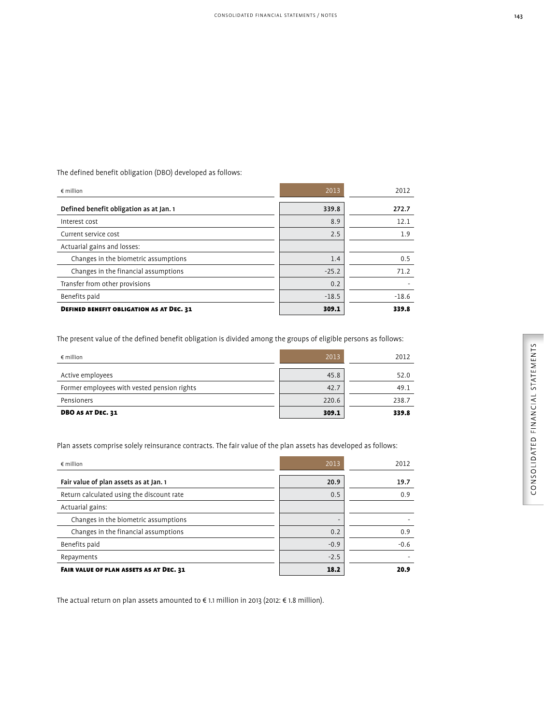The defined benefit obligation (DBO) developed as follows:

| $\epsilon$ million                              | 2013    | 2012    |
|-------------------------------------------------|---------|---------|
| Defined benefit obligation as at Jan. 1         | 339.8   | 272.7   |
| Interest cost                                   | 8.9     | 12.1    |
| Current service cost                            | 2.5     | 1.9     |
| Actuarial gains and losses:                     |         |         |
| Changes in the biometric assumptions            | 1.4     | 0.5     |
| Changes in the financial assumptions            | $-25.2$ | 71.2    |
| Transfer from other provisions                  | 0.2     |         |
| Benefits paid                                   | $-18.5$ | $-18.6$ |
| <b>DEFINED BENEFIT OBLIGATION AS AT DEC. 31</b> | 309.1   | 339.8   |

The present value of the defined benefit obligation is divided among the groups of eligible persons as follows:

| $\epsilon$ million                          | 2013  | 2012  |
|---------------------------------------------|-------|-------|
| Active employees                            | 45.8  | 52.0  |
| Former employees with vested pension rights | 42.7  | 49.1  |
| Pensioners                                  | 220.6 | 238.7 |
| <b>DBO AS AT DEC. 31</b>                    | 309.1 | 339.8 |

Plan assets comprise solely reinsurance contracts. The fair value of the plan assets has developed as follows:

| $\epsilon$ million                        | 2013                     | 2012   |
|-------------------------------------------|--------------------------|--------|
| Fair value of plan assets as at Jan. 1    | 20.9                     | 19.7   |
| Return calculated using the discount rate | 0.5                      | 0.9    |
| Actuarial gains:                          |                          |        |
| Changes in the biometric assumptions      | $\overline{\phantom{0}}$ |        |
| Changes in the financial assumptions      | 0.2                      | 0.9    |
| Benefits paid                             | $-0.9$                   | $-0.6$ |
| Repayments                                | $-2.5$                   |        |
| FAIR VALUE OF PLAN ASSETS AS AT DEC. 31   | 18.2                     | 20.9   |

The actual return on plan assets amounted to € 1.1 million in 2013 (2012: € 1.8 million).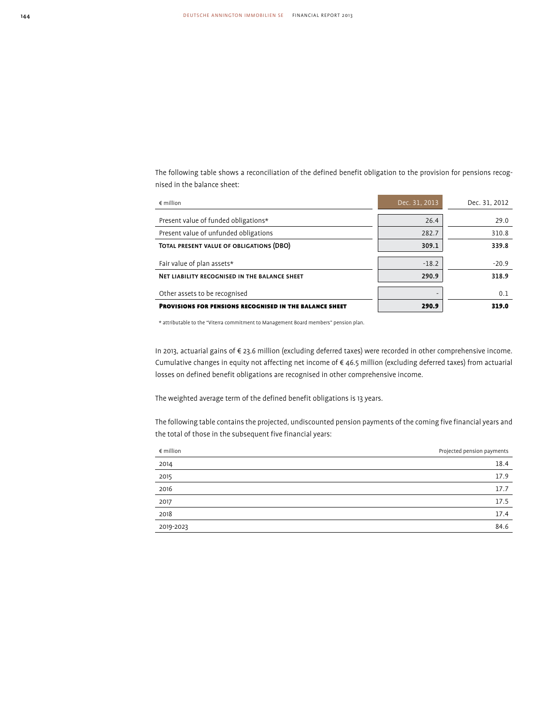The following table shows a reconciliation of the defined benefit obligation to the provision for pensions recognised in the balance sheet:

| $\epsilon$ million                                      | Dec. 31, 2013 | Dec. 31, 2012 |
|---------------------------------------------------------|---------------|---------------|
| Present value of funded obligations*                    | 26.4          | 29.0          |
|                                                         |               |               |
| Present value of unfunded obligations                   | 282.7         | 310.8         |
| TOTAL PRESENT VALUE OF OBLIGATIONS (DBO)                | 309.1         | 339.8         |
|                                                         |               |               |
| Fair value of plan assets*                              | $-18.2$       | $-20.9$       |
| NET LIABILITY RECOGNISED IN THE BALANCE SHEET           | 290.9         | 318.9         |
|                                                         |               |               |
| Other assets to be recognised                           |               | 0.1           |
| PROVISIONS FOR PENSIONS RECOGNISED IN THE BALANCE SHEET | 290.9         | 319.0         |

\* attributable to the "Viterra commitment to Management Board members" pension plan.

In 2013, actuarial gains of € 23.6 million (excluding deferred taxes) were recorded in other comprehensive income. Cumulative changes in equity not affecting net income of € 46.5 million (excluding deferred taxes) from actuarial losses on defined benefit obligations are recognised in other comprehensive income.

The weighted average term of the defined benefit obligations is 13 years.

The following table contains the projected, undiscounted pension payments of the coming five financial years and the total of those in the subsequent five financial years:

| $\epsilon$ million | Projected pension payments |
|--------------------|----------------------------|
| 2014               | 18.4                       |
| 2015               | 17.9                       |
| 2016               | 17.7                       |
| 2017               | 17.5                       |
| 2018               | 17.4                       |
| 2019-2023          | 84.6                       |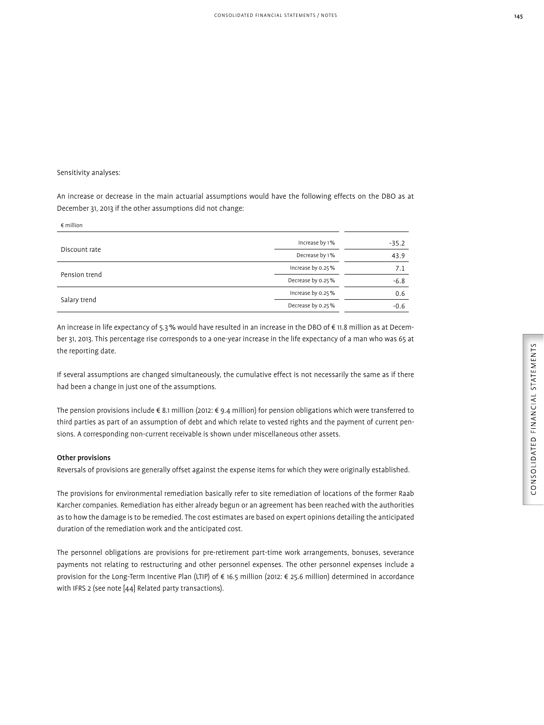### Sensitivity analyses:

€ million

An increase or decrease in the main actuarial assumptions would have the following effects on the DBO as at December 31, 2013 if the other assumptions did not change:

| E IIIIIIIUII  |                   |         |
|---------------|-------------------|---------|
|               | Increase by 1%    | $-35.2$ |
| Discount rate | Decrease by 1%    | 43.9    |
| Pension trend | Increase by 0.25% | 7.1     |
|               | Decrease by 0.25% | $-6.8$  |
|               | Increase by 0.25% | 0.6     |
| Salary trend  | Decrease by 0.25% | $-0.6$  |
|               |                   |         |

An increase in life expectancy of 5.3 % would have resulted in an increase in the DBO of € 11.8 million as at December 31, 2013. This percentage rise corresponds to a one-year increase in the life expectancy of a man who was 65 at the reporting date.

If several assumptions are changed simultaneously, the cumulative effect is not necessarily the same as if there had been a change in just one of the assumptions.

The pension provisions include € 8.1 million (2012: € 9.4 million) for pension obligations which were transferred to third parties as part of an assumption of debt and which relate to vested rights and the payment of current pensions. A corresponding non-current receivable is shown under miscellaneous other assets.

# Other provisions

Reversals of provisions are generally offset against the expense items for which they were originally established.

The provisions for environmental remediation basically refer to site remediation of locations of the former Raab Karcher companies. Remediation has either already begun or an agreement has been reached with the authorities as to how the damage is to be remedied. The cost estimates are based on expert opinions detailing the anticipated duration of the remediation work and the anticipated cost.

The personnel obligations are provisions for pre-retirement part-time work arrangements, bonuses, severance payments not relating to restructuring and other personnel expenses. The other personnel expenses include a provision for the Long-Term Incentive Plan (LTIP) of € 16.5 million (2012: € 25.6 million) determined in accordance with IFRS 2 (see note [44] Related party transactions).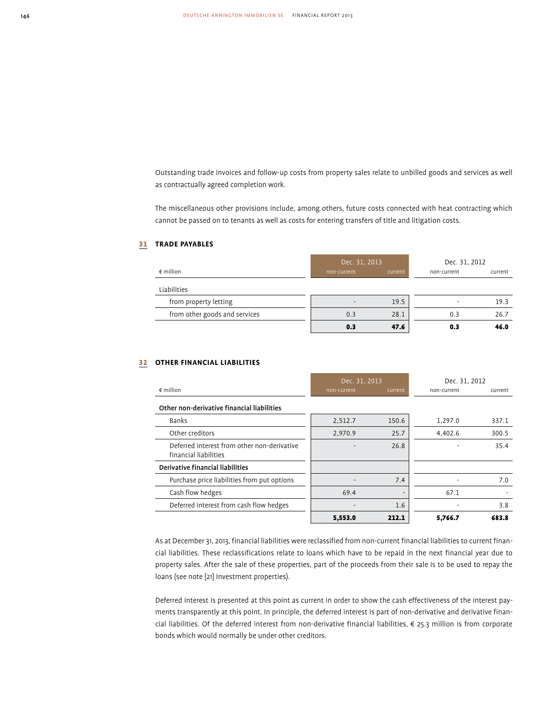Outstanding trade invoices and follow-up costs from property sales relate to unbilled goods and services as well as contractually agreed completion work.

The miscellaneous other provisions include, among others, future costs connected with heat contracting which cannot be passed on to tenants as well as costs for entering transfers of title and litigation costs.

# 31 **TRADE PAYABLES**

|                               | Dec. 31, 2013 |         | Dec. 31, 2012 |         |
|-------------------------------|---------------|---------|---------------|---------|
| $\epsilon$ million            | non-current   | current | non-current   | current |
| Liabilities                   |               |         |               |         |
| from property letting         |               | 19.5    |               | 19.3    |
| from other goods and services | 0.3           | 28.1    | 0.3           | 26.7    |
|                               | 0.3           | 47.6    | 0.3           | 46.0    |

### 32 **OTHER FINANCIAL LIABILITIES**

|                                                                      | Dec. 31, 2013 |         | Dec. 31, 2012 |         |
|----------------------------------------------------------------------|---------------|---------|---------------|---------|
| $\epsilon$ million                                                   | non-current   | current | non-current   | current |
| Other non-derivative financial liabilities                           |               |         |               |         |
| Banks                                                                | 2,512.7       | 150.6   | 1,297.0       | 337.1   |
| Other creditors                                                      | 2,970.9       | 25.7    | 4,402.6       | 300.5   |
| Deferred interest from other non-derivative<br>financial liabilities |               | 26.8    |               | 35.4    |
| Derivative financial liabilities                                     |               |         |               |         |
| Purchase price liabilities from put options                          |               | 7.4     |               | 7.0     |
| Cash flow hedges                                                     | 69.4          |         | 67.1          |         |
| Deferred interest from cash flow hedges                              |               | 1.6     |               | 3.8     |
|                                                                      | 5,553.0       | 212.1   | 5,766.7       | 683.8   |

As at December 31, 2013, financial liabilities were reclassified from non-current financial liabilities to current financial liabilities. These reclassifications relate to loans which have to be repaid in the next financial year due to property sales. After the sale of these properties, part of the proceeds from their sale is to be used to repay the loans (see note [21] Investment properties).

Deferred interest is presented at this point as current in order to show the cash effectiveness of the interest payments transparently at this point. In principle, the deferred interest is part of non-derivative and derivative financial liabilities. Of the deferred interest from non-derivative financial liabilities, € 25.3 million is from corporate bonds which would normally be under other creditors.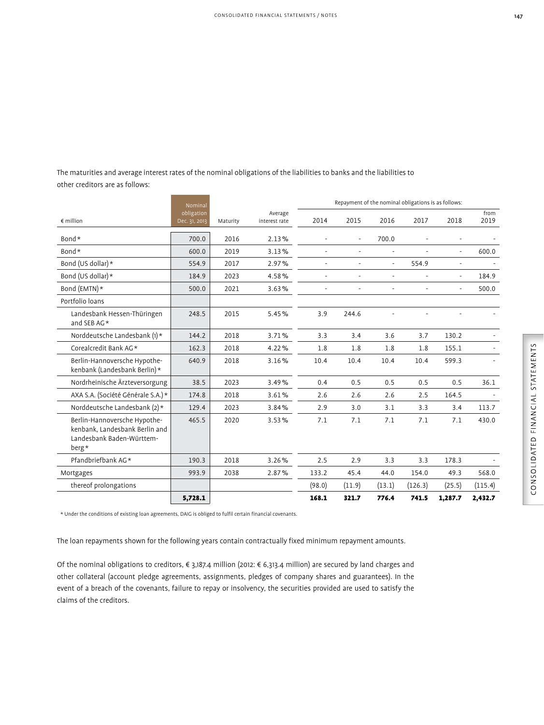The maturities and average interest rates of the nominal obligations of the liabilities to banks and the liabilities to other creditors are as follows:

|                                                                                                      | Nominal                     |          |                          | Repayment of the nominal obligations is as follows: |                |        |         |                          |              |
|------------------------------------------------------------------------------------------------------|-----------------------------|----------|--------------------------|-----------------------------------------------------|----------------|--------|---------|--------------------------|--------------|
| $\notin$ million                                                                                     | obligation<br>Dec. 31, 2013 | Maturity | Average<br>interest rate | 2014                                                | 2015           | 2016   | 2017    | 2018                     | from<br>2019 |
| Bond*                                                                                                | 700.0                       | 2016     | 2.13%                    |                                                     |                | 700.0  |         |                          |              |
| Bond*                                                                                                | 600.0                       | 2019     | 3.13%                    |                                                     | $\overline{a}$ |        |         | $\overline{a}$           | 600.0        |
| Bond (US dollar) *                                                                                   | 554.9                       | 2017     | 2.97%                    |                                                     |                |        | 554.9   | ÷,                       |              |
| Bond (US dollar) *                                                                                   | 184.9                       | 2023     | 4.58%                    |                                                     |                |        |         | $\overline{a}$           | 184.9        |
| Bond (EMTN)*                                                                                         | 500.0                       | 2021     | 3.63%                    |                                                     |                |        |         | $\overline{\phantom{a}}$ | 500.0        |
| Portfolio loans                                                                                      |                             |          |                          |                                                     |                |        |         |                          |              |
| Landesbank Hessen-Thüringen<br>and SEB AG*                                                           | 248.5                       | 2015     | 5.45%                    | 3.9                                                 | 244.6          |        |         |                          |              |
| Norddeutsche Landesbank $(1)$ *                                                                      | 144.2                       | 2018     | 3.71%                    | 3.3                                                 | 3.4            | 3.6    | 3.7     | 130.2                    |              |
| Corealcredit Bank AG*                                                                                | 162.3                       | 2018     | 4.22%                    | 1.8                                                 | 1.8            | 1.8    | 1.8     | 155.1                    |              |
| Berlin-Hannoversche Hypothe-<br>kenbank (Landesbank Berlin)*                                         | 640.9                       | 2018     | 3.16%                    | 10.4                                                | 10.4           | 10.4   | 10.4    | 599.3                    |              |
| Nordrheinische Ärzteversorgung                                                                       | 38.5                        | 2023     | 3.49%                    | 0.4                                                 | 0.5            | 0.5    | 0.5     | 0.5                      | 36.1         |
| AXA S.A. (Société Générale S.A.)*                                                                    | 174.8                       | 2018     | 3.61%                    | 2.6                                                 | 2.6            | 2.6    | 2.5     | 164.5                    |              |
| Norddeutsche Landesbank (2)*                                                                         | 129.4                       | 2023     | 3.84%                    | 2.9                                                 | 3.0            | 3.1    | 3.3     | 3.4                      | 113.7        |
| Berlin-Hannoversche Hypothe-<br>kenbank. Landesbank Berlin and<br>Landesbank Baden-Württem-<br>berg* | 465.5                       | 2020     | 3.53%                    | 7.1                                                 | 7.1            | 7.1    | 7.1     | 7.1                      | 430.0        |
| Pfandbriefbank AG*                                                                                   | 190.3                       | 2018     | 3.26%                    | 2.5                                                 | 2.9            | 3.3    | 3.3     | 178.3                    |              |
| Mortgages                                                                                            | 993.9                       | 2038     | 2.87%                    | 133.2                                               | 45.4           | 44.0   | 154.0   | 49.3                     | 568.0        |
| thereof prolongations                                                                                |                             |          |                          | (98.0)                                              | (11.9)         | (13.1) | (126.3) | (25.5)                   | (115.4)      |
|                                                                                                      | 5,728.1                     |          |                          | 168.1                                               | 321.7          | 776.4  | 741.5   | 1,287.7                  | 2,432.7      |

\* Under the conditions of existing loan agreements, DAIG is obliged to fulfil certain financial covenants.

The loan repayments shown for the following years contain contractually fixed minimum repayment amounts.

Of the nominal obligations to creditors, € 3,187.4 million (2012: € 6,313.4 million) are secured by land charges and other collateral (account pledge agreements, assignments, pledges of company shares and guarantees). In the event of a breach of the covenants, failure to repay or insolvency, the securities provided are used to satisfy the claims of the creditors.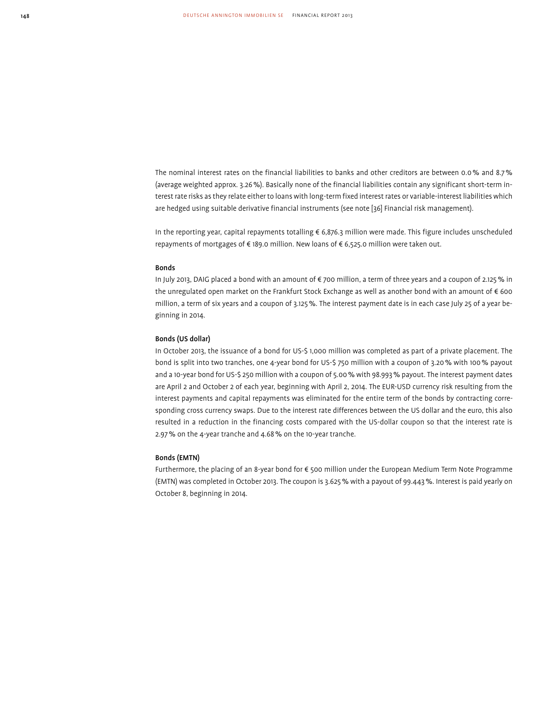The nominal interest rates on the financial liabilities to banks and other creditors are between 0.0 % and 8.7 % (average weighted approx. 3.26 %). Basically none of the financial liabilities contain any significant short-term interest rate risks as they relate either to loans with long-term fixed interest rates or variable-interest liabilities which are hedged using suitable derivative financial instruments (see note [36] Financial risk management).

In the reporting year, capital repayments totalling € 6,876.3 million were made. This figure includes unscheduled repayments of mortgages of  $\in$  189.0 million. New loans of  $\in$  6,525.0 million were taken out.

#### Bonds

In July 2013, DAIG placed a bond with an amount of € 700 million, a term of three years and a coupon of 2.125 % in the unregulated open market on the Frankfurt Stock Exchange as well as another bond with an amount of € 600 million, a term of six years and a coupon of 3.125 %. The interest payment date is in each case July 25 of a year beginning in 2014.

### Bonds (US dollar)

In October 2013, the issuance of a bond for US-\$ 1,000 million was completed as part of a private placement. The bond is split into two tranches, one 4-year bond for US-\$ 750 million with a coupon of 3.20 % with 100 % payout and a 10-year bond for US-\$ 250 million with a coupon of 5.00 % with 98.993 % payout. The interest payment dates are April 2 and October 2 of each year, beginning with April 2, 2014. The EUR-USD currency risk resulting from the interest payments and capital repayments was eliminated for the entire term of the bonds by contracting corresponding cross currency swaps. Due to the interest rate differences between the US dollar and the euro, this also resulted in a reduction in the financing costs compared with the US-dollar coupon so that the interest rate is 2.97 % on the 4-year tranche and 4.68 % on the 10-year tranche.

### Bonds (EMTN)

Furthermore, the placing of an 8-year bond for € 500 million under the European Medium Term Note Programme (EMTN) was completed in October 2013. The coupon is 3.625 % with a payout of 99.443 %. Interest is paid yearly on October 8, beginning in 2014.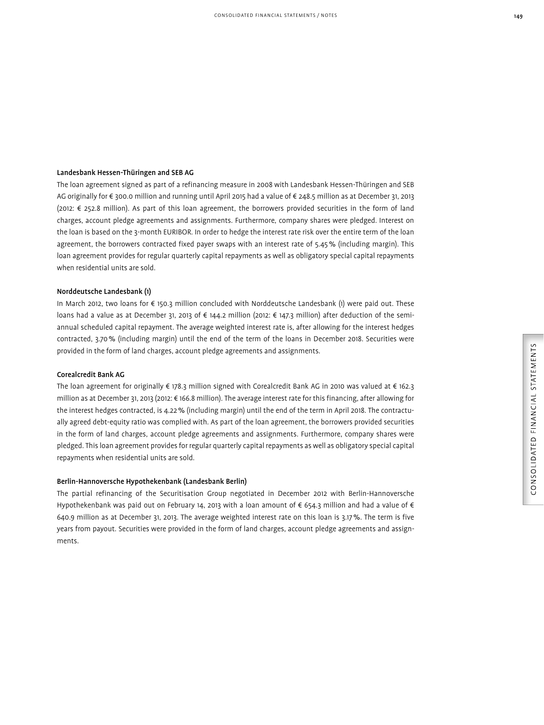# Landesbank Hessen-Thüringen and SEB AG

The loan agreement signed as part of a refinancing measure in 2008 with Landesbank Hessen-Thüringen and SEB AG originally for € 300.0 million and running until April 2015 had a value of € 248.5 million as at December 31, 2013 (2012: € 252.8 million). As part of this loan agreement, the borrowers provided securities in the form of land charges, account pledge agreements and assignments. Furthermore, company shares were pledged. Interest on the loan is based on the 3-month EURIBOR. In order to hedge the interest rate risk over the entire term of the loan agreement, the borrowers contracted fixed payer swaps with an interest rate of 5.45 % (including margin). This loan agreement provides for regular quarterly capital repayments as well as obligatory special capital repayments when residential units are sold.

# Norddeutsche Landesbank (1)

In March 2012, two loans for € 150.3 million concluded with Norddeutsche Landesbank (1) were paid out. These loans had a value as at December 31, 2013 of € 144.2 million (2012: € 147.3 million) after deduction of the semiannual scheduled capital repayment. The average weighted interest rate is, after allowing for the interest hedges contracted, 3.70 % (including margin) until the end of the term of the loans in December 2018. Securities were provided in the form of land charges, account pledge agreements and assignments.

# Corealcredit Bank AG

The loan agreement for originally € 178.3 million signed with Corealcredit Bank AG in 2010 was valued at € 162.3 million as at December 31, 2013 (2012: € 166.8 million). The average interest rate for this financing, after allowing for the interest hedges contracted, is 4.22 % (including margin) until the end of the term in April 2018. The contractually agreed debt-equity ratio was complied with. As part of the loan agreement, the borrowers provided securities in the form of land charges, account pledge agreements and assignments. Furthermore, company shares were pledged. This loan agreement provides for regular quarterly capital repayments as well as obligatory special capital repayments when residential units are sold.

### Berlin-Hannoversche Hypothekenbank (Landesbank Berlin)

The partial refinancing of the Securitisation Group negotiated in December 2012 with Berlin-Hannoversche Hypothekenbank was paid out on February 14, 2013 with a loan amount of  $\epsilon$  654.3 million and had a value of  $\epsilon$ 640.9 million as at December 31, 2013. The average weighted interest rate on this loan is 3.17 %. The term is five years from payout. Securities were provided in the form of land charges, account pledge agreements and assignments.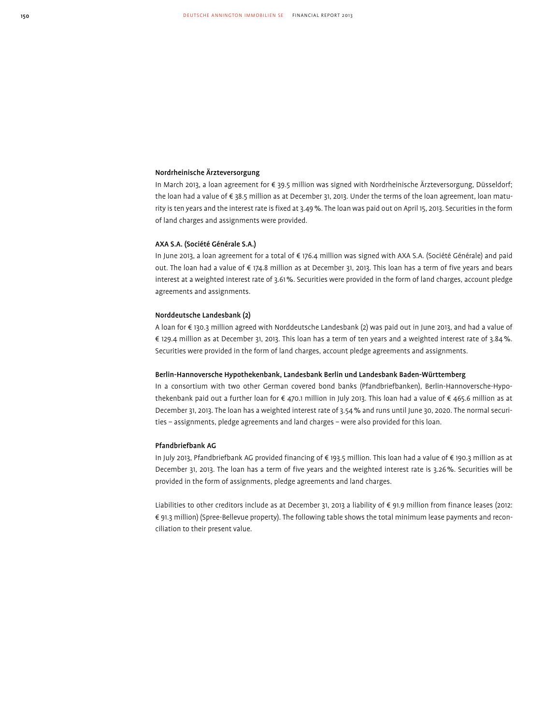### Nordrheinische Ärzteversorgung

In March 2013, a loan agreement for € 39.5 million was signed with Nordrheinische Ärzteversorgung, Düsseldorf; the loan had a value of € 38.5 million as at December 31, 2013. Under the terms of the loan agreement, loan maturity is ten years and the interest rate is fixed at 3.49 %. The loan was paid out on April 15, 2013. Securities in the form of land charges and assignments were provided.

### AXA S.A. (Société Générale S.A.)

In June 2013, a loan agreement for a total of € 176.4 million was signed with AXA S.A. (Société Générale) and paid out. The loan had a value of € 174.8 million as at December 31, 2013. This loan has a term of five years and bears interest at a weighted interest rate of 3.61 %. Securities were provided in the form of land charges, account pledge agreements and assignments.

### Norddeutsche Landesbank (2)

A loan for € 130.3 million agreed with Norddeutsche Landesbank (2) was paid out in June 2013, and had a value of € 129.4 million as at December 31, 2013. This loan has a term of ten years and a weighted interest rate of 3.84 %. Securities were provided in the form of land charges, account pledge agreements and assignments.

### Berlin-Hannoversche Hypothekenbank, Landesbank Berlin und Landesbank Baden-Württemberg

In a consortium with two other German covered bond banks (Pfandbriefbanken), Berlin-Hannoversche-Hypothe kenbank paid out a further loan for € 470.1 million in July 2013. This loan had a value of € 465.6 million as at December 31, 2013. The loan has a weighted interest rate of 3.54 % and runs until June 30, 2020. The normal securities – assignments, pledge agreements and land charges – were also provided for this loan.

### Pfandbriefbank AG

In July 2013, Pfandbriefbank AG provided financing of € 193.5 million. This loan had a value of € 190.3 million as at December 31, 2013. The loan has a term of five years and the weighted interest rate is 3.26 %. Securities will be provided in the form of assignments, pledge agreements and land charges.

Liabilities to other creditors include as at December 31, 2013 a liability of € 91.9 million from finance leases (2012: € 91.3 million) (Spree-Bellevue property). The following table shows the total minimum lease payments and reconciliation to their present value.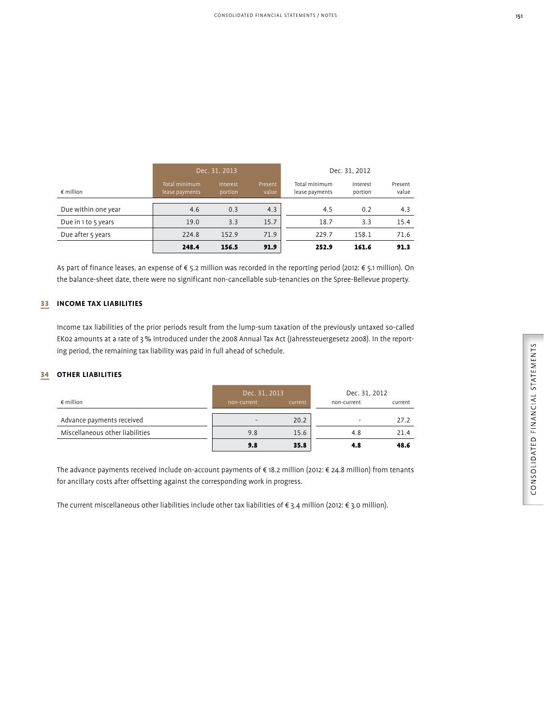| I  |  |
|----|--|
| ۰. |  |

| r<br>C<br>Ļ<br>STATFI<br>١<br>Į<br>$\frac{1}{2}$<br>$\overline{A}$ in $\overline{A}$ i |
|----------------------------------------------------------------------------------------|
| <b>UED</b><br>$\overline{\phantom{a}}$<br>J<br>NSO<br>ć<br>.<br>ر                      |

|                     | Dec. 31, 2013<br>Dec. 31, 2012  |                     |                  |                                 |                     |                  |
|---------------------|---------------------------------|---------------------|------------------|---------------------------------|---------------------|------------------|
| $\epsilon$ million  | Total minimum<br>lease payments | Interest<br>portion | Present<br>value | Total minimum<br>lease payments | Interest<br>portion | Present<br>value |
| Due within one year | 4.6                             | 0.3                 | 4.3              | 4.5                             | 0.2                 | 4.3              |
| Due in 1 to 5 years | 19.0                            | 3.3                 | 15.7             | 18.7                            | 3.3                 | 15.4             |
| Due after 5 years   | 224.8                           | 152.9               | 71.9             | 229.7                           | 158.1               | 71.6             |
|                     | 248.4                           | 156.5               | 91.9             | 252.9                           | 161.6               | 91.3             |

As part of finance leases, an expense of € 5.2 million was recorded in the reporting period (2012: € 5.1 million). On the balance-sheet date, there were no significant non-cancellable sub-tenancies on the Spree-Bellevue property.

# 33 **INCOME TAX LIABILITIES**

Income tax liabilities of the prior periods result from the lump-sum taxation of the previously untaxed so-called EK02 amounts at a rate of 3 % introduced under the 2008 Annual Tax Act (Jahressteuergesetz 2008). In the reporting period, the remaining tax liability was paid in full ahead of schedule.

# 34 **OTHER LIABILITIES**

|                                 | Dec. 31, 2013 |         | Dec. 31, 2012 |         |  |
|---------------------------------|---------------|---------|---------------|---------|--|
| $\epsilon$ million              | non-current   | current | non-current   | current |  |
| Advance payments received       | -             | 20.2    |               | 27.2    |  |
| Miscellaneous other liabilities | 9.8           | 15.6    | 4.8           | 21.4    |  |
|                                 | 9.8           | 35.8    | 4.8           | 48.6    |  |

The advance payments received include on-account payments of € 18.2 million (2012: € 24.8 million) from tenants for ancillary costs after offsetting against the corresponding work in progress.

The current miscellaneous other liabilities include other tax liabilities of  $\epsilon$  3.4 million (2012:  $\epsilon$  3.0 million).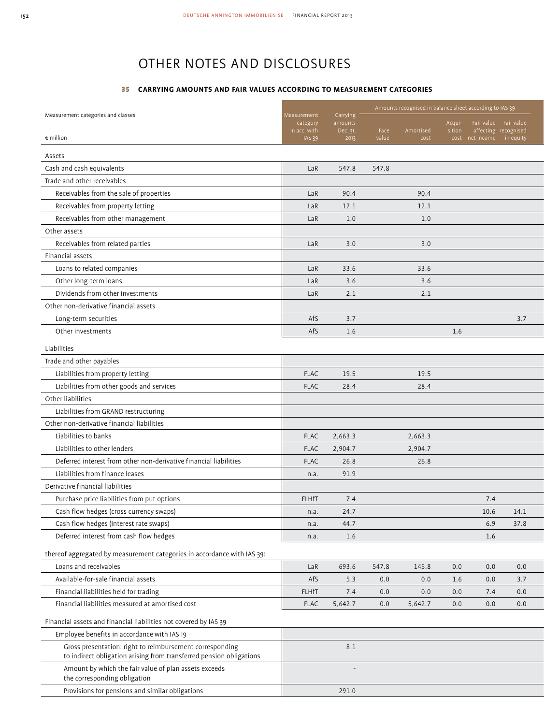# OTHER NOTES AND DISCLOSURES

# 35 **CARRYING AMOUNTS AND FAIR VALUES ACCORDING TO MEASUREMENT CATEGORIES**

|                                                                                                                                 |                               |                     | Amounts recognised in balance sheet according to IAS 39 |                   |        |                                         |           |  |
|---------------------------------------------------------------------------------------------------------------------------------|-------------------------------|---------------------|---------------------------------------------------------|-------------------|--------|-----------------------------------------|-----------|--|
| Measurement categories and classes:                                                                                             | Measurement<br>category       | Carrying<br>amounts |                                                         |                   | Acqui- | Fair value Fair value                   |           |  |
| $\epsilon$ million                                                                                                              | in acc. with<br><b>IAS 39</b> | Dec. 31,<br>2013    | Face<br>value                                           | Amortised<br>cost | sition | affecting recognised<br>cost net income | in equity |  |
|                                                                                                                                 |                               |                     |                                                         |                   |        |                                         |           |  |
| Assets                                                                                                                          |                               |                     |                                                         |                   |        |                                         |           |  |
| Cash and cash equivalents                                                                                                       | LaR                           | 547.8               | 547.8                                                   |                   |        |                                         |           |  |
| Trade and other receivables                                                                                                     |                               |                     |                                                         |                   |        |                                         |           |  |
| Receivables from the sale of properties                                                                                         | LaR                           | 90.4                |                                                         | 90.4              |        |                                         |           |  |
| Receivables from property letting                                                                                               | LaR                           | 12.1                |                                                         | 12.1              |        |                                         |           |  |
| Receivables from other management                                                                                               | LaR                           | 1.0                 |                                                         | 1.0               |        |                                         |           |  |
| Other assets                                                                                                                    |                               |                     |                                                         |                   |        |                                         |           |  |
| Receivables from related parties                                                                                                | LaR                           | 3.0                 |                                                         | 3.0               |        |                                         |           |  |
| Financial assets                                                                                                                |                               |                     |                                                         |                   |        |                                         |           |  |
| Loans to related companies                                                                                                      | LaR                           | 33.6                |                                                         | 33.6              |        |                                         |           |  |
| Other long-term loans                                                                                                           | LaR                           | 3.6                 |                                                         | 3.6               |        |                                         |           |  |
| Dividends from other investments                                                                                                | LaR                           | 2.1                 |                                                         | 2.1               |        |                                         |           |  |
| Other non-derivative financial assets                                                                                           |                               |                     |                                                         |                   |        |                                         |           |  |
| Long-term securities                                                                                                            | AfS                           | 3.7                 |                                                         |                   |        |                                         | 3.7       |  |
| Other investments                                                                                                               | AfS                           | 1.6                 |                                                         |                   | 1.6    |                                         |           |  |
| Liabilities                                                                                                                     |                               |                     |                                                         |                   |        |                                         |           |  |
| Trade and other payables                                                                                                        |                               |                     |                                                         |                   |        |                                         |           |  |
| Liabilities from property letting                                                                                               | <b>FLAC</b>                   | 19.5                |                                                         | 19.5              |        |                                         |           |  |
| Liabilities from other goods and services                                                                                       | <b>FLAC</b>                   | 28.4                |                                                         | 28.4              |        |                                         |           |  |
| Other liabilities                                                                                                               |                               |                     |                                                         |                   |        |                                         |           |  |
| Liabilities from GRAND restructuring                                                                                            |                               |                     |                                                         |                   |        |                                         |           |  |
| Other non-derivative financial liabilities                                                                                      |                               |                     |                                                         |                   |        |                                         |           |  |
| Liabilities to banks                                                                                                            | <b>FLAC</b>                   | 2,663.3             |                                                         | 2,663.3           |        |                                         |           |  |
| Liabilities to other lenders                                                                                                    | <b>FLAC</b>                   | 2,904.7             |                                                         | 2,904.7           |        |                                         |           |  |
| Deferred interest from other non-derivative financial liabilities                                                               | <b>FLAC</b>                   | 26.8                |                                                         | 26.8              |        |                                         |           |  |
| Liabilities from finance leases                                                                                                 | n.a.                          | 91.9                |                                                         |                   |        |                                         |           |  |
| Derivative financial liabilities                                                                                                |                               |                     |                                                         |                   |        |                                         |           |  |
| Purchase price liabilities from put options                                                                                     | <b>FLHfT</b>                  | 7.4                 |                                                         |                   |        | 7.4                                     |           |  |
| Cash flow hedges (cross currency swaps)                                                                                         | n.a.                          | 24.7                |                                                         |                   |        | 10.6                                    | 14.1      |  |
| Cash flow hedges (interest rate swaps)                                                                                          | n.a.                          | 44.7                |                                                         |                   |        | 6.9                                     | 37.8      |  |
| Deferred interest from cash flow hedges                                                                                         | n.a.                          | 1.6                 |                                                         |                   |        | 1.6                                     |           |  |
|                                                                                                                                 |                               |                     |                                                         |                   |        |                                         |           |  |
| thereof aggregated by measurement categories in accordance with IAS 39:<br>Loans and receivables                                |                               |                     |                                                         |                   |        |                                         |           |  |
| Available-for-sale financial assets                                                                                             | LaR                           | 693.6               | 547.8                                                   | 145.8             | 0.0    | 0.0                                     | 0.0       |  |
|                                                                                                                                 | AfS                           | 5.3                 | 0.0                                                     | 0.0               | 1.6    | 0.0                                     | 3.7       |  |
| Financial liabilities held for trading                                                                                          | <b>FLHfT</b>                  | 7.4                 | 0.0                                                     | 0.0               | 0.0    | 7.4                                     | 0.0       |  |
| Financial liabilities measured at amortised cost                                                                                | <b>FLAC</b>                   | 5,642.7             | 0.0                                                     | 5,642.7           | 0.0    | 0.0                                     | 0.0       |  |
| Financial assets and financial liabilities not covered by IAS 39                                                                |                               |                     |                                                         |                   |        |                                         |           |  |
| Employee benefits in accordance with IAS 19                                                                                     |                               |                     |                                                         |                   |        |                                         |           |  |
| Gross presentation: right to reimbursement corresponding<br>to indirect obligation arising from transferred pension obligations |                               | 8.1                 |                                                         |                   |        |                                         |           |  |
| Amount by which the fair value of plan assets exceeds<br>the corresponding obligation                                           |                               |                     |                                                         |                   |        |                                         |           |  |
| Provisions for pensions and similar obligations                                                                                 |                               | 291.0               |                                                         |                   |        |                                         |           |  |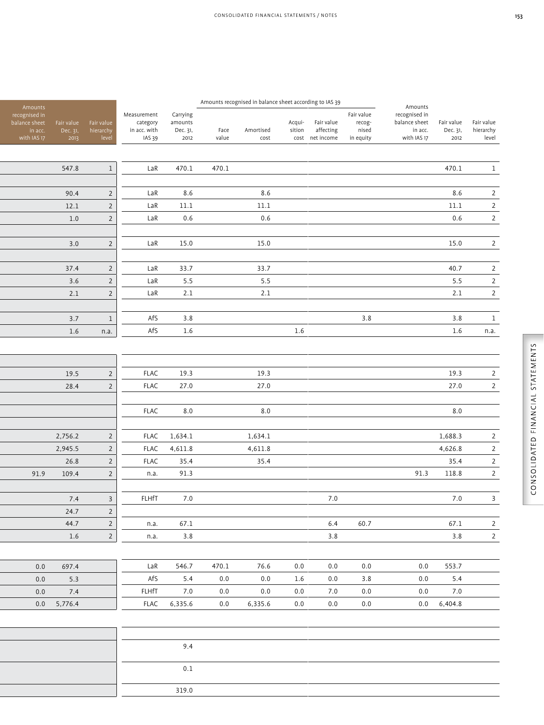| Amounts                                                  |                                |                                  |                                                   |                                         |               | Amounts recognised in balance sheet according to IAS 39 |                  |                                            |                                            | Amounts                                                  |                                |                                  |
|----------------------------------------------------------|--------------------------------|----------------------------------|---------------------------------------------------|-----------------------------------------|---------------|---------------------------------------------------------|------------------|--------------------------------------------|--------------------------------------------|----------------------------------------------------------|--------------------------------|----------------------------------|
| recognised in<br>balance sheet<br>in acc.<br>with IAS 17 | Fair value<br>Dec. 31,<br>2013 | Fair value<br>hierarchy<br>level | Measurement<br>category<br>in acc. with<br>IAS 39 | Carrying<br>amounts<br>Dec. 31,<br>2012 | Face<br>value | Amortised<br>cost                                       | Acqui-<br>sition | Fair value<br>affecting<br>cost net income | Fair value<br>recog-<br>nised<br>in equity | recognised in<br>balance sheet<br>in acc.<br>with IAS 17 | Fair value<br>Dec. 31,<br>2012 | Fair value<br>hierarchy<br>level |
|                                                          |                                |                                  |                                                   |                                         |               |                                                         |                  |                                            |                                            |                                                          |                                |                                  |
|                                                          | 547.8                          | $\,1$                            | LaR                                               | 470.1                                   | 470.1         |                                                         |                  |                                            |                                            |                                                          | 470.1                          | $\,1\,$                          |
|                                                          |                                |                                  |                                                   |                                         |               |                                                         |                  |                                            |                                            |                                                          |                                |                                  |
|                                                          | 90.4                           | $\overline{2}$                   | LaR                                               | 8.6                                     |               | 8.6                                                     |                  |                                            |                                            |                                                          | 8.6                            | $\overline{2}$                   |
|                                                          | 12.1                           | $\overline{2}$                   | LaR                                               | $11.1\,$                                |               | $11.1\,$                                                |                  |                                            |                                            |                                                          | $11.1\,$                       | $\overline{2}$                   |
|                                                          | 1.0                            | $\overline{2}$                   | LaR                                               | $0.6\,$                                 |               | 0.6                                                     |                  |                                            |                                            |                                                          | $0.6\,$                        | $\overline{2}$                   |
|                                                          |                                |                                  |                                                   |                                         |               |                                                         |                  |                                            |                                            |                                                          |                                |                                  |
|                                                          | 3.0                            | $\overline{2}$                   | LaR                                               | 15.0                                    |               | $15.0\,$                                                |                  |                                            |                                            |                                                          | 15.0                           | $\overline{2}$                   |
|                                                          |                                |                                  |                                                   |                                         |               |                                                         |                  |                                            |                                            |                                                          |                                |                                  |
|                                                          | 37.4                           | $\overline{2}$                   | LaR                                               | 33.7                                    |               | 33.7                                                    |                  |                                            |                                            |                                                          | 40.7                           | $\overline{2}$                   |
|                                                          | 3.6                            | $\overline{2}$                   | LaR                                               | 5.5                                     |               | $5.5$                                                   |                  |                                            |                                            |                                                          | 5.5                            | $\overline{2}$                   |
|                                                          | 2.1                            | $\overline{2}$                   | LaR                                               | $2.1\,$                                 |               | $2.1\,$                                                 |                  |                                            |                                            |                                                          | $2.1\,$                        | $\overline{2}$                   |
|                                                          | 3.7                            | $1\,$                            | AfS                                               | 3.8                                     |               |                                                         |                  |                                            | 3.8                                        |                                                          | 3.8                            | $\,1$                            |
|                                                          | 1.6                            | n.a.                             | AfS                                               | 1.6                                     |               |                                                         | $1.6\,$          |                                            |                                            |                                                          | $1.6\,$                        | n.a.                             |
|                                                          |                                |                                  |                                                   |                                         |               |                                                         |                  |                                            |                                            |                                                          |                                |                                  |
|                                                          |                                |                                  |                                                   |                                         |               |                                                         |                  |                                            |                                            |                                                          |                                |                                  |
|                                                          |                                |                                  |                                                   |                                         |               |                                                         |                  |                                            |                                            |                                                          |                                |                                  |
|                                                          | 19.5                           | $\overline{2}$                   | <b>FLAC</b><br><b>FLAC</b>                        | 19.3<br>27.0                            |               | 19.3<br>27.0                                            |                  |                                            |                                            |                                                          | 19.3<br>27.0                   | $\overline{2}$<br>$\overline{2}$ |
|                                                          | 28.4                           | $\overline{2}$                   |                                                   |                                         |               |                                                         |                  |                                            |                                            |                                                          |                                |                                  |
|                                                          |                                |                                  | <b>FLAC</b>                                       | $8.0\,$                                 |               | $8.0\,$                                                 |                  |                                            |                                            |                                                          | $\boldsymbol{8.0}$             |                                  |
|                                                          |                                |                                  |                                                   |                                         |               |                                                         |                  |                                            |                                            |                                                          |                                |                                  |
|                                                          | 2,756.2                        | $\overline{2}$                   | <b>FLAC</b>                                       | 1,634.1                                 |               | 1,634.1                                                 |                  |                                            |                                            |                                                          | 1,688.3                        | $\overline{2}$                   |
|                                                          | 2,945.5                        | $\overline{2}$                   | <b>FLAC</b>                                       | 4,611.8                                 |               | 4,611.8                                                 |                  |                                            |                                            |                                                          | 4,626.8                        | $\overline{2}$                   |
|                                                          | 26.8                           | $\overline{2}$                   | <b>FLAC</b>                                       | 35.4                                    |               | 35.4                                                    |                  |                                            |                                            |                                                          | 35.4                           | $\overline{2}$                   |
| 91.9                                                     | 109.4                          | $\overline{2}$                   | n.a.                                              | 91.3                                    |               |                                                         |                  |                                            |                                            | 91.3                                                     | 118.8                          | $\overline{2}$                   |
|                                                          |                                |                                  |                                                   |                                         |               |                                                         |                  |                                            |                                            |                                                          |                                |                                  |
|                                                          | 7.4                            | $\mathsf{3}$                     | <b>FLHfT</b>                                      | 7.0                                     |               |                                                         |                  | 7.0                                        |                                            |                                                          | 7.0                            | $\mathsf{3}$                     |
|                                                          | 24.7                           | $\overline{2}$                   |                                                   |                                         |               |                                                         |                  |                                            |                                            |                                                          |                                |                                  |
|                                                          | 44.7                           | $\overline{2}$                   | n.a.                                              | 67.1                                    |               |                                                         |                  | $6.4\,$                                    | 60.7                                       |                                                          | 67.1                           | $\overline{2}$                   |
|                                                          | 1.6                            | $\overline{2}$                   | n.a.                                              | 3.8                                     |               |                                                         |                  | $3.8$                                      |                                            |                                                          | 3.8                            | $\overline{2}$                   |
|                                                          |                                |                                  |                                                   |                                         |               |                                                         |                  |                                            |                                            |                                                          |                                |                                  |
| $0.0\,$                                                  | 697.4                          |                                  | LaR                                               | 546.7                                   | 470.1         | 76.6                                                    | $0.0\,$          | $0.0\,$                                    | $0.0\,$                                    | 0.0                                                      | 553.7                          |                                  |
| 0.0                                                      | 5.3                            |                                  | AfS                                               | 5.4                                     | 0.0           | 0.0                                                     | 1.6              | 0.0                                        | 3.8                                        | 0.0                                                      | 5.4                            |                                  |
| 0.0                                                      | 7.4                            |                                  | FLHfT                                             | 7.0                                     | 0.0           | 0.0                                                     | 0.0              | 7.0                                        | 0.0                                        | 0.0                                                      | 7.0                            |                                  |
| 0.0                                                      | 5,776.4                        |                                  | <b>FLAC</b>                                       | 6,335.6                                 | 0.0           | 6,335.6                                                 | 0.0              | $0.0\,$                                    | $0.0\,$                                    | 0.0                                                      | 6,404.8                        |                                  |
|                                                          |                                |                                  |                                                   |                                         |               |                                                         |                  |                                            |                                            |                                                          |                                |                                  |
|                                                          |                                |                                  |                                                   |                                         |               |                                                         |                  |                                            |                                            |                                                          |                                |                                  |
|                                                          |                                |                                  |                                                   | 9.4                                     |               |                                                         |                  |                                            |                                            |                                                          |                                |                                  |
|                                                          |                                |                                  |                                                   |                                         |               |                                                         |                  |                                            |                                            |                                                          |                                |                                  |
|                                                          |                                |                                  |                                                   | $0.1\,$                                 |               |                                                         |                  |                                            |                                            |                                                          |                                |                                  |

319.0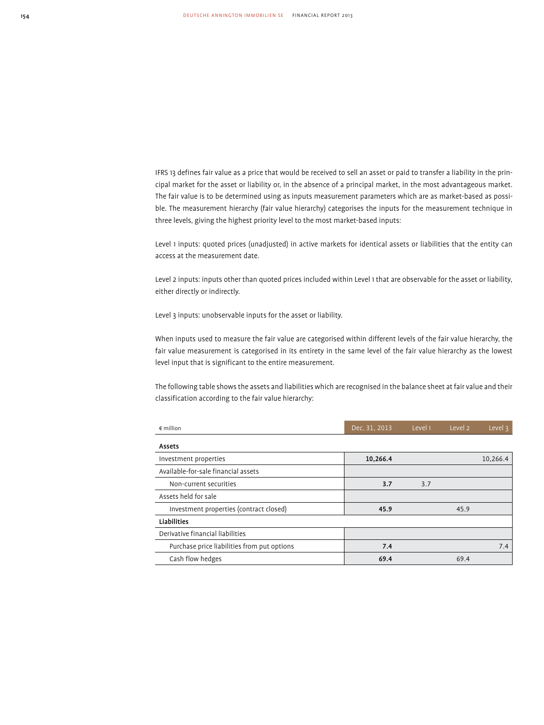IFRS 13 defines fair value as a price that would be received to sell an asset or paid to transfer a liability in the principal market for the asset or liability or, in the absence of a principal market, in the most advantageous market. The fair value is to be determined using as inputs measurement parameters which are as market-based as possible. The measurement hierarchy (fair value hierarchy) categorises the inputs for the measurement technique in three levels, giving the highest priority level to the most market-based inputs:

Level 1 inputs: quoted prices (unadjusted) in active markets for identical assets or liabilities that the entity can access at the measurement date.

Level 2 inputs: inputs other than quoted prices included within Level 1 that are observable for the asset or liability, either directly or indirectly.

Level 3 inputs: unobservable inputs for the asset or liability.

When inputs used to measure the fair value are categorised within different levels of the fair value hierarchy, the fair value measurement is categorised in its entirety in the same level of the fair value hierarchy as the lowest level input that is significant to the entire measurement.

The following table shows the assets and liabilities which are recognised in the balance sheet at fair value and their classification according to the fair value hierarchy:

| $\epsilon$ million                          | Dec. 31, 2013 | Level 1 | Level 2 | Level 3  |
|---------------------------------------------|---------------|---------|---------|----------|
| Assets                                      |               |         |         |          |
| Investment properties                       | 10,266.4      |         |         | 10,266.4 |
| Available-for-sale financial assets         |               |         |         |          |
| Non-current securities                      | 3.7           | 3.7     |         |          |
| Assets held for sale                        |               |         |         |          |
| Investment properties (contract closed)     | 45.9          |         | 45.9    |          |
| <b>Liabilities</b>                          |               |         |         |          |
| Derivative financial liabilities            |               |         |         |          |
| Purchase price liabilities from put options | 7.4           |         |         | 7.4      |
| Cash flow hedges                            | 69.4          |         | 69.4    |          |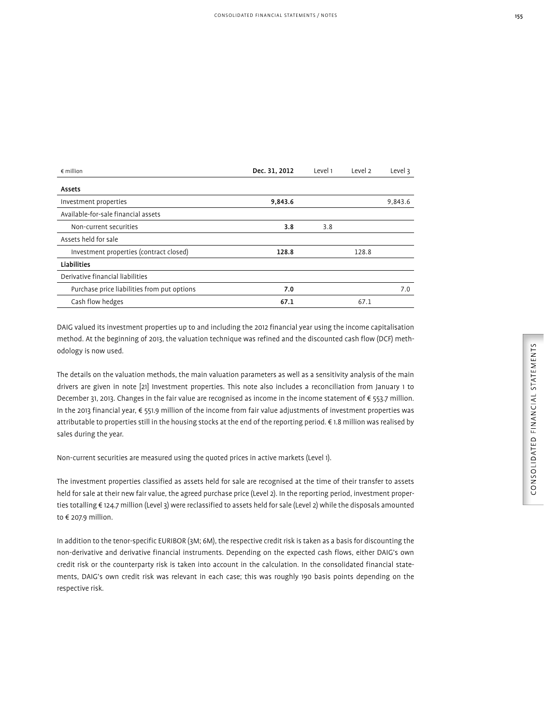| $\epsilon$ million                          | Dec. 31, 2012 | Level 1 | Level 2 | Level 3 |
|---------------------------------------------|---------------|---------|---------|---------|
| Assets                                      |               |         |         |         |
| Investment properties                       | 9,843.6       |         |         | 9,843.6 |
| Available-for-sale financial assets         |               |         |         |         |
| Non-current securities                      | 3.8           | 3.8     |         |         |
| Assets held for sale                        |               |         |         |         |
| Investment properties (contract closed)     | 128.8         |         | 128.8   |         |
| <b>Liabilities</b>                          |               |         |         |         |
| Derivative financial liabilities            |               |         |         |         |
| Purchase price liabilities from put options | 7.0           |         |         | 7.0     |
| Cash flow hedges                            | 67.1          |         | 67.1    |         |

DAIG valued its investment properties up to and including the 2012 financial year using the income capitalisation method. At the beginning of 2013, the valuation technique was refined and the discounted cash flow (DCF) methodology is now used.

The details on the valuation methods, the main valuation parameters as well as a sensitivity analysis of the main drivers are given in note [21] Investment properties. This note also includes a reconciliation from January 1 to December 31, 2013. Changes in the fair value are recognised as income in the income statement of € 553.7 million. In the 2013 financial year, € 551.9 million of the income from fair value adjustments of investment properties was attributable to properties still in the housing stocks at the end of the reporting period. € 1.8 million was realised by sales during the year.

Non-current securities are measured using the quoted prices in active markets (Level 1).

The investment properties classified as assets held for sale are recognised at the time of their transfer to assets held for sale at their new fair value, the agreed purchase price (Level 2). In the reporting period, investment properties totalling € 124.7 million (Level 3) were reclassified to assets held for sale (Level 2) while the disposals amounted to € 207.9 million.

In addition to the tenor-specific EURIBOR (3M; 6M), the respective credit risk is taken as a basis for discounting the non-derivative and derivative financial instruments. Depending on the expected cash flows, either DAIG's own credit risk or the counterparty risk is taken into account in the calculation. In the consolidated financial statements, DAIG's own credit risk was relevant in each case; this was roughly 190 basis points depending on the respective risk.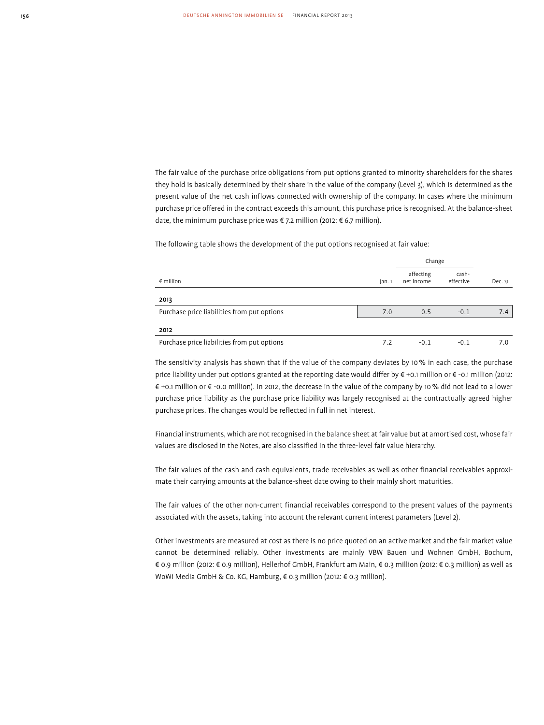The fair value of the purchase price obligations from put options granted to minority shareholders for the shares they hold is basically determined by their share in the value of the company (Level 3), which is determined as the present value of the net cash inflows connected with ownership of the company. In cases where the minimum purchase price offered in the contract exceeds this amount, this purchase price is recognised. At the balance-sheet date, the minimum purchase price was € 7.2 million (2012: € 6.7 million).

The following table shows the development of the put options recognised at fair value:

|                                             |        | Change                  |                    |         |
|---------------------------------------------|--------|-------------------------|--------------------|---------|
| $\epsilon$ million                          | Jan. 1 | affecting<br>net income | cash-<br>effective | Dec. 31 |
| 2013                                        |        |                         |                    |         |
| Purchase price liabilities from put options | 7.0    | 0.5                     | $-0.1$             | 7.4     |
| 2012                                        |        |                         |                    |         |
| Purchase price liabilities from put options | 7.2    | $-0.1$                  | $-0.1$             | 7.0     |

The sensitivity analysis has shown that if the value of the company deviates by 10 % in each case, the purchase price liability under put options granted at the reporting date would differ by € +0.1 million or € -0.1 million (2012: € +0.1 million or € -0.0 million). In 2012, the decrease in the value of the company by 10 % did not lead to a lower purchase price liability as the purchase price liability was largely recognised at the contractually agreed higher purchase prices. The changes would be reflected in full in net interest.

Financial instruments, which are not recognised in the balance sheet at fair value but at amortised cost, whose fair values are disclosed in the Notes, are also classified in the three-level fair value hierarchy.

The fair values of the cash and cash equivalents, trade receivables as well as other financial receivables approximate their carrying amounts at the balance-sheet date owing to their mainly short maturities.

The fair values of the other non-current financial receivables correspond to the present values of the payments associated with the assets, taking into account the relevant current interest parameters (Level 2).

Other investments are measured at cost as there is no price quoted on an active market and the fair market value cannot be determined reliably. Other investments are mainly VBW Bauen und Wohnen GmbH, Bochum, € 0.9 million (2012: € 0.9 million), Hellerhof GmbH, Frankfurt am Main, € 0.3 million (2012: € 0.3 million) as well as WoWi Media GmbH & Co. KG, Hamburg, € 0.3 million (2012: € 0.3 million).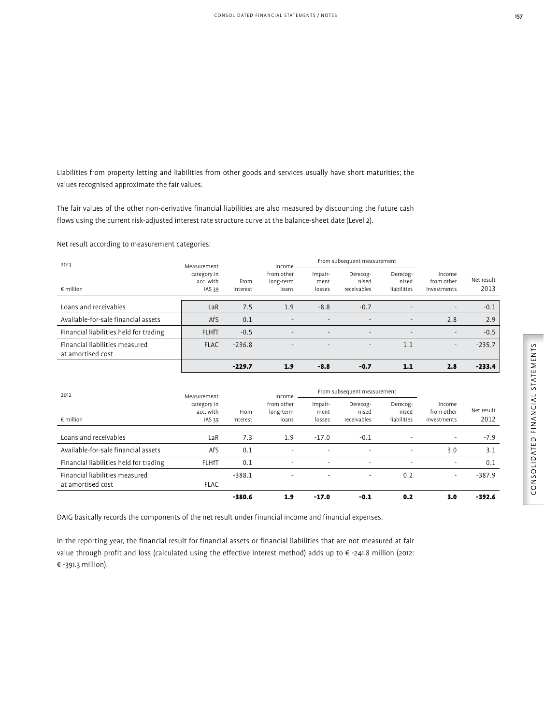Liabilities from property letting and liabilities from other goods and services usually have short maturities; the values recognised approximate the fair values.

The fair values of the other non-derivative financial liabilities are also measured by discounting the future cash flows using the current risk-adjusted interest rate structure curve at the balance-sheet date (Level 2).

Net result according to measurement categories:

| 2013                                                | Measurement                        | From subsequent measurement |                                  |                           |                                  |                                  | Income                              |                    |  |  |
|-----------------------------------------------------|------------------------------------|-----------------------------|----------------------------------|---------------------------|----------------------------------|----------------------------------|-------------------------------------|--------------------|--|--|
| $\epsilon$ million                                  | category in<br>acc. with<br>IAS 39 | From<br>interest            | from other<br>long-term<br>loans | Impair-<br>ment<br>losses | Derecog-<br>nised<br>receivables | Derecog-<br>nised<br>liabilities | Income<br>from other<br>investments | Net result<br>2013 |  |  |
|                                                     |                                    |                             |                                  |                           |                                  |                                  |                                     |                    |  |  |
| Loans and receivables                               | LaR                                | 7.5                         | 1.9                              | $-8.8$                    | $-0.7$                           | $\overline{\phantom{a}}$         | $\overline{\phantom{a}}$            | $-0.1$             |  |  |
| Available-for-sale financial assets                 | AfS                                | 0.1                         | $\qquad \qquad -$                |                           | $\overline{\phantom{0}}$         | $\overline{\phantom{a}}$         | 2.8                                 | 2.9                |  |  |
| Financial liabilities held for trading              | <b>FLHfT</b>                       | $-0.5$                      | $\overline{\phantom{0}}$         | $\overline{\phantom{a}}$  | $\overline{\phantom{a}}$         | $\overline{\phantom{a}}$         | $\sim$                              | $-0.5$             |  |  |
| Financial liabilities measured<br>at amortised cost | <b>FLAC</b>                        | $-236.8$                    |                                  |                           | $\overline{\phantom{a}}$         | 1.1                              | $\overline{\phantom{0}}$            | $-235.7$           |  |  |
|                                                     |                                    | $-229.7$                    | 1.9                              | $-8.8$                    | $-0.7$                           | 1.1                              | 2.8                                 | $-233.4$           |  |  |

| 2012                                                | Measurement                                   |                  | Income                           |                           | From subsequent measurement      |                                  |                                     |                    |
|-----------------------------------------------------|-----------------------------------------------|------------------|----------------------------------|---------------------------|----------------------------------|----------------------------------|-------------------------------------|--------------------|
| $\epsilon$ million                                  | category in<br>acc. with<br>IAS <sub>39</sub> | From<br>interest | from other<br>long-term<br>loans | Impair-<br>ment<br>losses | Derecog-<br>nised<br>receivables | Derecog-<br>nised<br>liabilities | Income<br>from other<br>investments | Net result<br>2012 |
| Loans and receivables                               | LaR                                           | 7.3              | 1.9                              | $-17.0$                   | $-0.1$                           |                                  | $\overline{\phantom{a}}$            | $-7.9$             |
| Available-for-sale financial assets                 | AfS                                           | 0.1              | $\overline{\phantom{0}}$         |                           | $\overline{\phantom{0}}$         | $\overline{\phantom{0}}$         | 3.0                                 | 3.1                |
| Financial liabilities held for trading              | <b>FLHfT</b>                                  | 0.1              | $\overline{\phantom{0}}$         | $\overline{\phantom{a}}$  | $\overline{\phantom{a}}$         | $\overline{\phantom{a}}$         | $\overline{\phantom{a}}$            | 0.1                |
| Financial liabilities measured<br>at amortised cost | <b>FLAC</b>                                   | $-388.1$         | $\overline{\phantom{0}}$         | $\overline{\phantom{a}}$  | $\overline{\phantom{a}}$         | 0.2                              | $\overline{\phantom{a}}$            | $-387.9$           |
|                                                     |                                               | $-380.6$         | 1.9                              | $-17.0$                   | $-0.1$                           | 0.2                              | 3.0                                 | $-392.6$           |

DAIG basically records the components of the net result under financial income and financial expenses.

In the reporting year, the financial result for financial assets or financial liabilities that are not measured at fair value through profit and loss (calculated using the effective interest method) adds up to € -241.8 million (2012: € -391.3 million).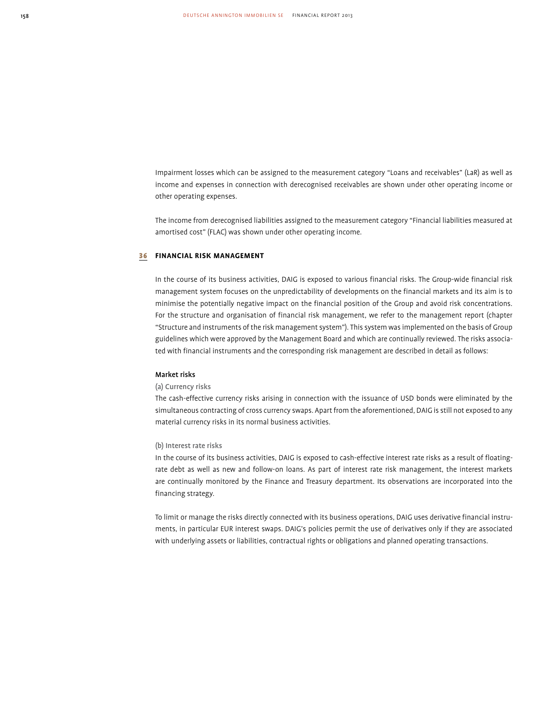Impairment losses which can be assigned to the measurement category "Loans and receivables" (LaR) as well as income and expenses in connection with derecognised receivables are shown under other operating income or other operating expenses.

The income from derecognised liabilities assigned to the measurement category "Financial liabilities measured at amortised cost" (FLAC) was shown under other operating income.

### 36 **FINANCIAL RISK MANAGEMENT**

In the course of its business activities, DAIG is exposed to various financial risks. The Group-wide financial risk management system focuses on the unpredictability of developments on the financial markets and its aim is to minimise the potentially negative impact on the financial position of the Group and avoid risk concentrations. For the structure and organisation of financial risk management, we refer to the management report (chapter "Structure and instruments of the risk management system"). This system was implemented on the basis of Group guidelines which were approved by the Management Board and which are continually reviewed. The risks associated with financial instruments and the corresponding risk management are described in detail as follows:

### Market risks

### (a) Currency risks

The cash-effective currency risks arising in connection with the issuance of USD bonds were eliminated by the simultaneous contracting of cross currency swaps. Apart from the aforementioned, DAIG is still not exposed to any material currency risks in its normal business activities.

### (b) Interest rate risks

In the course of its business activities, DAIG is exposed to cash-effective interest rate risks as a result of floatingrate debt as well as new and follow-on loans. As part of interest rate risk management, the interest markets are continually monitored by the Finance and Treasury department. Its observations are incorporated into the financing strategy.

To limit or manage the risks directly connected with its business operations, DAIG uses derivative financial instruments, in particular EUR interest swaps. DAIG's policies permit the use of derivatives only if they are associated with underlying assets or liabilities, contractual rights or obligations and planned operating transactions.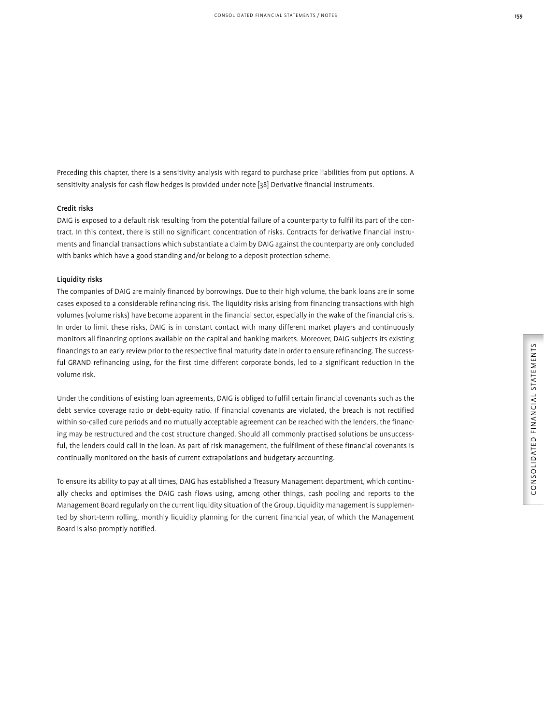Preceding this chapter, there is a sensitivity analysis with regard to purchase price liabilities from put options. A sensitivity analysis for cash flow hedges is provided under note [38] Derivative financial instruments.

### Credit risks

DAIG is exposed to a default risk resulting from the potential failure of a counterparty to fulfil its part of the contract. In this context, there is still no significant concentration of risks. Contracts for derivative financial instruments and financial transactions which substantiate a claim by DAIG against the counterparty are only concluded with banks which have a good standing and/or belong to a deposit protection scheme.

### Liquidity risks

The companies of DAIG are mainly financed by borrowings. Due to their high volume, the bank loans are in some cases exposed to a considerable refinancing risk. The liquidity risks arising from financing transactions with high volumes (volume risks) have become apparent in the financial sector, especially in the wake of the financial crisis. In order to limit these risks, DAIG is in constant contact with many different market players and continuously monitors all financing options available on the capital and banking markets. Moreover, DAIG subjects its existing financings to an early review prior to the respective final maturity date in order to ensure refinancing. The successful GRAND refinancing using, for the first time different corporate bonds, led to a significant reduction in the volume risk.

Under the conditions of existing loan agreements, DAIG is obliged to fulfil certain financial covenants such as the debt service coverage ratio or debt-equity ratio. If financial covenants are violated, the breach is not rectified within so-called cure periods and no mutually acceptable agreement can be reached with the lenders, the financing may be restructured and the cost structure changed. Should all commonly practised solutions be unsuccessful, the lenders could call in the loan. As part of risk management, the fulfilment of these financial covenants is continually monitored on the basis of current extrapolations and budgetary accounting.

To ensure its ability to pay at all times, DAIG has established a Treasury Management department, which continually checks and optimises the DAIG cash flows using, among other things, cash pooling and reports to the Management Board regularly on the current liquidity situation of the Group. Liquidity management is supplemented by short-term rolling, monthly liquidity planning for the current financial year, of which the Management Board is also promptly notified.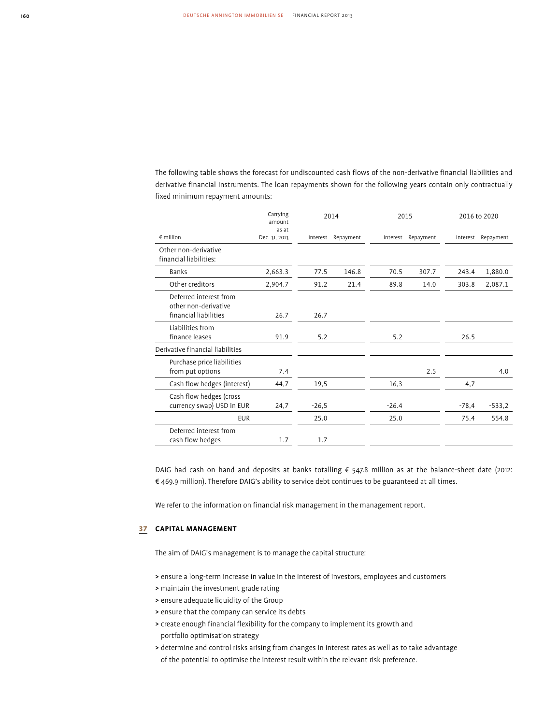The following table shows the forecast for undiscounted cash flows of the non-derivative financial liabilities and derivative financial instruments. The loan repayments shown for the following years contain only contractually fixed minimum repayment amounts:

|                                                                         | Carrying<br>amount     | 2014     |           | 2015     |           |          | 2016 to 2020 |  |
|-------------------------------------------------------------------------|------------------------|----------|-----------|----------|-----------|----------|--------------|--|
| $\notin$ million                                                        | as at<br>Dec. 31, 2013 | Interest | Repayment | Interest | Repayment | Interest | Repayment    |  |
| Other non-derivative<br>financial liabilities:                          |                        |          |           |          |           |          |              |  |
| Banks                                                                   | 2,663.3                | 77.5     | 146.8     | 70.5     | 307.7     | 243.4    | 1,880.0      |  |
| Other creditors                                                         | 2,904.7                | 91.2     | 21.4      | 89.8     | 14.0      | 303.8    | 2,087.1      |  |
| Deferred interest from<br>other non-derivative<br>financial liabilities | 26.7                   | 26.7     |           |          |           |          |              |  |
| Liabilities from<br>finance leases                                      | 91.9                   | 5.2      |           | 5.2      |           | 26.5     |              |  |
| Derivative financial liabilities                                        |                        |          |           |          |           |          |              |  |
| Purchase price liabilities<br>from put options                          | 7.4                    |          |           |          | 2.5       |          | 4.0          |  |
| Cash flow hedges (interest)                                             | 44,7                   | 19,5     |           | 16,3     |           | 4,7      |              |  |
| Cash flow hedges (cross<br>currency swap) USD in EUR                    | 24,7                   | $-26,5$  |           | $-26.4$  |           | $-78,4$  | $-533,2$     |  |
| <b>EUR</b>                                                              |                        | 25.0     |           | 25.0     |           | 75.4     | 554.8        |  |
| Deferred interest from<br>cash flow hedges                              | 1.7                    | 1.7      |           |          |           |          |              |  |

DAIG had cash on hand and deposits at banks totalling € 547.8 million as at the balance-sheet date (2012: € 469.9 million). Therefore DAIG's ability to service debt continues to be guaranteed at all times.

We refer to the information on financial risk management in the management report.

# 37 **CAPITAL MANAGEMENT**

The aim of DAIG's management is to manage the capital structure:

- > ensure a long-term increase in value in the interest of investors, employees and customers
- > maintain the investment grade rating
- > ensure adequate liquidity of the Group
- > ensure that the company can service its debts
- > create enough financial flexibility for the company to implement its growth and portfolio optimisation strategy
- > determine and control risks arising from changes in interest rates as well as to take advantage of the potential to optimise the interest result within the relevant risk preference.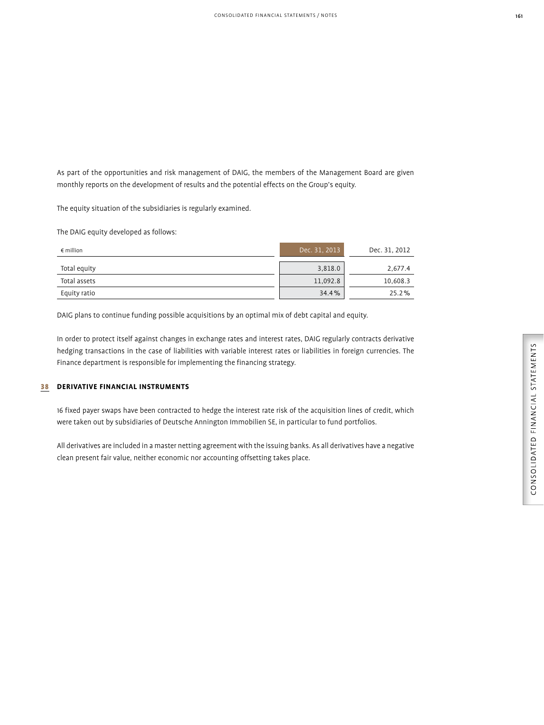As part of the opportunities and risk management of DAIG, the members of the Management Board are given monthly reports on the development of results and the potential effects on the Group's equity.

The equity situation of the subsidiaries is regularly examined.

The DAIG equity developed as follows:

| $\epsilon$ million | Dec. 31, 2013 | Dec. 31, 2012 |
|--------------------|---------------|---------------|
| Total equity       | 3,818.0       | 2,677.4       |
| Total assets       | 11,092.8      | 10,608.3      |
| Equity ratio       | 34.4%         | 25.2%         |

DAIG plans to continue funding possible acquisitions by an optimal mix of debt capital and equity.

In order to protect itself against changes in exchange rates and interest rates, DAIG regularly contracts derivative hedging transactions in the case of liabilities with variable interest rates or liabilities in foreign currencies. The Finance department is responsible for implementing the financing strategy.

### 38 **DERIVATIVE FINANCIAL INSTRUMENTS**

16 fixed payer swaps have been contracted to hedge the interest rate risk of the acquisition lines of credit, which were taken out by subsidiaries of Deutsche Annington Immobilien SE, in particular to fund portfolios.

All derivatives are included in a master netting agreement with the issuing banks. As all derivatives have a negative clean present fair value, neither economic nor accounting offsetting takes place.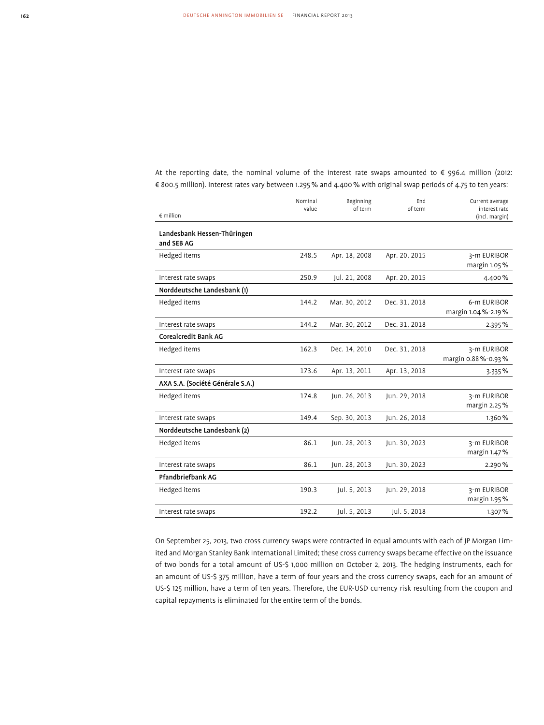At the reporting date, the nominal volume of the interest rate swaps amounted to € 996.4 million (2012: € 800.5 million). Interest rates vary between 1.295 % and 4.400 % with original swap periods of 4.75 to ten years:

|                                           | Nominal | Beginning     | End           | Current average                     |
|-------------------------------------------|---------|---------------|---------------|-------------------------------------|
| $\notin$ million                          | value   | of term       | of term       | interest rate<br>(incl. margin)     |
| Landesbank Hessen-Thüringen<br>and SEB AG |         |               |               |                                     |
| Hedged items                              | 248.5   | Apr. 18, 2008 | Apr. 20, 2015 | 3-m EURIBOR<br>margin 1.05%         |
| Interest rate swaps                       | 250.9   | Jul. 21, 2008 | Apr. 20, 2015 | 4.400%                              |
| Norddeutsche Landesbank (1)               |         |               |               |                                     |
| Hedged items                              | 144.2   | Mar. 30, 2012 | Dec. 31, 2018 | 6-m EURIBOR<br>margin 1.04 %-2.19 % |
| Interest rate swaps                       | 144.2   | Mar. 30, 2012 | Dec. 31, 2018 | 2.395%                              |
| Corealcredit Bank AG                      |         |               |               |                                     |
| Hedged items                              | 162.3   | Dec. 14, 2010 | Dec. 31, 2018 | 3-m EURIBOR<br>margin 0.88 %-0.93 % |
| Interest rate swaps                       | 173.6   | Apr. 13, 2011 | Apr. 13, 2018 | 3.335%                              |
| AXA S.A. (Société Générale S.A.)          |         |               |               |                                     |
| Hedged items                              | 174.8   | Jun. 26, 2013 | Jun. 29, 2018 | 3-m EURIBOR<br>margin 2.25%         |
| Interest rate swaps                       | 149.4   | Sep. 30, 2013 | Jun. 26, 2018 | 1.360%                              |
| Norddeutsche Landesbank (2)               |         |               |               |                                     |
| Hedged items                              | 86.1    | Jun. 28, 2013 | Jun. 30, 2023 | 3-m EURIBOR<br>margin 1.47%         |
| Interest rate swaps                       | 86.1    | Jun. 28, 2013 | Jun. 30, 2023 | 2.290%                              |
| Pfandbriefbank AG                         |         |               |               |                                     |
| Hedged items                              | 190.3   | Jul. 5, 2013  | Jun. 29, 2018 | 3-m EURIBOR<br>margin 1.95%         |
| Interest rate swaps                       | 192.2   | Jul. 5, 2013  | Jul. 5, 2018  | 1.307%                              |

On September 25, 2013, two cross currency swaps were contracted in equal amounts with each of JP Morgan Limited and Morgan Stanley Bank International Limited; these cross currency swaps became effective on the issuance of two bonds for a total amount of US-\$ 1,000 million on October 2, 2013. The hedging instruments, each for an amount of US-\$ 375 million, have a term of four years and the cross currency swaps, each for an amount of US-\$ 125 million, have a term of ten years. Therefore, the EUR-USD currency risk resulting from the coupon and capital repayments is eliminated for the entire term of the bonds.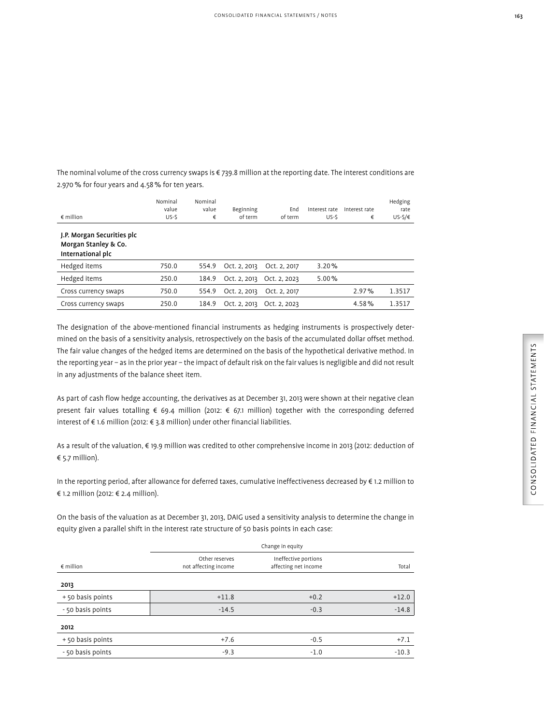The nominal volume of the cross currency swaps is € 739.8 million at the reporting date. The interest conditions are 2.970 % for four years and 4.58 % for ten years.

| $\epsilon$ million                                                      | Nominal<br>value<br>US-S | Nominal<br>value<br>€ | Beginning<br>of term | End<br>of term | Interest rate<br>US-S | Interest rate<br>€ | Hedging<br>rate<br>$US-S/E$ |
|-------------------------------------------------------------------------|--------------------------|-----------------------|----------------------|----------------|-----------------------|--------------------|-----------------------------|
| J.P. Morgan Securities plc<br>Morgan Stanley & Co.<br>International plc |                          |                       |                      |                |                       |                    |                             |
| Hedged items                                                            | 750.0                    | 554.9                 | Oct. 2, 2013         | Oct. 2, 2017   | 3.20%                 |                    |                             |
| Hedged items                                                            | 250.0                    | 184.9                 | Oct. 2, 2013         | Oct. 2, 2023   | 5.00%                 |                    |                             |
| Cross currency swaps                                                    | 750.0                    | 554.9                 | Oct. 2, 2013         | Oct. 2, 2017   |                       | 2.97%              | 1.3517                      |
| Cross currency swaps                                                    | 250.0                    | 184.9                 | Oct. 2, 2013         | Oct. 2, 2023   |                       | 4.58%              | 1.3517                      |
|                                                                         |                          |                       |                      |                |                       |                    |                             |

The designation of the above-mentioned financial instruments as hedging instruments is prospectively determined on the basis of a sensitivity analysis, retrospectively on the basis of the accumulated dollar offset method. The fair value changes of the hedged items are determined on the basis of the hypothetical derivative method. In the reporting year – as in the prior year – the impact of default risk on the fair values is negligible and did not result in any adjustments of the balance sheet item.

As part of cash flow hedge accounting, the derivatives as at December 31, 2013 were shown at their negative clean present fair values totalling € 69.4 million (2012: € 67.1 million) together with the corresponding deferred interest of € 1.6 million (2012: € 3.8 million) under other financial liabilities.

As a result of the valuation, € 19.9 million was credited to other comprehensive income in 2013 (2012: deduction of € 5.7 million).

In the reporting period, after allowance for deferred taxes, cumulative ineffectiveness decreased by € 1.2 million to € 1.2 million (2012: € 2.4 million).

On the basis of the valuation as at December 31, 2013, DAIG used a sensitivity analysis to determine the change in equity given a parallel shift in the interest rate structure of 50 basis points in each case:

|                    |                                        | Change in equity                             |         |  |  |
|--------------------|----------------------------------------|----------------------------------------------|---------|--|--|
| $\epsilon$ million | Other reserves<br>not affecting income | Ineffective portions<br>affecting net income | Total   |  |  |
| 2013               |                                        |                                              |         |  |  |
| +50 basis points   | $+11.8$                                | $+0.2$                                       | $+12.0$ |  |  |
| - 50 basis points  | $-14.5$                                | $-0.3$                                       | $-14.8$ |  |  |
| 2012               |                                        |                                              |         |  |  |
| +50 basis points   | $+7.6$                                 | $-0.5$                                       | $+7.1$  |  |  |
| - 50 basis points  | $-9.3$                                 | $-1.0$                                       | $-10.3$ |  |  |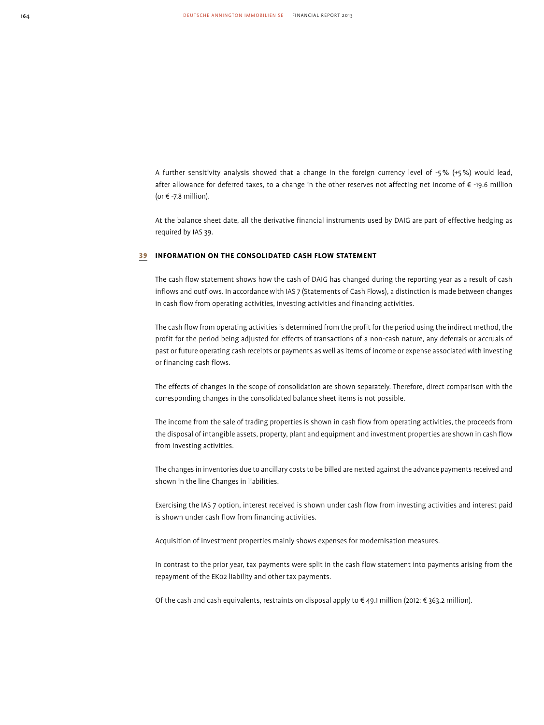A further sensitivity analysis showed that a change in the foreign currency level of -5 % (+5 %) would lead, after allowance for deferred taxes, to a change in the other reserves not affecting net income of € -19.6 million (or  $\epsilon$  -7.8 million).

At the balance sheet date, all the derivative financial instruments used by DAIG are part of effective hedging as required by IAS 39.

#### 39 **INFORMATION ON THE CONSOLIDATED CASH FLOW STATEMENT**

The cash flow statement shows how the cash of DAIG has changed during the reporting year as a result of cash inflows and outflows. In accordance with IAS 7 (Statements of Cash Flows), a distinction is made between changes in cash flow from operating activities, investing activities and financing activities.

The cash flow from operating activities is determined from the profit for the period using the indirect method, the profit for the period being adjusted for effects of transactions of a non-cash nature, any deferrals or accruals of past or future operating cash receipts or payments as well as items of income or expense associated with investing or financing cash flows.

The effects of changes in the scope of consolidation are shown separately. Therefore, direct comparison with the corresponding changes in the consolidated balance sheet items is not possible.

The income from the sale of trading properties is shown in cash flow from operating activities, the proceeds from the disposal of intangible assets, property, plant and equipment and investment properties are shown in cash flow from investing activities.

The changes in inventories due to ancillary costs to be billed are netted against the advance payments received and shown in the line Changes in liabilities.

Exercising the IAS 7 option, interest received is shown under cash flow from investing activities and interest paid is shown under cash flow from financing activities.

Acquisition of investment properties mainly shows expenses for modernisation measures.

In contrast to the prior year, tax payments were split in the cash flow statement into payments arising from the repayment of the EK02 liability and other tax payments.

Of the cash and cash equivalents, restraints on disposal apply to € 49.1 million (2012: € 363.2 million).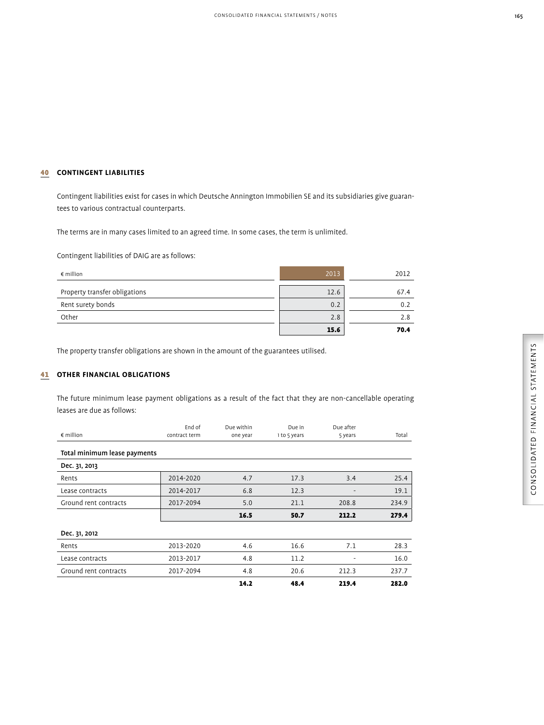## 40 **CONTINGENT LIABILITIES**

Contingent liabilities exist for cases in which Deutsche Annington Immobilien SE and its subsidiaries give guarantees to various contractual counterparts.

The terms are in many cases limited to an agreed time. In some cases, the term is unlimited.

Contingent liabilities of DAIG are as follows:

| $\epsilon$ million            | 2013 | 2012 |
|-------------------------------|------|------|
| Property transfer obligations | 12.6 | 67.4 |
| Rent surety bonds             | 0.2  | 0.2  |
| Other                         | 2.8  | 2.8  |
|                               | 15.6 | 70.4 |

The property transfer obligations are shown in the amount of the guarantees utilised.

## 41 **OTHER FINANCIAL OBLIGATIONS**

The future minimum lease payment obligations as a result of the fact that they are non-cancellable operating leases are due as follows:

| $\epsilon$ million           | End of<br>contract term | Due within<br>one year | Due in<br>1 to 5 years | Due after<br>5 years     | Total |
|------------------------------|-------------------------|------------------------|------------------------|--------------------------|-------|
| Total minimum lease payments |                         |                        |                        |                          |       |
| Dec. 31, 2013                |                         |                        |                        |                          |       |
| Rents                        | 2014-2020               | 4.7                    | 17.3                   | 3.4                      | 25.4  |
| Lease contracts              | 2014-2017               | 6.8                    | 12.3                   | $\overline{\phantom{a}}$ | 19.1  |
| Ground rent contracts        | 2017-2094               | 5.0                    | 21.1                   | 208.8                    | 234.9 |
|                              |                         | 16.5                   | 50.7                   | 212.2                    | 279.4 |
| Dec. 31, 2012                |                         |                        |                        |                          |       |
| Rents                        | 2013-2020               | 4.6                    | 16.6                   | 7.1                      | 28.3  |
| Lease contracts              | 2013-2017               | 4.8                    | 11.2                   |                          | 16.0  |
| Ground rent contracts        | 2017-2094               | 4.8                    | 20.6                   | 212.3                    | 237.7 |
|                              |                         | 14.2                   | 48.4                   | 219.4                    | 282.0 |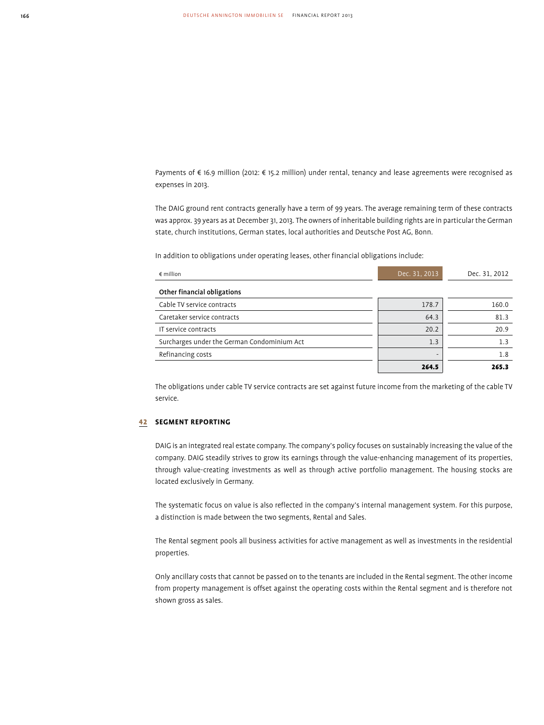Payments of € 16.9 million (2012: € 15.2 million) under rental, tenancy and lease agreements were recognised as expenses in 2013.

The DAIG ground rent contracts generally have a term of 99 years. The average remaining term of these contracts was approx. 39 years as at December 31, 2013. The owners of inheritable building rights are in particular the German state, church institutions, German states, local authorities and Deutsche Post AG, Bonn.

In addition to obligations under operating leases, other financial obligations include:

| $\epsilon$ million                          | Dec. 31, 2013 | Dec. 31, 2012 |
|---------------------------------------------|---------------|---------------|
| Other financial obligations                 |               |               |
| Cable TV service contracts                  | 178.7         | 160.0         |
| Caretaker service contracts                 | 64.3          | 81.3          |
| IT service contracts                        | 20.2          | 20.9          |
| Surcharges under the German Condominium Act | 1.3           | 1.3           |
| Refinancing costs                           | -             | 1.8           |
|                                             | 264.5         | 265.3         |

The obligations under cable TV service contracts are set against future income from the marketing of the cable TV service.

## 42 **SEGMENT REPORTING**

DAIG is an integrated real estate company. The company's policy focuses on sustainably increasing the value of the company. DAIG steadily strives to grow its earnings through the value-enhancing management of its properties, through value-creating investments as well as through active portfolio management. The housing stocks are located exclusively in Germany.

The systematic focus on value is also reflected in the company's internal management system. For this purpose, a distinction is made between the two segments, Rental and Sales.

The Rental segment pools all business activities for active management as well as investments in the residential properties.

Only ancillary costs that cannot be passed on to the tenants are included in the Rental segment. The other income from property management is offset against the operating costs within the Rental segment and is therefore not shown gross as sales.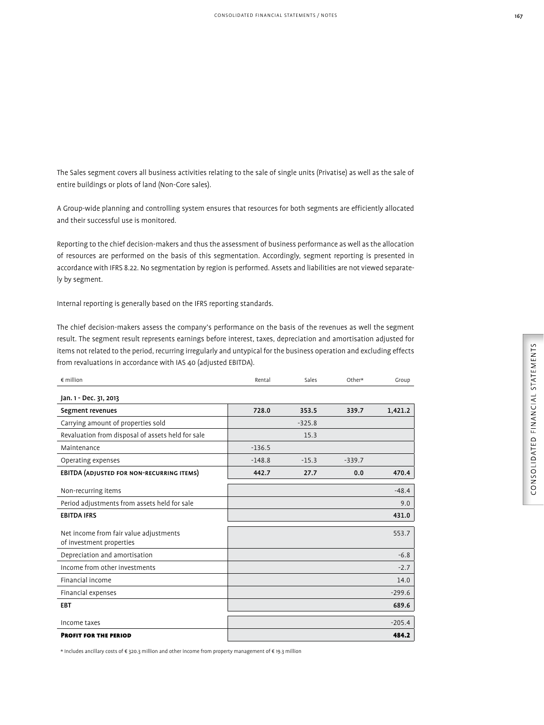The Sales segment covers all business activities relating to the sale of single units (Privatise) as well as the sale of entire buildings or plots of land (Non-Core sales).

A Group-wide planning and controlling system ensures that resources for both segments are efficiently allocated and their successful use is monitored.

Reporting to the chief decision-makers and thus the assessment of business performance as well as the allocation of resources are performed on the basis of this segmentation. Accordingly, segment reporting is presented in accordance with IFRS 8.22. No segmentation by region is performed. Assets and liabilities are not viewed separately by segment.

Internal reporting is generally based on the IFRS reporting standards.

The chief decision-makers assess the company's performance on the basis of the revenues as well the segment result. The segment result represents earnings before interest, taxes, depreciation and amortisation adjusted for items not related to the period, recurring irregularly and untypical for the business operation and excluding effects from revaluations in accordance with IAS 40 (adjusted EBITDA).

| $\epsilon$ million                                                 | Rental   | Sales    | Other*   | Group    |
|--------------------------------------------------------------------|----------|----------|----------|----------|
| Jan. 1 - Dec. 31, 2013                                             |          |          |          |          |
| Segment revenues                                                   | 728.0    | 353.5    | 339.7    | 1,421.2  |
| Carrying amount of properties sold                                 |          | $-325.8$ |          |          |
| Revaluation from disposal of assets held for sale                  |          | 15.3     |          |          |
| Maintenance                                                        | $-136.5$ |          |          |          |
| Operating expenses                                                 | $-148.8$ | $-15.3$  | $-339.7$ |          |
| <b>EBITDA (ADJUSTED FOR NON-RECURRING ITEMS)</b>                   | 442.7    | 27.7     | 0.0      | 470.4    |
| Non-recurring items                                                |          |          |          | $-48.4$  |
| Period adjustments from assets held for sale                       |          |          |          | 9.0      |
| <b>EBITDA IFRS</b>                                                 |          |          |          | 431.0    |
| Net income from fair value adjustments<br>of investment properties |          |          |          | 553.7    |
| Depreciation and amortisation                                      |          |          |          | $-6.8$   |
| Income from other investments                                      |          |          |          | $-2.7$   |
| Financial income                                                   |          |          |          | 14.0     |
| Financial expenses                                                 |          |          |          | $-299.6$ |
| <b>EBT</b>                                                         |          |          |          | 689.6    |
| Income taxes                                                       |          |          |          | $-205.4$ |
| <b>PROFIT FOR THE PERIOD</b>                                       |          |          |          | 484.2    |

\* Includes ancillary costs of € 320.3 million and other income from property management of € 19.3 million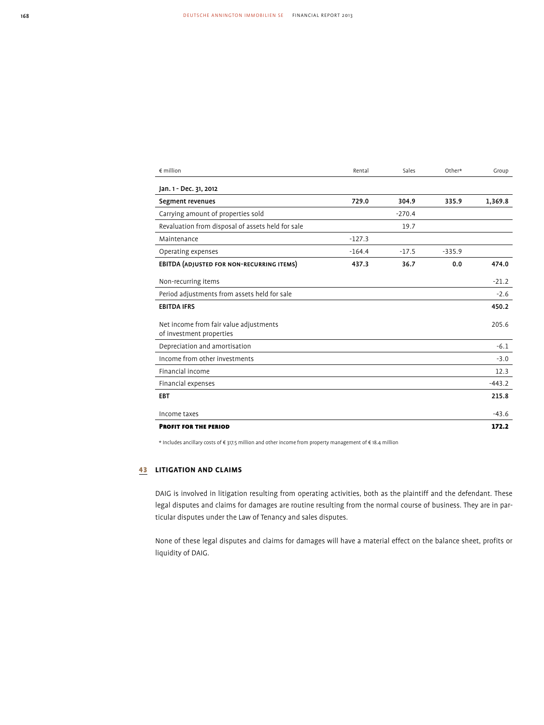| $\epsilon$ million                                                 | Rental   | Sales    | Other*   | Group    |
|--------------------------------------------------------------------|----------|----------|----------|----------|
| Jan. 1 - Dec. 31, 2012                                             |          |          |          |          |
| Segment revenues                                                   | 729.0    | 304.9    | 335.9    | 1,369.8  |
| Carrying amount of properties sold                                 |          | $-270.4$ |          |          |
| Revaluation from disposal of assets held for sale                  |          | 19.7     |          |          |
| Maintenance                                                        | $-127.3$ |          |          |          |
| Operating expenses                                                 | $-164.4$ | $-17.5$  | $-335.9$ |          |
| <b>EBITDA (ADJUSTED FOR NON-RECURRING ITEMS)</b>                   | 437.3    | 36.7     | 0.0      | 474.0    |
| Non-recurring items                                                |          |          |          | $-21.2$  |
| Period adjustments from assets held for sale                       |          |          |          | $-2.6$   |
| <b>EBITDA IFRS</b>                                                 |          |          |          | 450.2    |
| Net income from fair value adjustments<br>of investment properties |          |          |          | 205.6    |
| Depreciation and amortisation                                      |          |          |          | $-6.1$   |
| Income from other investments                                      |          |          |          | $-3.0$   |
| Financial income                                                   |          |          |          | 12.3     |
| Financial expenses                                                 |          |          |          | $-443.2$ |
| <b>EBT</b>                                                         |          |          |          | 215.8    |
| Income taxes                                                       |          |          |          | $-43.6$  |
| <b>PROFIT FOR THE PERIOD</b>                                       |          |          |          | 172.2    |

\* Includes ancillary costs of € 317.5 million and other income from property management of € 18.4 million

## 43 **LITIGATION AND CLAIMS**

DAIG is involved in litigation resulting from operating activities, both as the plaintiff and the defendant. These legal disputes and claims for damages are routine resulting from the normal course of business. They are in particular disputes under the Law of Tenancy and sales disputes.

None of these legal disputes and claims for damages will have a material effect on the balance sheet, profits or liquidity of DAIG.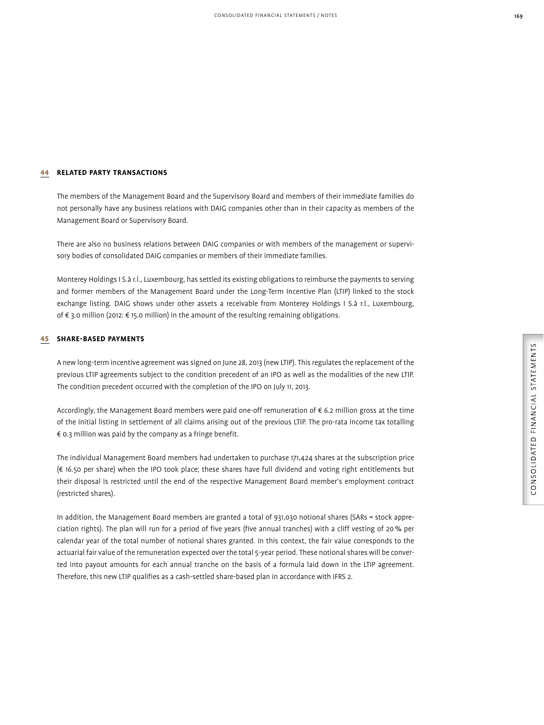## 44 **RELATED PARTY TRANSACTIONS**

The members of the Management Board and the Supervisory Board and members of their immediate families do not personally have any business relations with DAIG companies other than in their capacity as members of the Management Board or Supervisory Board.

There are also no business relations between DAIG companies or with members of the management or supervisory bodies of consolidated DAIG companies or members of their immediate families.

Monterey Holdings I S.à r.l., Luxembourg, has settled its existing obligations to reimburse the payments to serving and former members of the Management Board under the Long-Term Incentive Plan (LTIP) linked to the stock exchange listing. DAIG shows under other assets a receivable from Monterey Holdings I S.à r.l., Luxembourg, of € 3.0 million (2012: € 15.0 million) in the amount of the resulting remaining obligations.

## 45 **SHARE-BASED PAYMENTS**

A new long-term incentive agreement was signed on June 28, 2013 (new LTIP). This regulates the replacement of the previous LTIP agreements subject to the condition precedent of an IPO as well as the modalities of the new LTIP. The condition precedent occurred with the completion of the IPO on July 11, 2013.

Accordingly, the Management Board members were paid one-off remuneration of € 6.2 million gross at the time of the initial listing in settlement of all claims arising out of the previous LTIP. The pro-rata income tax totalling € 0.3 million was paid by the company as a fringe benefit.

The individual Management Board members had undertaken to purchase 171,424 shares at the subscription price (€ 16.50 per share) when the IPO took place; these shares have full dividend and voting right entitlements but their disposal is restricted until the end of the respective Management Board member's employment contract (restricted shares).

In addition, the Management Board members are granted a total of 931,030 notional shares (SARs = stock appreciation rights). The plan will run for a period of five years (five annual tranches) with a cliff vesting of 20 % per calendar year of the total number of notional shares granted. In this context, the fair value corresponds to the actuarial fair value of the remuneration expected over the total 5-year period. These notional shares will be converted into payout amounts for each annual tranche on the basis of a formula laid down in the LTIP agreement. Therefore, this new LTIP qualifies as a cash-settled share-based plan in accordance with IFRS 2.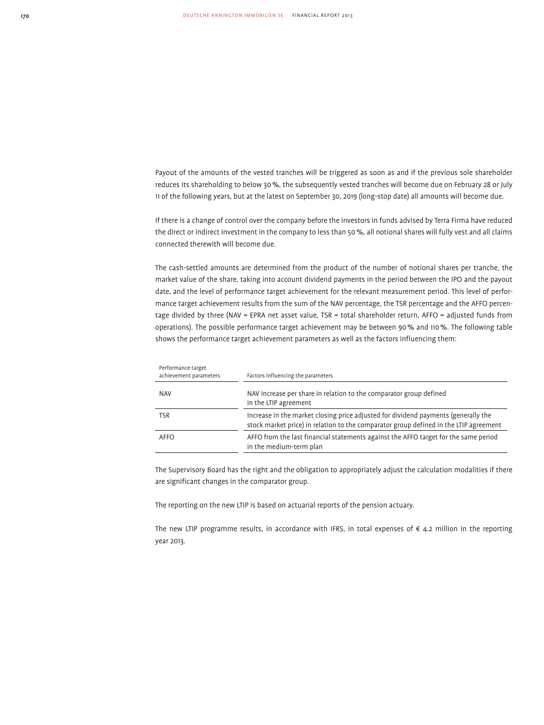Payout of the amounts of the vested tranches will be triggered as soon as and if the previous sole shareholder reduces its shareholding to below 30 %, the subsequently vested tranches will become due on February 28 or July 11 of the following years, but at the latest on September 30, 2019 (long-stop date) all amounts will become due.

If there is a change of control over the company before the investors in funds advised by Terra Firma have reduced the direct or indirect investment in the company to less than 50 %, all notional shares will fully vest and all claims connected therewith will become due.

The cash-settled amounts are determined from the product of the number of notional shares per tranche, the market value of the share, taking into account dividend payments in the period between the IPO and the payout date, and the level of performance target achievement for the relevant measurement period. This level of performance target achievement results from the sum of the NAV percentage, the TSR percentage and the AFFO percentage divided by three (NAV = EPRA net asset value, TSR = total shareholder return, AFFO = adjusted funds from operations). The possible performance target achievement may be between 90 % and 110 %. The following table shows the performance target achievement parameters as well as the factors influencing them:

| Performance target<br>achievement parameters | Factors influencing the parameters                                                                                                                                          |
|----------------------------------------------|-----------------------------------------------------------------------------------------------------------------------------------------------------------------------------|
| <b>NAV</b>                                   | NAV increase per share in relation to the comparator group defined<br>in the LTIP agreement                                                                                 |
| <b>TSR</b>                                   | Increase in the market closing price adjusted for dividend payments (generally the<br>stock market price) in relation to the comparator group defined in the LTIP agreement |
| AFFO                                         | AFFO from the last financial statements against the AFFO target for the same period<br>in the medium-term plan                                                              |

The Supervisory Board has the right and the obligation to appropriately adjust the calculation modalities if there are significant changes in the comparator group.

The reporting on the new LTIP is based on actuarial reports of the pension actuary.

The new LTIP programme results, in accordance with IFRS, in total expenses of  $\epsilon$  4.2 million in the reporting year 2013.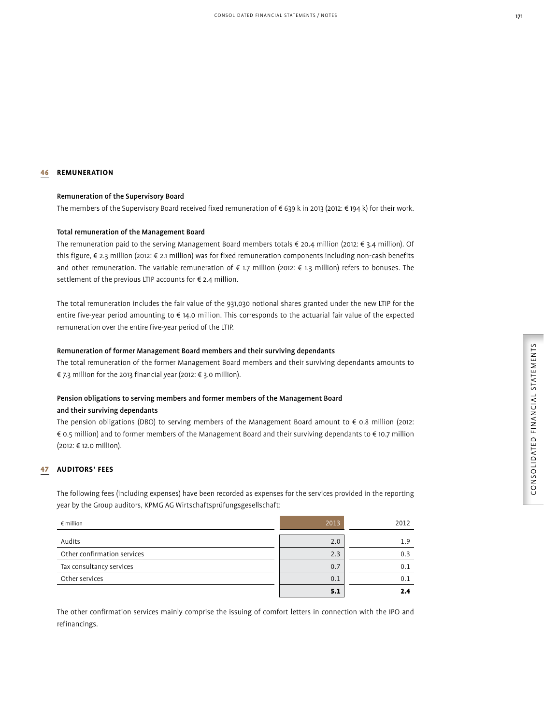## 46 **REMUNERATION**

#### Remuneration of the Supervisory Board

The members of the Supervisory Board received fixed remuneration of € 639 k in 2013 (2012: € 194 k) for their work.

### Total remuneration of the Management Board

The remuneration paid to the serving Management Board members totals € 20.4 million (2012: € 3.4 million). Of this figure, € 2.3 million (2012: € 2.1 million) was for fixed remuneration components including non-cash benefits and other remuneration. The variable remuneration of € 1.7 million (2012: € 1.3 million) refers to bonuses. The settlement of the previous LTIP accounts for € 2.4 million.

The total remuneration includes the fair value of the 931,030 notional shares granted under the new LTIP for the entire five-year period amounting to € 14.0 million. This corresponds to the actuarial fair value of the expected remuneration over the entire five-year period of the LTIP.

#### Remuneration of former Management Board members and their surviving dependants

The total remuneration of the former Management Board members and their surviving dependants amounts to € 7.3 million for the 2013 financial year (2012: € 3.0 million).

## Pension obligations to serving members and former members of the Management Board and their surviving dependants

The pension obligations (DBO) to serving members of the Management Board amount to € 0.8 million (2012: € 0.5 million) and to former members of the Management Board and their surviving dependants to € 10.7 million (2012: € 12.0 million).

## 47 **AUDITORS' FEES**

The following fees (including expenses) have been recorded as expenses for the services provided in the reporting year by the Group auditors, KPMG AG Wirtschaftsprüfungsgesellschaft:

| $\epsilon$ million          | 2013 | 2012 |
|-----------------------------|------|------|
| Audits                      | 2.0  | 1.9  |
| Other confirmation services | 2.3  | 0.3  |
| Tax consultancy services    | 0.7  | 0.1  |
| Other services              | 0.1  | 0.1  |
|                             | 5.1  | 2.4  |

The other confirmation services mainly comprise the issuing of comfort letters in connection with the IPO and refinancings.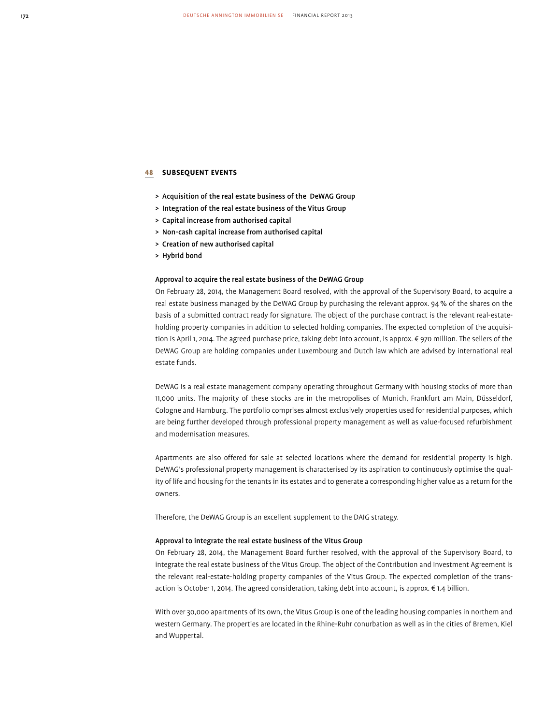## 48 **SUBSEQUENT EVENTS**

- > Acquisition of the real estate business of the DeWAG Group
- > Integration of the real estate business of the Vitus Group
- > Capital increase from authorised capital
- > Non-cash capital increase from authorised capital
- > Creation of new authorised capital
- > Hybrid bond

#### Approval to acquire the real estate business of the DeWAG Group

On February 28, 2014, the Management Board resolved, with the approval of the Supervisory Board, to acquire a real estate business managed by the DeWAG Group by purchasing the relevant approx. 94 % of the shares on the basis of a submitted contract ready for signature. The object of the purchase contract is the relevant real-estateholding property companies in addition to selected holding companies. The expected completion of the acquisition is April 1, 2014. The agreed purchase price, taking debt into account, is approx. € 970 million. The sellers of the DeWAG Group are holding companies under Luxembourg and Dutch law which are advised by international real estate funds.

DeWAG is a real estate management company operating throughout Germany with housing stocks of more than 11,000 units. The majority of these stocks are in the metropolises of Munich, Frankfurt am Main, Düsseldorf, Cologne and Hamburg. The portfolio comprises almost exclusively properties used for residential purposes, which are being further developed through professional property management as well as value-focused refurbishment and modernisation measures.

Apartments are also offered for sale at selected locations where the demand for residential property is high. DeWAG's professional property management is characterised by its aspiration to continuously optimise the quality of life and housing for the tenants in its estates and to generate a corresponding higher value as a return for the owners.

Therefore, the DeWAG Group is an excellent supplement to the DAIG strategy.

#### Approval to integrate the real estate business of the Vitus Group

On February 28, 2014, the Management Board further resolved, with the approval of the Supervisory Board, to integrate the real estate business of the Vitus Group. The object of the Contribution and Investment Agreement is the relevant real-estate-holding property companies of the Vitus Group. The expected completion of the transaction is October 1, 2014. The agreed consideration, taking debt into account, is approx. € 1.4 billion.

With over 30,000 apartments of its own, the Vitus Group is one of the leading housing companies in northern and western Germany. The properties are located in the Rhine-Ruhr conurbation as well as in the cities of Bremen, Kiel and Wuppertal.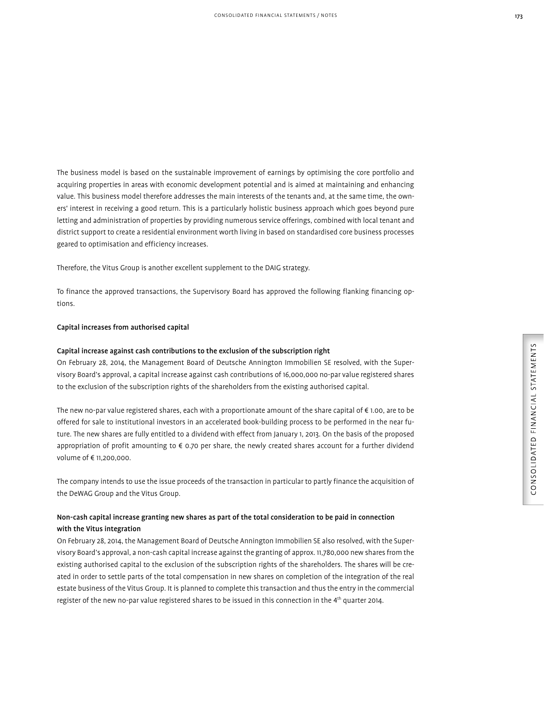The business model is based on the sustainable improvement of earnings by optimising the core portfolio and acquiring properties in areas with economic development potential and is aimed at maintaining and enhancing value. This business model therefore addresses the main interests of the tenants and, at the same time, the owners' interest in receiving a good return. This is a particularly holistic business approach which goes beyond pure letting and administration of properties by providing numerous service offerings, combined with local tenant and district support to create a residential environment worth living in based on standardised core business processes geared to optimisation and efficiency increases.

Therefore, the Vitus Group is another excellent supplement to the DAIG strategy.

To finance the approved transactions, the Supervisory Board has approved the following flanking financing options.

#### Capital increases from authorised capital

#### Capital increase against cash contributions to the exclusion of the subscription right

On February 28, 2014, the Management Board of Deutsche Annington Immobilien SE resolved, with the Supervisory Board's approval, a capital increase against cash contributions of 16,000,000 no-par value registered shares to the exclusion of the subscription rights of the shareholders from the existing authorised capital.

The new no-par value registered shares, each with a proportionate amount of the share capital of € 1.00, are to be offered for sale to institutional investors in an accelerated book-building process to be performed in the near future. The new shares are fully entitled to a dividend with effect from January 1, 2013. On the basis of the proposed appropriation of profit amounting to € 0.70 per share, the newly created shares account for a further dividend volume of € 11,200,000.

The company intends to use the issue proceeds of the transaction in particular to partly finance the acquisition of the DeWAG Group and the Vitus Group.

## Non-cash capital increase granting new shares as part of the total consideration to be paid in connection with the Vitus integration

On February 28, 2014, the Management Board of Deutsche Annington Immobilien SE also resolved, with the Supervisory Board's approval, a non-cash capital increase against the granting of approx. 11,780,000 new shares from the existing authorised capital to the exclusion of the subscription rights of the shareholders. The shares will be created in order to settle parts of the total compensation in new shares on completion of the integration of the real estate business of the Vitus Group. It is planned to complete this transaction and thus the entry in the commercial register of the new no-par value registered shares to be issued in this connection in the 4th quarter 2014.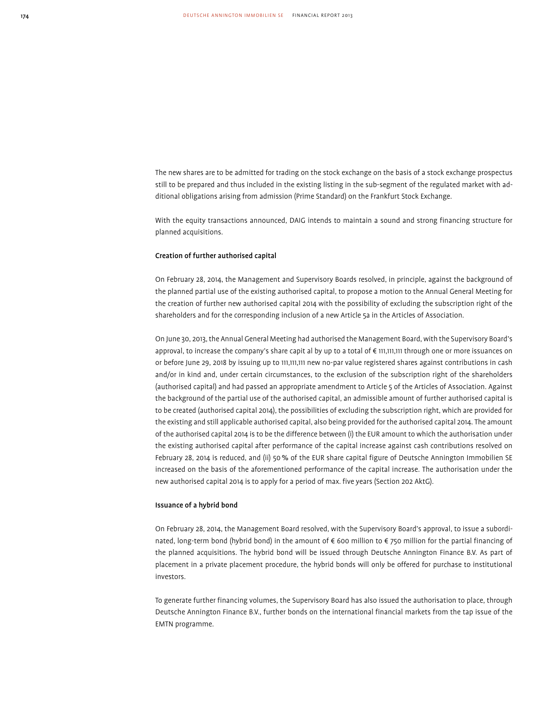The new shares are to be admitted for trading on the stock exchange on the basis of a stock exchange prospectus still to be prepared and thus included in the existing listing in the sub-segment of the regulated market with additional obligations arising from admission (Prime Standard) on the Frankfurt Stock Exchange.

With the equity transactions announced, DAIG intends to maintain a sound and strong financing structure for planned acquisitions.

#### Creation of further authorised capital

On February 28, 2014, the Management and Supervisory Boards resolved, in principle, against the background of the planned partial use of the existing authorised capital, to propose a motion to the Annual General Meeting for the creation of further new authorised capital 2014 with the possibility of excluding the subscription right of the shareholders and for the corresponding inclusion of a new Article 5a in the Articles of Association.

On June 30, 2013, the Annual General Meeting had authorised the Management Board, with the Supervisory Board's approval, to increase the company's share capit al by up to a total of € 111,111,111 through one or more issuances on or before June 29, 2018 by issuing up to 111,111,111 new no-par value registered shares against contributions in cash and/or in kind and, under certain circumstances, to the exclusion of the subscription right of the shareholders (authorised capital) and had passed an appropriate amendment to Article 5 of the Articles of Association. Against the background of the partial use of the authorised capital, an admissible amount of further authorised capital is to be created (authorised capital 2014), the possibilities of excluding the subscription right, which are provided for the existing and still applicable authorised capital, also being provided for the authorised capital 2014. The amount of the authorised capital 2014 is to be the difference between (i) the EUR amount to which the authorisation under the existing authorised capital after performance of the capital increase against cash contributions resolved on February 28, 2014 is reduced, and (ii) 50 % of the EUR share capital figure of Deutsche Annington Immobilien SE increased on the basis of the aforementioned performance of the capital increase. The authorisation under the new authorised capital 2014 is to apply for a period of max. five years (Section 202 AktG).

#### Issuance of a hybrid bond

On February 28, 2014, the Management Board resolved, with the Supervisory Board's approval, to issue a subordinated, long-term bond (hybrid bond) in the amount of € 600 million to € 750 million for the partial financing of the planned acquisitions. The hybrid bond will be issued through Deutsche Annington Finance B.V. As part of placement in a private placement procedure, the hybrid bonds will only be offered for purchase to institutional investors.

To generate further financing volumes, the Supervisory Board has also issued the authorisation to place, through Deutsche Annington Finance B.V., further bonds on the international financial markets from the tap issue of the EMTN programme.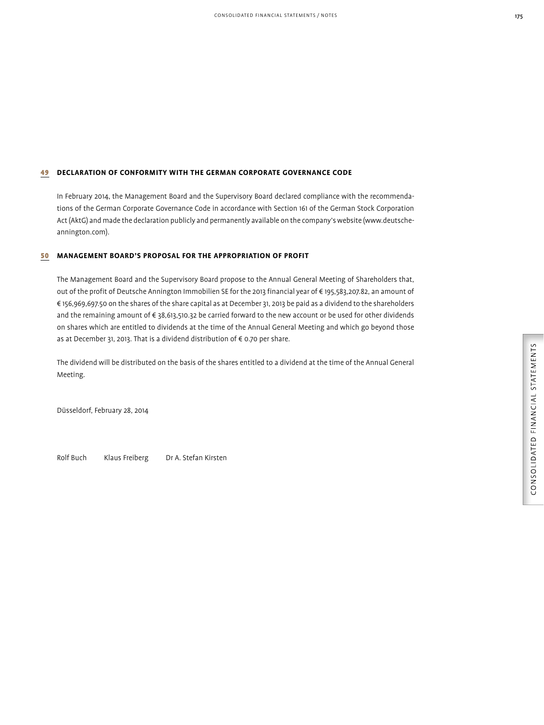## 49 **DECLARATION OF CONFORMITY WITH THE GERMAN CORPORATE GOVERNANCE CODE**

In February 2014, the Management Board and the Supervisory Board declared compliance with the recommendations of the German Corporate Governance Code in accordance with Section 161 of the German Stock Corporation Act (AktG) and made the declaration publicly and permanently available on the company's website (www. deutscheannington.com).

## 50 **MANAGEMENT BOARD'S PROPOSAL FOR THE APPROPRIATION OF PROFIT**

The Management Board and the Supervisory Board propose to the Annual General Meeting of Shareholders that, out of the profit of Deutsche Annington Immobilien SE for the 2013 financial year of € 195,583,207.82, an amount of € 156,969,697.50 on the shares of the share capital as at December 31, 2013 be paid as a dividend to the shareholders and the remaining amount of € 38,613,510.32 be carried forward to the new account or be used for other dividends on shares which are entitled to dividends at the time of the Annual General Meeting and which go beyond those as at December 31, 2013. That is a dividend distribution of  $\epsilon$  0.70 per share.

The dividend will be distributed on the basis of the shares entitled to a dividend at the time of the Annual General Meeting.

Düsseldorf, February 28, 2014

Rolf Buch Klaus Freiberg Dr A. Stefan Kirsten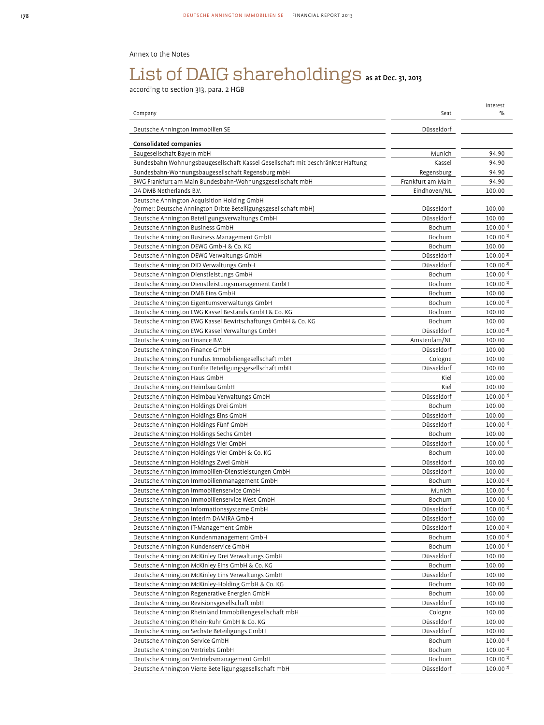## Annex to the Notes

# List of DAIG shareholdings as at Dec. 31, 2013

according to section 313, para. 2 HGB

|                                                                                 |                   | Interest               |
|---------------------------------------------------------------------------------|-------------------|------------------------|
| Company                                                                         | Seat              | %                      |
| Deutsche Annington Immobilien SE                                                | Düsseldorf        |                        |
| Consolidated companies                                                          |                   |                        |
| Baugesellschaft Bayern mbH                                                      | Munich            | 94.90                  |
| Bundesbahn Wohnungsbaugesellschaft Kassel Gesellschaft mit beschränkter Haftung | Kassel            | 94.90                  |
| Bundesbahn-Wohnungsbaugesellschaft Regensburg mbH                               | Regensburg        | 94.90                  |
| BWG Frankfurt am Main Bundesbahn-Wohnungsgesellschaft mbH                       | Frankfurt am Main | 94.90                  |
| DA DMB Netherlands B.V.                                                         | Eindhoven/NL      | 100.00                 |
| Deutsche Annington Acquisition Holding GmbH                                     |                   |                        |
| (former: Deutsche Annington Dritte Beteiligungsgesellschaft mbH)                | Düsseldorf        | 100,00                 |
| Deutsche Annington Beteiligungsverwaltungs GmbH                                 | Düsseldorf        | 100.00                 |
| Deutsche Annington Business GmbH                                                | Bochum            | 100.00 <sup>1</sup>    |
| Deutsche Annington Business Management GmbH                                     | Bochum            | 100.00 <sup>1</sup>    |
| Deutsche Annington DEWG GmbH & Co. KG                                           | Bochum            | 100.00                 |
| Deutsche Annington DEWG Verwaltungs GmbH                                        | Düsseldorf        | 100.00 <sup>2</sup>    |
| Deutsche Annington DID Verwaltungs GmbH                                         | Düsseldorf        | 100.00 <sup>2</sup>    |
| Deutsche Annington Dienstleistungs GmbH                                         | Bochum            | 100.00 <sup>1</sup>    |
| Deutsche Annington Dienstleistungsmanagement GmbH                               | Bochum            | 100.00 <sup>1</sup>    |
| Deutsche Annington DMB Eins GmbH                                                | Bochum            | 100.00                 |
| Deutsche Annington Eigentumsverwaltungs GmbH                                    | Bochum            | 100.00 <sup>1</sup>    |
| Deutsche Annington EWG Kassel Bestands GmbH & Co. KG                            | Bochum            | 100.00                 |
| Deutsche Annington EWG Kassel Bewirtschaftungs GmbH & Co. KG                    | Bochum            | 100.00                 |
| Deutsche Annington EWG Kassel Verwaltungs GmbH                                  | Düsseldorf        | 100.00 <sup>2</sup>    |
| Deutsche Annington Finance B.V.                                                 | Amsterdam/NL      | 100.00                 |
| Deutsche Annington Finance GmbH                                                 | Düsseldorf        | 100.00                 |
| Deutsche Annington Fundus Immobiliengesellschaft mbH                            | Cologne           | 100.00                 |
| Deutsche Annington Fünfte Beteiligungsgesellschaft mbH                          | Düsseldorf        | 100.00                 |
| Deutsche Annington Haus GmbH                                                    | Kiel              | 100.00                 |
| Deutsche Annington Heimbau GmbH                                                 | Kiel              | 100.00                 |
| Deutsche Annington Heimbau Verwaltungs GmbH                                     | Düsseldorf        | 100.00 <sup>2</sup>    |
| Deutsche Annington Holdings Drei GmbH                                           | Bochum            | 100.00                 |
| Deutsche Annington Holdings Eins GmbH                                           | Düsseldorf        | 100.00                 |
| Deutsche Annington Holdings Fünf GmbH                                           | Düsseldorf        | 100.00 <sup>1</sup>    |
| Deutsche Annington Holdings Sechs GmbH                                          | Bochum            | 100.00                 |
| Deutsche Annington Holdings Vier GmbH                                           | Düsseldorf        | 100.00 <sup>1</sup>    |
| Deutsche Annington Holdings Vier GmbH & Co. KG                                  | Bochum            | 100.00                 |
| Deutsche Annington Holdings Zwei GmbH                                           | Düsseldorf        | 100.00                 |
| Deutsche Annington Immobilien-Dienstleistungen GmbH                             | Düsseldorf        | 100.00                 |
| Deutsche Annington Immobilienmanagement GmbH                                    | Bochum            | 100.00 <sup>1</sup>    |
| Deutsche Annington Immobilienservice GmbH                                       | Munich            | 100.00 <sup>1</sup>    |
| Deutsche Annington Immobilienservice West GmbH                                  | Bochum            | 100.00 <sup>1</sup>    |
| Deutsche Annington Informationssysteme GmbH                                     | Düsseldorf        | $100.00$ <sup>1)</sup> |
| Deutsche Annington Interim DAMIRA GmbH                                          | Düsseldorf        | 100.00                 |
| Deutsche Annington IT-Management GmbH                                           | Düsseldorf        | 100.00 <sup>1</sup>    |
| Deutsche Annington Kundenmanagement GmbH                                        | Bochum            | 100.00 <sup>1</sup>    |
| Deutsche Annington Kundenservice GmbH                                           | Bochum            | 100.00 <sup>1</sup>    |
| Deutsche Annington McKinley Drei Verwaltungs GmbH                               | Düsseldorf        | 100.00                 |
| Deutsche Annington McKinley Eins GmbH & Co. KG                                  | Bochum            | 100.00                 |
| Deutsche Annington McKinley Eins Verwaltungs GmbH                               | Düsseldorf        | 100.00                 |
| Deutsche Annington McKinley-Holding GmbH & Co. KG                               | Bochum            | 100.00                 |
| Deutsche Annington Regenerative Energien GmbH                                   | Bochum            | 100.00                 |
| Deutsche Annington Revisionsgesellschaft mbH                                    | Düsseldorf        | 100.00                 |
| Deutsche Annington Rheinland Immobiliengesellschaft mbH                         | Cologne           | 100.00                 |
| Deutsche Annington Rhein-Ruhr GmbH & Co. KG                                     | Düsseldorf        | 100.00                 |
| Deutsche Annington Sechste Beteiligungs GmbH                                    | Düsseldorf        | 100.00                 |
| Deutsche Annington Service GmbH                                                 | Bochum            | 100.00 <sup>1</sup>    |
| Deutsche Annington Vertriebs GmbH                                               | Bochum            | 100.00 <sup>1</sup>    |
| Deutsche Annington Vertriebsmanagement GmbH                                     | Bochum            | $100.00$ <sup>1)</sup> |
| Deutsche Annington Vierte Beteiligungsgesellschaft mbH                          | Düsseldorf        | 100.00 <sup>2</sup>    |
|                                                                                 |                   |                        |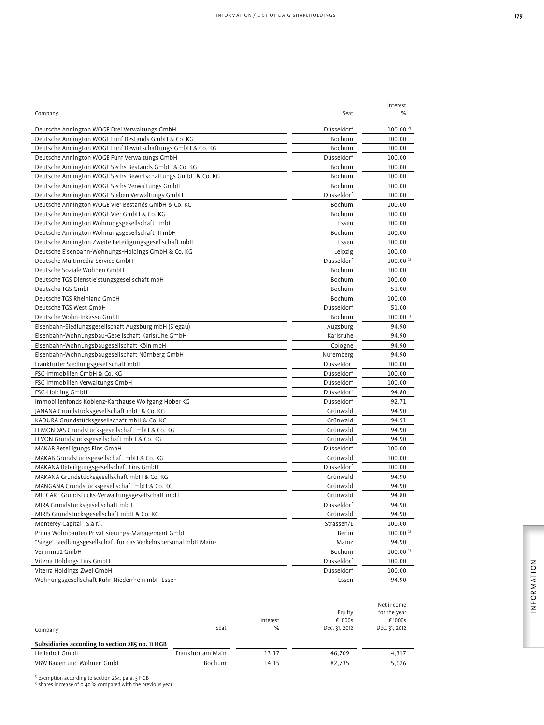| Company                                                          | Seat       | Interest<br>%          |
|------------------------------------------------------------------|------------|------------------------|
| Deutsche Annington WOGE Drei Verwaltungs GmbH                    | Düsseldorf | 100.00 <sup>2</sup>    |
| Deutsche Annington WOGE Fünf Bestands GmbH & Co. KG              | Bochum     | 100.00                 |
| Deutsche Annington WOGE Fünf Bewirtschaftungs GmbH & Co. KG      | Bochum     | 100.00                 |
| Deutsche Annington WOGE Fünf Verwaltungs GmbH                    | Düsseldorf | 100.00                 |
| Deutsche Annington WOGE Sechs Bestands GmbH & Co. KG             | Bochum     | 100.00                 |
| Deutsche Annington WOGE Sechs Bewirtschaftungs GmbH & Co. KG     | Bochum     | 100.00                 |
| Deutsche Annington WOGE Sechs Verwaltungs GmbH                   | Bochum     | 100.00                 |
| Deutsche Annington WOGE Sieben Verwaltungs GmbH                  | Düsseldorf | 100.00                 |
| Deutsche Annington WOGE Vier Bestands GmbH & Co. KG              | Bochum     | 100.00                 |
| Deutsche Annington WOGE Vier GmbH & Co. KG                       | Bochum     | 100.00                 |
| Deutsche Annington Wohnungsgesellschaft I mbH                    | Essen      | 100.00                 |
| Deutsche Annington Wohnungsgesellschaft III mbH                  | Bochum     | 100.00                 |
| Deutsche Annington Zweite Beteiligungsgesellschaft mbH           | Essen      | 100.00                 |
| Deutsche Eisenbahn-Wohnungs-Holdings GmbH & Co. KG               | Leipzig    | 100.00                 |
| Deutsche Multimedia Service GmbH                                 | Düsseldorf | 100.00 <sup>1</sup>    |
| Deutsche Soziale Wohnen GmbH                                     | Bochum     | 100.00                 |
| Deutsche TGS Dienstleistungsgesellschaft mbH                     | Bochum     | 100.00                 |
| Deutsche TGS GmbH                                                | Bochum     | 51.00                  |
| Deutsche TGS Rheinland GmbH                                      | Bochum     | 100.00                 |
| Deutsche TGS West GmbH                                           | Düsseldorf | 51.00                  |
| Deutsche Wohn-Inkasso GmbH                                       | Bochum     | 100.00 <sup>1</sup>    |
| Eisenbahn-Siedlungsgesellschaft Augsburg mbH (Siegau)            | Augsburg   | 94.90                  |
| Eisenbahn-Wohnungsbau-Gesellschaft Karlsruhe GmbH                | Karlsruhe  | 94.90                  |
| Eisenbahn-Wohnungsbaugesellschaft Köln mbH                       | Cologne    | 94.90                  |
| Eisenbahn-Wohnungsbaugesellschaft Nürnberg GmbH                  | Nuremberg  | 94.90                  |
| Frankfurter Siedlungsgesellschaft mbH                            | Düsseldorf | 100.00                 |
| FSG Immobilien GmbH & Co. KG                                     | Düsseldorf | 100.00                 |
| FSG Immobilien Verwaltungs GmbH                                  | Düsseldorf | 100.00                 |
| FSG-Holding GmbH                                                 | Düsseldorf | 94.80                  |
| Immobilienfonds Koblenz-Karthause Wolfgang Hober KG              | Düsseldorf | 92.71                  |
| JANANA Grundstücksgesellschaft mbH & Co. KG                      | Grünwald   | 94.90                  |
| KADURA Grundstücksgesellschaft mbH & Co. KG                      | Grünwald   | 94.91                  |
| LEMONDAS Grundstücksgesellschaft mbH & Co. KG                    | Grünwald   | 94.90                  |
| LEVON Grundstücksgesellschaft mbH & Co. KG                       | Grünwald   | 94.90                  |
| MAKAB Beteiligungs Eins GmbH                                     | Düsseldorf | 100.00                 |
| MAKAB Grundstücksgesellschaft mbH & Co. KG                       | Grünwald   | 100.00                 |
| MAKANA Beteiligungsgesellschaft Eins GmbH                        | Düsseldorf | 100.00                 |
| MAKANA Grundstücksgesellschaft mbH & Co. KG                      | Grünwald   | 94.90                  |
| MANGANA Grundstücksgesellschaft mbH & Co. KG                     | Grünwald   | 94.90                  |
| MELCART Grundstücks-Verwaltungsgesellschaft mbH                  | Grünwald   | 94.80                  |
| MIRA Grundstücksgesellschaft mbH                                 | Düsseldorf | 94.90                  |
| MIRIS Grundstücksgesellschaft mbH & Co. KG                       | Grünwald   | 94.90                  |
| Monterey Capital I S.à r.l.                                      | Strassen/L |                        |
|                                                                  |            | 100.00                 |
| Prima Wohnbauten Privatisierungs-Management GmbH                 | Berlin     | 100.00 <sup>1</sup>    |
| "Siege" Siedlungsgesellschaft für das Verkehrspersonal mbH Mainz | Mainz      | 94.90                  |
| Verimmo2 GmbH                                                    | Bochum     | $100.00$ <sup>1)</sup> |
| Viterra Holdings Eins GmbH                                       | Düsseldorf | 100.00                 |
| Viterra Holdings Zwei GmbH                                       | Düsseldorf | 100.00                 |
| Wohnungsgesellschaft Ruhr-Niederrhein mbH Essen                  | Essen      | 94.90                  |

|                                                  |                   |          |               | Net income    |
|--------------------------------------------------|-------------------|----------|---------------|---------------|
|                                                  |                   |          | Equity        | for the year  |
|                                                  |                   | Interest | € '000s       | € '000s       |
| Company                                          | Seat              | %        | Dec. 31, 2012 | Dec. 31, 2012 |
| Subsidiaries according to section 285 no. 11 HGB |                   |          |               |               |
| Hellerhof GmbH                                   | Frankfurt am Main | 13.17    | 46.709        | 4,317         |
| VBW Bauen und Wohnen GmbH                        | <b>Bochum</b>     | 14.15    | 82.735        | 5,626         |

<sup>1)</sup> exemption according to section 264, para. 3 HGB<br><sup>2)</sup> shares increase of 0.40 % compared with the previous year

INFORMATION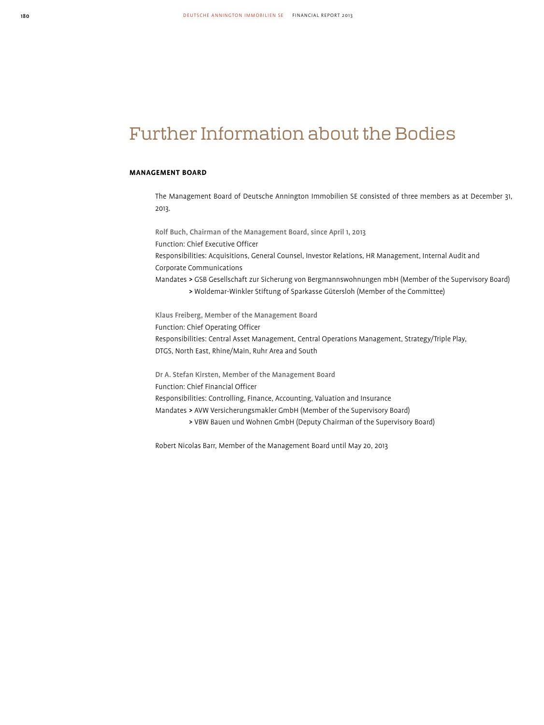## Further Information about the Bodies

#### **MANAGEMENT BOARD**

The Management Board of Deutsche Annington Immobilien SE consisted of three members as at December 31, 2013.

Rolf Buch, Chairman of the Management Board, since April 1, 2013 Function: Chief Executive Officer Responsibilities: Acquisitions, General Counsel, Investor Relations, HR Management, Internal Audit and Corporate Communications Mandates > GSB Gesellschaft zur Sicherung von Bergmannswohnungen mbH (Member of the Supervisory Board) > Woldemar-Winkler Stiftung of Sparkasse Gütersloh (Member of the Committee)

Klaus Freiberg, Member of the Management Board Function: Chief Operating Officer Responsibilities: Central Asset Management, Central Operations Management, Strategy/Triple Play, DTGS, North East, Rhine/Main, Ruhr Area and South

Dr A. Stefan Kirsten, Member of the Management Board Function: Chief Financial Officer Responsibilities: Controlling, Finance, Accounting, Valuation and Insurance Mandates > AVW Versicherungsmakler GmbH (Member of the Supervisory Board) > VBW Bauen und Wohnen GmbH (Deputy Chairman of the Supervisory Board)

Robert Nicolas Barr, Member of the Management Board until May 20, 2013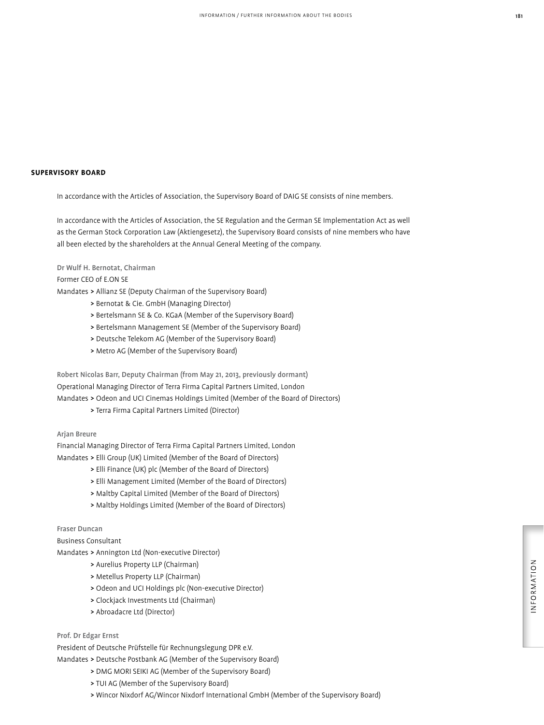#### **SUPERVISORY BOARD**

In accordance with the Articles of Association, the Supervisory Board of DAIG SE consists of nine members.

In accordance with the Articles of Association, the SE Regulation and the German SE Implementation Act as well as the German Stock Corporation Law (Aktiengesetz), the Supervisory Board consists of nine members who have all been elected by the shareholders at the Annual General Meeting of the company.

#### Dr Wulf H. Bernotat, Chairman

### Former CEO of E.ON SE

Mandates > Allianz SE (Deputy Chairman of the Supervisory Board)

- > Bernotat & Cie. GmbH (Managing Director)
- > Bertelsmann SE & Co. KGaA (Member of the Supervisory Board)
- > Bertelsmann Management SE (Member of the Supervisory Board)
- > Deutsche Telekom AG (Member of the Supervisory Board)
- > Metro AG (Member of the Supervisory Board)

Robert Nicolas Barr, Deputy Chairman (from May 21, 2013, previously dormant) Operational Managing Director of Terra Firma Capital Partners Limited, London Mandates > Odeon and UCI Cinemas Holdings Limited (Member of the Board of Directors)

> Terra Firma Capital Partners Limited (Director)

#### Arjan Breure

Financial Managing Director of Terra Firma Capital Partners Limited, London Mandates > Elli Group (UK) Limited (Member of the Board of Directors)

- > Elli Finance (UK) plc (Member of the Board of Directors)
- > Elli Management Limited (Member of the Board of Directors)
- > Maltby Capital Limited (Member of the Board of Directors)
- > Maltby Holdings Limited (Member of the Board of Directors)

## Fraser Duncan

Business Consultant

Mandates > Annington Ltd (Non-executive Director)

- > Aurelius Property LLP (Chairman)
- > Metellus Property LLP (Chairman)
- > Odeon and UCI Holdings plc (Non-executive Director)
- > Clockjack Investments Ltd (Chairman)
- > Abroadacre Ltd (Director)

## Prof. Dr Edgar Ernst

President of Deutsche Prüfstelle für Rechnungslegung DPR e.V. Mandates > Deutsche Postbank AG (Member of the Supervisory Board)

- > DMG MORI SEIKI AG (Member of the Supervisory Board)
- > TUI AG (Member of the Supervisory Board)
- > Wincor Nixdorf AG/Wincor Nixdorf International GmbH (Member of the Supervisory Board)